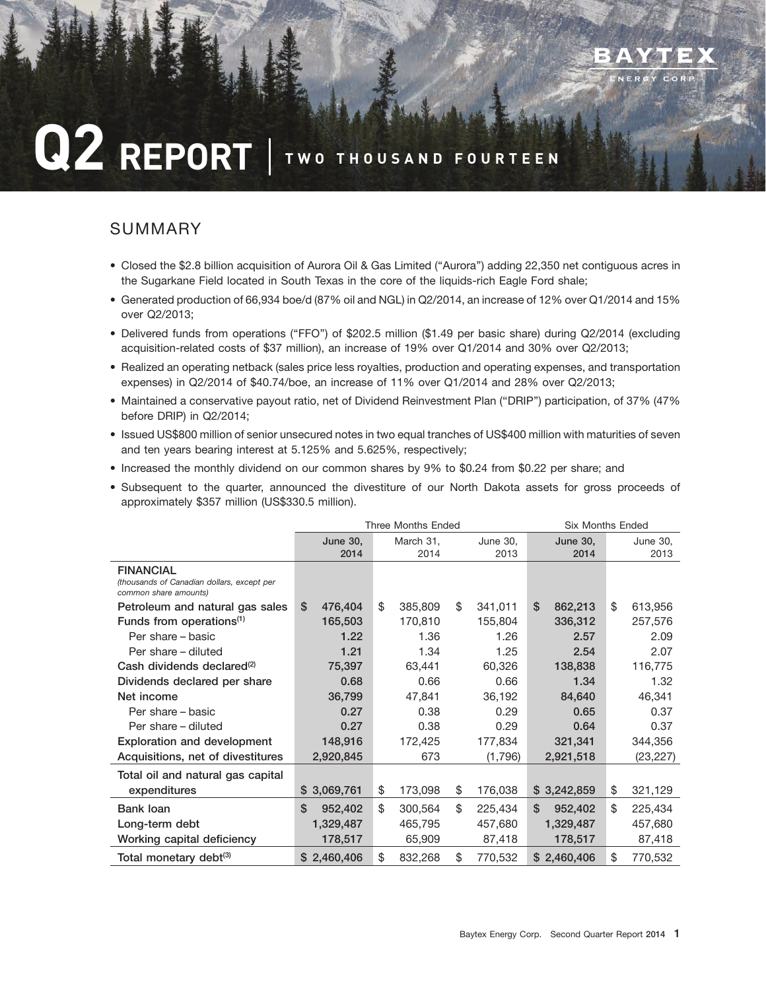# **Q2 REPORT** | TWO THOUSAND FOURTEEN

# SUMMARY

- Closed the \$2.8 billion acquisition of Aurora Oil & Gas Limited (''Aurora'') adding 22,350 net contiguous acres in the Sugarkane Field located in South Texas in the core of the liquids-rich Eagle Ford shale;
- Generated production of 66,934 boe/d (87% oil and NGL) in Q2/2014, an increase of 12% over Q1/2014 and 15% over Q2/2013;
- Delivered funds from operations (''FFO'') of \$202.5 million (\$1.49 per basic share) during Q2/2014 (excluding acquisition-related costs of \$37 million), an increase of 19% over Q1/2014 and 30% over Q2/2013;
- Realized an operating netback (sales price less royalties, production and operating expenses, and transportation expenses) in Q2/2014 of \$40.74/boe, an increase of 11% over Q1/2014 and 28% over Q2/2013;
- Maintained a conservative payout ratio, net of Dividend Reinvestment Plan (''DRIP'') participation, of 37% (47% before DRIP) in Q2/2014;
- Issued US\$800 million of senior unsecured notes in two equal tranches of US\$400 million with maturities of seven and ten years bearing interest at 5.125% and 5.625%, respectively;
- Increased the monthly dividend on our common shares by 9% to \$0.24 from \$0.22 per share; and
- Subsequent to the quarter, announced the divestiture of our North Dakota assets for gross proceeds of approximately \$357 million (US\$330.5 million).

|                                                                                         |                         | <b>Three Months Ended</b> |                  | <b>Six Months Ended</b> |                         |    |                  |  |
|-----------------------------------------------------------------------------------------|-------------------------|---------------------------|------------------|-------------------------|-------------------------|----|------------------|--|
|                                                                                         | <b>June 30.</b><br>2014 | March 31,<br>2014         | June 30.<br>2013 |                         | <b>June 30,</b><br>2014 |    | June 30.<br>2013 |  |
| <b>FINANCIAL</b><br>(thousands of Canadian dollars, except per<br>common share amounts) |                         |                           |                  |                         |                         |    |                  |  |
| Petroleum and natural gas sales                                                         | \$<br>476,404           | \$<br>385,809             | \$<br>341,011    | \$                      | 862,213                 | \$ | 613,956          |  |
| Funds from operations <sup>(1)</sup>                                                    | 165,503                 | 170,810                   | 155,804          |                         | 336,312                 |    | 257,576          |  |
| Per share – basic                                                                       | 1.22                    | 1.36                      | 1.26             |                         | 2.57                    |    | 2.09             |  |
| Per share - diluted                                                                     | 1.21                    | 1.34                      | 1.25             |                         | 2.54                    |    | 2.07             |  |
| Cash dividends declared <sup>(2)</sup>                                                  | 75,397                  | 63,441                    | 60,326           |                         | 138,838                 |    | 116,775          |  |
| Dividends declared per share                                                            | 0.68                    | 0.66                      | 0.66             |                         | 1.34                    |    | 1.32             |  |
| Net income                                                                              | 36,799                  | 47,841                    | 36,192           |                         | 84,640                  |    | 46,341           |  |
| Per share - basic                                                                       | 0.27                    | 0.38                      | 0.29             |                         | 0.65                    |    | 0.37             |  |
| Per share - diluted                                                                     | 0.27                    | 0.38                      | 0.29             |                         | 0.64                    |    | 0.37             |  |
| <b>Exploration and development</b>                                                      | 148,916                 | 172,425                   | 177,834          |                         | 321,341                 |    | 344,356          |  |
| Acquisitions, net of divestitures                                                       | 2,920,845               | 673                       | (1,796)          |                         | 2,921,518               |    | (23, 227)        |  |
| Total oil and natural gas capital                                                       |                         |                           |                  |                         |                         |    |                  |  |
| expenditures                                                                            | \$3,069,761             | \$<br>173,098             | \$<br>176,038    |                         | \$3,242,859             | \$ | 321,129          |  |
| Bank loan                                                                               | \$<br>952,402           | \$<br>300,564             | \$<br>225,434    | \$                      | 952,402                 | \$ | 225,434          |  |
| Long-term debt                                                                          | 1,329,487               | 465,795                   | 457,680          |                         | 1,329,487               |    | 457,680          |  |
| Working capital deficiency                                                              | 178,517                 | 65,909                    | 87,418           |                         | 178,517                 |    | 87,418           |  |
| Total monetary debt <sup>(3)</sup>                                                      | \$2,460,406             | \$<br>832,268             | \$<br>770,532    |                         | \$2,460,406             | \$ | 770,532          |  |

313 JUL<sub>2014</sub>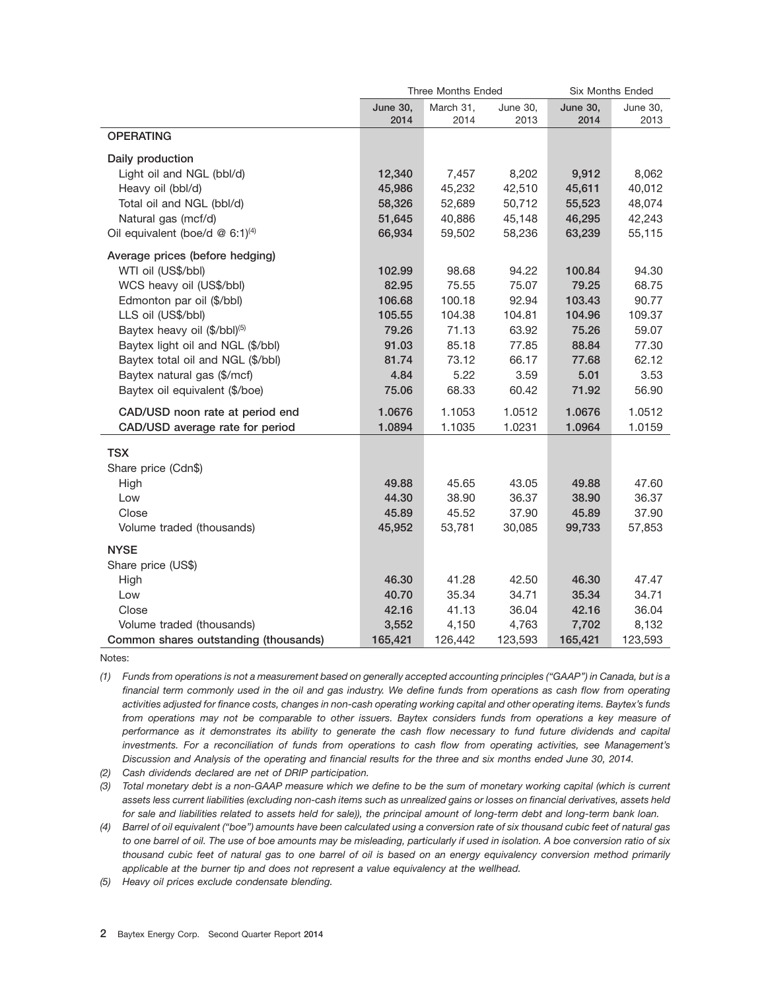|                                               |                 | <b>Three Months Ended</b> |                 |                 | <b>Six Months Ended</b> |
|-----------------------------------------------|-----------------|---------------------------|-----------------|-----------------|-------------------------|
|                                               | <b>June 30,</b> | March 31,                 | <b>June 30,</b> | <b>June 30,</b> | June 30,                |
|                                               | 2014            | 2014                      | 2013            | 2014            | 2013                    |
| <b>OPERATING</b>                              |                 |                           |                 |                 |                         |
|                                               |                 |                           |                 |                 |                         |
| Daily production                              |                 |                           |                 |                 |                         |
| Light oil and NGL (bbl/d)                     | 12,340          | 7,457                     | 8,202           | 9,912           | 8,062                   |
| Heavy oil (bbl/d)                             | 45,986          | 45,232                    | 42,510          | 45,611          | 40,012                  |
| Total oil and NGL (bbl/d)                     | 58,326          | 52,689                    | 50,712          | 55,523          | 48,074                  |
| Natural gas (mcf/d)                           | 51,645          | 40,886                    | 45,148          | 46,295          | 42,243                  |
| Oil equivalent (boe/d $@$ 6:1) <sup>(4)</sup> | 66,934          | 59,502                    | 58,236          | 63,239          | 55,115                  |
| Average prices (before hedging)               |                 |                           |                 |                 |                         |
| WTI oil (US\$/bbl)                            | 102.99          | 98.68                     | 94.22           | 100.84          | 94.30                   |
| WCS heavy oil (US\$/bbl)                      | 82.95           | 75.55                     | 75.07           | 79.25           | 68.75                   |
| Edmonton par oil (\$/bbl)                     | 106.68          | 100.18                    | 92.94           | 103.43          | 90.77                   |
| LLS oil (US\$/bbl)                            | 105.55          | 104.38                    | 104.81          | 104.96          | 109.37                  |
| Baytex heavy oil (\$/bbl)(5)                  | 79.26           | 71.13                     | 63.92           | 75.26           | 59.07                   |
| Baytex light oil and NGL (\$/bbl)             | 91.03           | 85.18                     | 77.85           | 88.84           | 77.30                   |
| Baytex total oil and NGL (\$/bbl)             | 81.74           | 73.12                     | 66.17           | 77.68           | 62.12                   |
| Baytex natural gas (\$/mcf)                   | 4.84            | 5.22                      | 3.59            | 5.01            | 3.53                    |
| Baytex oil equivalent (\$/boe)                | 75.06           | 68.33                     | 60.42           | 71.92           | 56.90                   |
| CAD/USD noon rate at period end               | 1.0676          | 1.1053                    | 1.0512          | 1.0676          | 1.0512                  |
| CAD/USD average rate for period               | 1.0894          | 1.1035                    | 1.0231          | 1.0964          | 1.0159                  |
|                                               |                 |                           |                 |                 |                         |
| <b>TSX</b>                                    |                 |                           |                 |                 |                         |
| Share price (Cdn\$)                           |                 |                           |                 |                 |                         |
| High                                          | 49.88           | 45.65                     | 43.05           | 49.88           | 47.60                   |
| Low                                           | 44.30           | 38.90                     | 36.37           | 38.90           | 36.37                   |
| Close                                         | 45.89           | 45.52                     | 37.90           | 45.89           | 37.90                   |
| Volume traded (thousands)                     | 45,952          | 53,781                    | 30,085          | 99,733          | 57,853                  |
| <b>NYSE</b>                                   |                 |                           |                 |                 |                         |
| Share price (US\$)                            |                 |                           |                 |                 |                         |
| High                                          | 46.30           | 41.28                     | 42.50           | 46.30           | 47.47                   |
| Low                                           | 40.70           | 35.34                     | 34.71           | 35.34           | 34.71                   |
| Close                                         | 42.16           | 41.13                     | 36.04           | 42.16           | 36.04                   |
| Volume traded (thousands)                     | 3,552           | 4,150                     | 4,763           | 7,702           | 8,132                   |
| Common shares outstanding (thousands)         | 165,421         | 126,442                   | 123,593         | 165,421         | 123,593                 |

Notes:

*(1) Funds from operations is not a measurement based on generally accepted accounting principles (''GAAP'') in Canada, but is a financial term commonly used in the oil and gas industry. We define funds from operations as cash flow from operating activities adjusted for finance costs, changes in non-cash operating working capital and other operating items. Baytex's funds from operations may not be comparable to other issuers. Baytex considers funds from operations a key measure of performance as it demonstrates its ability to generate the cash flow necessary to fund future dividends and capital investments. For a reconciliation of funds from operations to cash flow from operating activities, see Management's Discussion and Analysis of the operating and financial results for the three and six months ended June 30, 2014.*

*(2) Cash dividends declared are net of DRIP participation.*

*(3) Total monetary debt is a non-GAAP measure which we define to be the sum of monetary working capital (which is current assets less current liabilities (excluding non-cash items such as unrealized gains or losses on financial derivatives, assets held for sale and liabilities related to assets held for sale)), the principal amount of long-term debt and long-term bank loan.*

*(4) Barrel of oil equivalent (''boe'') amounts have been calculated using a conversion rate of six thousand cubic feet of natural gas to one barrel of oil. The use of boe amounts may be misleading, particularly if used in isolation. A boe conversion ratio of six thousand cubic feet of natural gas to one barrel of oil is based on an energy equivalency conversion method primarily applicable at the burner tip and does not represent a value equivalency at the wellhead.*

*(5) Heavy oil prices exclude condensate blending.*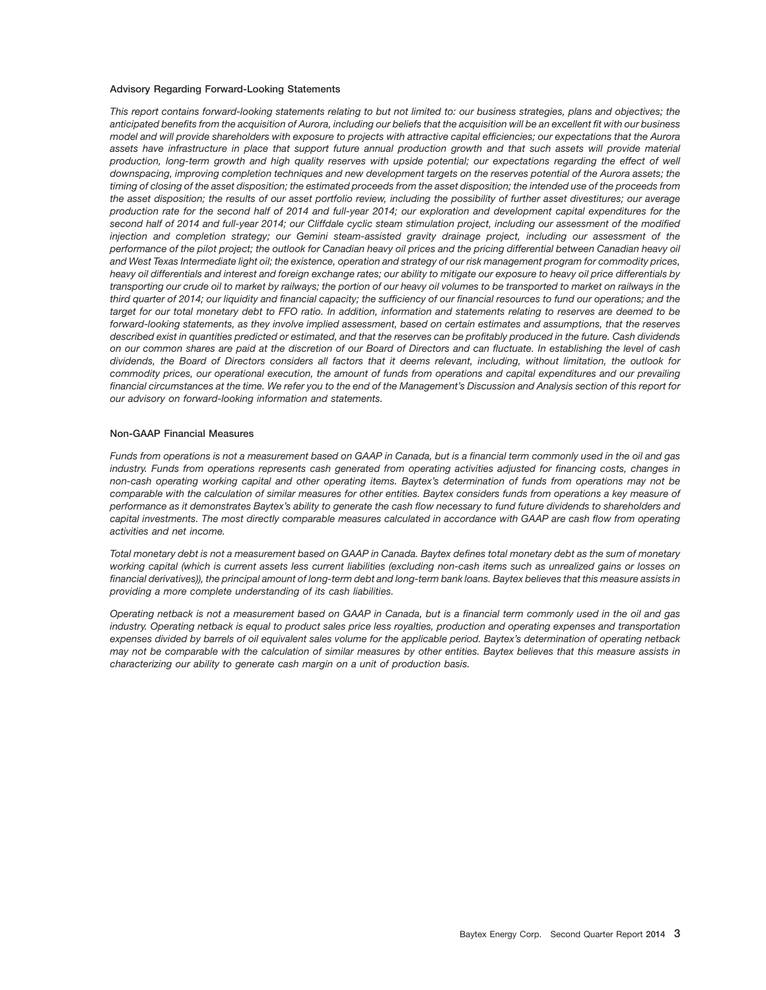#### **Advisory Regarding Forward-Looking Statements**

*This report contains forward-looking statements relating to but not limited to: our business strategies, plans and objectives; the anticipated benefits from the acquisition of Aurora, including our beliefs that the acquisition will be an excellent fit with our business model and will provide shareholders with exposure to projects with attractive capital efficiencies; our expectations that the Aurora assets have infrastructure in place that support future annual production growth and that such assets will provide material production, long-term growth and high quality reserves with upside potential; our expectations regarding the effect of well downspacing, improving completion techniques and new development targets on the reserves potential of the Aurora assets; the timing of closing of the asset disposition; the estimated proceeds from the asset disposition; the intended use of the proceeds from the asset disposition; the results of our asset portfolio review, including the possibility of further asset divestitures; our average production rate for the second half of 2014 and full-year 2014; our exploration and development capital expenditures for the second half of 2014 and full-year 2014; our Cliffdale cyclic steam stimulation project, including our assessment of the modified injection and completion strategy; our Gemini steam-assisted gravity drainage project, including our assessment of the performance of the pilot project; the outlook for Canadian heavy oil prices and the pricing differential between Canadian heavy oil and West Texas Intermediate light oil; the existence, operation and strategy of our risk management program for commodity prices, heavy oil differentials and interest and foreign exchange rates; our ability to mitigate our exposure to heavy oil price differentials by transporting our crude oil to market by railways; the portion of our heavy oil volumes to be transported to market on railways in the third quarter of 2014; our liquidity and financial capacity; the sufficiency of our financial resources to fund our operations; and the target for our total monetary debt to FFO ratio. In addition, information and statements relating to reserves are deemed to be forward-looking statements, as they involve implied assessment, based on certain estimates and assumptions, that the reserves described exist in quantities predicted or estimated, and that the reserves can be profitably produced in the future. Cash dividends on our common shares are paid at the discretion of our Board of Directors and can fluctuate. In establishing the level of cash dividends, the Board of Directors considers all factors that it deems relevant, including, without limitation, the outlook for commodity prices, our operational execution, the amount of funds from operations and capital expenditures and our prevailing financial circumstances at the time. We refer you to the end of the Management's Discussion and Analysis section of this report for our advisory on forward-looking information and statements.*

### **Non-GAAP Financial Measures**

*Funds from operations is not a measurement based on GAAP in Canada, but is a financial term commonly used in the oil and gas industry. Funds from operations represents cash generated from operating activities adjusted for financing costs, changes in non-cash operating working capital and other operating items. Baytex's determination of funds from operations may not be comparable with the calculation of similar measures for other entities. Baytex considers funds from operations a key measure of performance as it demonstrates Baytex's ability to generate the cash flow necessary to fund future dividends to shareholders and capital investments. The most directly comparable measures calculated in accordance with GAAP are cash flow from operating activities and net income.*

*Total monetary debt is not a measurement based on GAAP in Canada. Baytex defines total monetary debt as the sum of monetary working capital (which is current assets less current liabilities (excluding non-cash items such as unrealized gains or losses on financial derivatives)), the principal amount of long-term debt and long-term bank loans. Baytex believes that this measure assists in providing a more complete understanding of its cash liabilities.*

*Operating netback is not a measurement based on GAAP in Canada, but is a financial term commonly used in the oil and gas industry. Operating netback is equal to product sales price less royalties, production and operating expenses and transportation expenses divided by barrels of oil equivalent sales volume for the applicable period. Baytex's determination of operating netback may not be comparable with the calculation of similar measures by other entities. Baytex believes that this measure assists in characterizing our ability to generate cash margin on a unit of production basis.*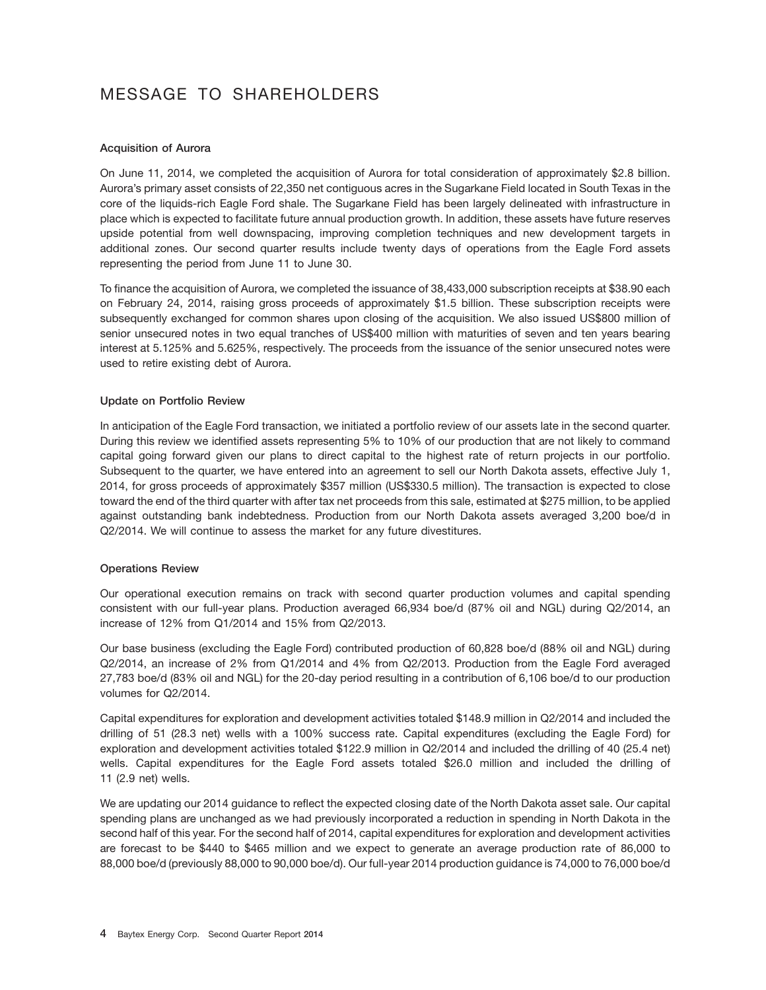# MESSAGE TO SHAREHOLDERS

### **Acquisition of Aurora**

On June 11, 2014, we completed the acquisition of Aurora for total consideration of approximately \$2.8 billion. Aurora's primary asset consists of 22,350 net contiguous acres in the Sugarkane Field located in South Texas in the core of the liquids-rich Eagle Ford shale. The Sugarkane Field has been largely delineated with infrastructure in place which is expected to facilitate future annual production growth. In addition, these assets have future reserves upside potential from well downspacing, improving completion techniques and new development targets in additional zones. Our second quarter results include twenty days of operations from the Eagle Ford assets representing the period from June 11 to June 30.

To finance the acquisition of Aurora, we completed the issuance of 38,433,000 subscription receipts at \$38.90 each on February 24, 2014, raising gross proceeds of approximately \$1.5 billion. These subscription receipts were subsequently exchanged for common shares upon closing of the acquisition. We also issued US\$800 million of senior unsecured notes in two equal tranches of US\$400 million with maturities of seven and ten years bearing interest at 5.125% and 5.625%, respectively. The proceeds from the issuance of the senior unsecured notes were used to retire existing debt of Aurora.

### **Update on Portfolio Review**

In anticipation of the Eagle Ford transaction, we initiated a portfolio review of our assets late in the second quarter. During this review we identified assets representing 5% to 10% of our production that are not likely to command capital going forward given our plans to direct capital to the highest rate of return projects in our portfolio. Subsequent to the quarter, we have entered into an agreement to sell our North Dakota assets, effective July 1, 2014, for gross proceeds of approximately \$357 million (US\$330.5 million). The transaction is expected to close toward the end of the third quarter with after tax net proceeds from this sale, estimated at \$275 million, to be applied against outstanding bank indebtedness. Production from our North Dakota assets averaged 3,200 boe/d in Q2/2014. We will continue to assess the market for any future divestitures.

### **Operations Review**

Our operational execution remains on track with second quarter production volumes and capital spending consistent with our full-year plans. Production averaged 66,934 boe/d (87% oil and NGL) during Q2/2014, an increase of 12% from Q1/2014 and 15% from Q2/2013.

Our base business (excluding the Eagle Ford) contributed production of 60,828 boe/d (88% oil and NGL) during Q2/2014, an increase of 2% from Q1/2014 and 4% from Q2/2013. Production from the Eagle Ford averaged 27,783 boe/d (83% oil and NGL) for the 20-day period resulting in a contribution of 6,106 boe/d to our production volumes for Q2/2014.

Capital expenditures for exploration and development activities totaled \$148.9 million in Q2/2014 and included the drilling of 51 (28.3 net) wells with a 100% success rate. Capital expenditures (excluding the Eagle Ford) for exploration and development activities totaled \$122.9 million in Q2/2014 and included the drilling of 40 (25.4 net) wells. Capital expenditures for the Eagle Ford assets totaled \$26.0 million and included the drilling of 11 (2.9 net) wells.

We are updating our 2014 guidance to reflect the expected closing date of the North Dakota asset sale. Our capital spending plans are unchanged as we had previously incorporated a reduction in spending in North Dakota in the second half of this year. For the second half of 2014, capital expenditures for exploration and development activities are forecast to be \$440 to \$465 million and we expect to generate an average production rate of 86,000 to 88,000 boe/d (previously 88,000 to 90,000 boe/d). Our full-year 2014 production guidance is 74,000 to 76,000 boe/d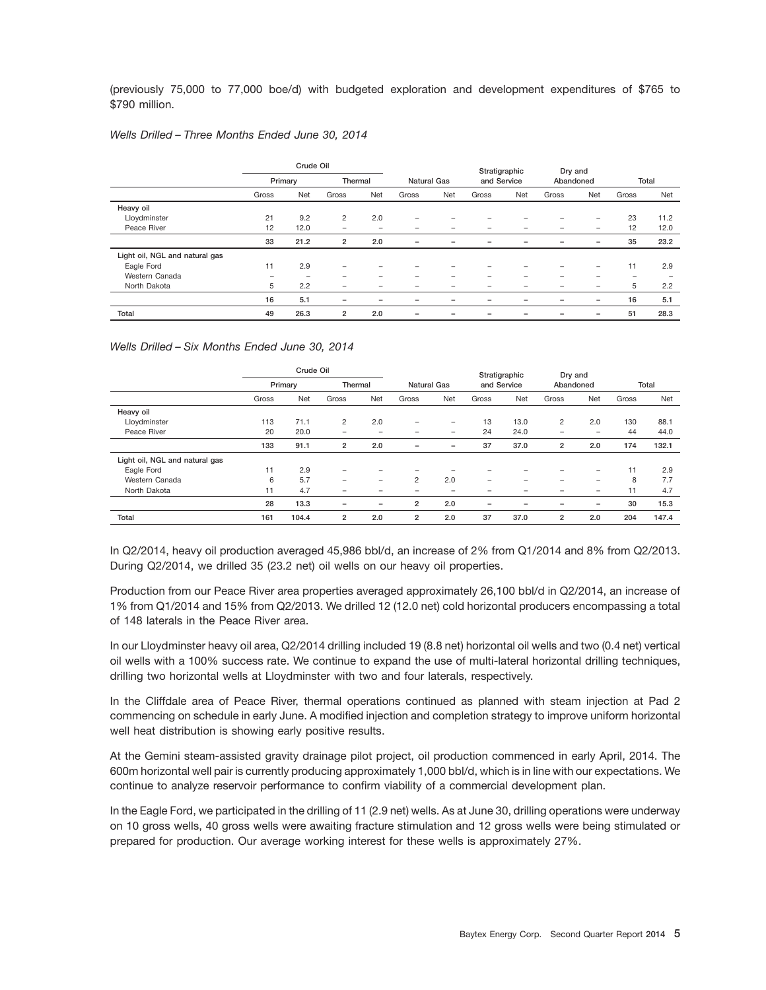(previously 75,000 to 77,000 boe/d) with budgeted exploration and development expenditures of \$765 to \$790 million.

### *Wells Drilled – Three Months Ended June 30, 2014*

|                                |                   | Crude Oil                |                          |                          |                          |                          | Stratigraphic            |                          | Dry and                      |                              |       |      |
|--------------------------------|-------------------|--------------------------|--------------------------|--------------------------|--------------------------|--------------------------|--------------------------|--------------------------|------------------------------|------------------------------|-------|------|
|                                | Primary           |                          | Thermal                  |                          | <b>Natural Gas</b>       |                          | and Service              |                          | Abandoned                    |                              | Total |      |
|                                | Gross             | Net                      | Gross                    | Net                      | Gross                    | Net                      | Gross                    | Net                      | Gross                        | Net                          | Gross | Net  |
| Heavy oil                      |                   |                          |                          |                          |                          |                          |                          |                          |                              |                              |       |      |
| Lloydminster                   | 21                | 9.2                      | 2                        | 2.0                      | -                        |                          |                          |                          |                              | -                            | 23    | 11.2 |
| Peace River                    | 12                | 12.0                     | $\overline{\phantom{0}}$ | $\overline{\phantom{0}}$ |                          |                          |                          | $\overline{\phantom{0}}$ |                              | $\overline{\phantom{0}}$     | 12    | 12.0 |
|                                | 33                | 21.2                     | $\overline{2}$           | 2.0                      | $\overline{\phantom{0}}$ | $\qquad \qquad$          | $\overline{\phantom{0}}$ | $\qquad \qquad -$        | $\qquad \qquad \blacksquare$ | $\qquad \qquad \blacksquare$ | 35    | 23.2 |
| Light oil, NGL and natural gas |                   |                          |                          |                          |                          |                          |                          |                          |                              |                              |       |      |
| Eagle Ford                     | 11                | 2.9                      | -                        |                          |                          |                          |                          |                          |                              | $\overline{\phantom{0}}$     | 11    | 2.9  |
| Western Canada                 | $\qquad \qquad -$ | $\overline{\phantom{0}}$ | $\overline{\phantom{m}}$ | -                        | $\overline{\phantom{0}}$ | $\overline{\phantom{0}}$ | $\overline{\phantom{m}}$ | $\overline{\phantom{0}}$ | $\overline{\phantom{0}}$     | $\overline{\phantom{0}}$     |       | -    |
| North Dakota                   | 5                 | 2.2                      | $\qquad \qquad -$        | $\qquad \qquad$          |                          |                          |                          | $\overline{\phantom{0}}$ |                              | -                            | 5     | 2.2  |
|                                | 16                | 5.1                      | $\qquad \qquad -$        | -                        | -                        | $\qquad \qquad$          | $\overline{\phantom{m}}$ | $\qquad \qquad -$        | -                            | $\qquad \qquad \blacksquare$ | 16    | 5.1  |
| Total                          | 49                | 26.3                     | $\overline{2}$           | 2.0                      |                          |                          |                          | $\overline{\phantom{0}}$ |                              | $\overline{\phantom{0}}$     | 51    | 28.3 |

### *Wells Drilled – Six Months Ended June 30, 2014*

|                                |       | Crude Oil |                              |                              |                          |                          |                 | Stratigraphic     |                 | Dry and                      |       |       |
|--------------------------------|-------|-----------|------------------------------|------------------------------|--------------------------|--------------------------|-----------------|-------------------|-----------------|------------------------------|-------|-------|
|                                |       | Primary   | Thermal                      |                              | <b>Natural Gas</b>       |                          | and Service     |                   | Abandoned       |                              | Total |       |
|                                | Gross | Net       | Gross                        | Net                          | Gross                    | Net                      | Gross           | Net               | Gross           | Net                          | Gross | Net   |
| Heavy oil                      |       |           |                              |                              |                          |                          |                 |                   |                 |                              |       |       |
| Lloydminster                   | 113   | 71.1      | $\overline{2}$               | 2.0                          | $\qquad \qquad$          | $\overline{\phantom{0}}$ | 13              | 13.0              | $\overline{2}$  | 2.0                          | 130   | 88.1  |
| Peace River                    | 20    | 20.0      | $\qquad \qquad \blacksquare$ | -                            |                          | $\overline{\phantom{0}}$ | 24              | 24.0              |                 | -                            | 44    | 44.0  |
|                                | 133   | 91.1      | $\overline{2}$               | 2.0                          | $\overline{\phantom{0}}$ | -                        | 37              | 37.0              | $\overline{2}$  | 2.0                          | 174   | 132.1 |
| Light oil, NGL and natural gas |       |           |                              |                              |                          |                          |                 |                   |                 |                              |       |       |
| Eagle Ford                     | 11    | 2.9       | $\overline{\phantom{0}}$     | -                            | $\overline{\phantom{0}}$ |                          | -               | -                 |                 | -                            | 11    | 2.9   |
| Western Canada                 | 6     | 5.7       | $\overline{\phantom{0}}$     | -                            | $\overline{2}$           | 2.0                      | $\qquad \qquad$ | $\qquad \qquad$   | -               | -                            | 8     | 7.7   |
| North Dakota                   | 11    | 4.7       | $\overline{\phantom{0}}$     |                              |                          |                          |                 |                   |                 | -                            | 11    | 4.7   |
|                                | 28    | 13.3      | $\qquad \qquad$              | $\qquad \qquad \blacksquare$ | $\overline{2}$           | 2.0                      | $\qquad \qquad$ | $\qquad \qquad -$ | $\qquad \qquad$ | $\qquad \qquad \blacksquare$ | 30    | 15.3  |
| Total                          | 161   | 104.4     | $\overline{2}$               | 2.0                          | $\overline{2}$           | 2.0                      | 37              | 37.0              | $\overline{2}$  | 2.0                          | 204   | 147.4 |

In Q2/2014, heavy oil production averaged 45,986 bbl/d, an increase of 2% from Q1/2014 and 8% from Q2/2013. During Q2/2014, we drilled 35 (23.2 net) oil wells on our heavy oil properties.

Production from our Peace River area properties averaged approximately 26,100 bbl/d in Q2/2014, an increase of 1% from Q1/2014 and 15% from Q2/2013. We drilled 12 (12.0 net) cold horizontal producers encompassing a total of 148 laterals in the Peace River area.

In our Lloydminster heavy oil area, Q2/2014 drilling included 19 (8.8 net) horizontal oil wells and two (0.4 net) vertical oil wells with a 100% success rate. We continue to expand the use of multi-lateral horizontal drilling techniques, drilling two horizontal wells at Lloydminster with two and four laterals, respectively.

In the Cliffdale area of Peace River, thermal operations continued as planned with steam injection at Pad 2 commencing on schedule in early June. A modified injection and completion strategy to improve uniform horizontal well heat distribution is showing early positive results.

At the Gemini steam-assisted gravity drainage pilot project, oil production commenced in early April, 2014. The 600m horizontal well pair is currently producing approximately 1,000 bbl/d, which is in line with our expectations. We continue to analyze reservoir performance to confirm viability of a commercial development plan.

In the Eagle Ford, we participated in the drilling of 11 (2.9 net) wells. As at June 30, drilling operations were underway on 10 gross wells, 40 gross wells were awaiting fracture stimulation and 12 gross wells were being stimulated or prepared for production. Our average working interest for these wells is approximately 27%.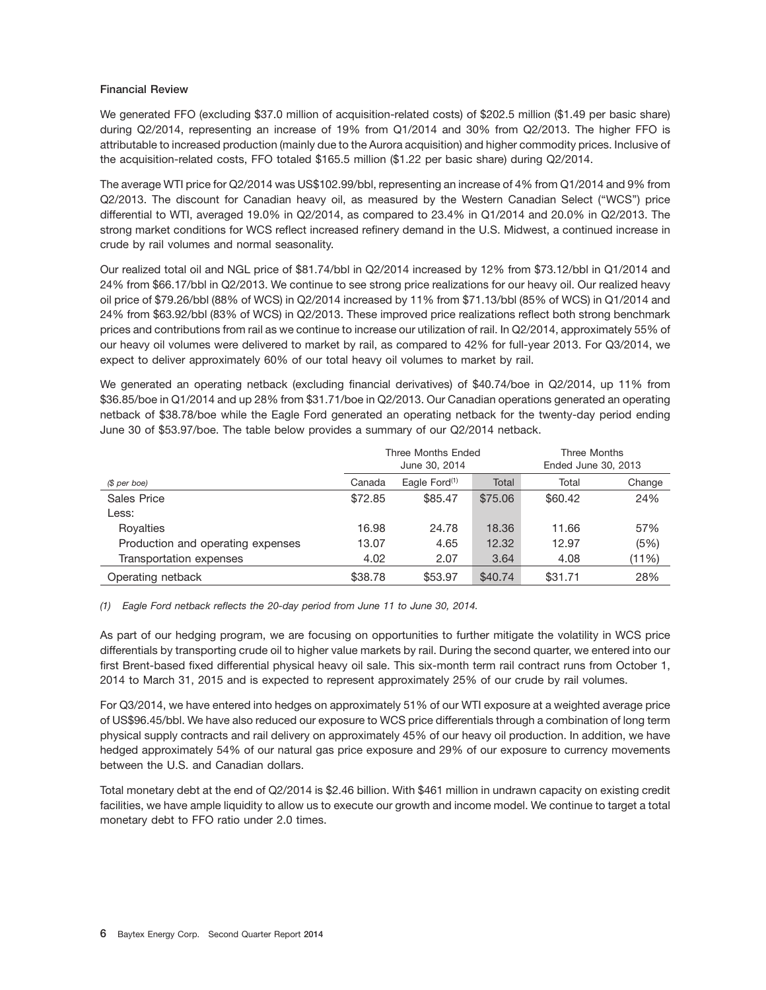### **Financial Review**

We generated FFO (excluding \$37.0 million of acquisition-related costs) of \$202.5 million (\$1.49 per basic share) during Q2/2014, representing an increase of 19% from Q1/2014 and 30% from Q2/2013. The higher FFO is attributable to increased production (mainly due to the Aurora acquisition) and higher commodity prices. Inclusive of the acquisition-related costs, FFO totaled \$165.5 million (\$1.22 per basic share) during Q2/2014.

The average WTI price for Q2/2014 was US\$102.99/bbl, representing an increase of 4% from Q1/2014 and 9% from Q2/2013. The discount for Canadian heavy oil, as measured by the Western Canadian Select (''WCS'') price differential to WTI, averaged 19.0% in Q2/2014, as compared to 23.4% in Q1/2014 and 20.0% in Q2/2013. The strong market conditions for WCS reflect increased refinery demand in the U.S. Midwest, a continued increase in crude by rail volumes and normal seasonality.

Our realized total oil and NGL price of \$81.74/bbl in Q2/2014 increased by 12% from \$73.12/bbl in Q1/2014 and 24% from \$66.17/bbl in Q2/2013. We continue to see strong price realizations for our heavy oil. Our realized heavy oil price of \$79.26/bbl (88% of WCS) in Q2/2014 increased by 11% from \$71.13/bbl (85% of WCS) in Q1/2014 and 24% from \$63.92/bbl (83% of WCS) in Q2/2013. These improved price realizations reflect both strong benchmark prices and contributions from rail as we continue to increase our utilization of rail. In Q2/2014, approximately 55% of our heavy oil volumes were delivered to market by rail, as compared to 42% for full-year 2013. For Q3/2014, we expect to deliver approximately 60% of our total heavy oil volumes to market by rail.

We generated an operating netback (excluding financial derivatives) of \$40.74/boe in Q2/2014, up 11% from \$36.85/boe in Q1/2014 and up 28% from \$31.71/boe in Q2/2013. Our Canadian operations generated an operating netback of \$38.78/boe while the Eagle Ford generated an operating netback for the twenty-day period ending June 30 of \$53.97/boe. The table below provides a summary of our Q2/2014 netback.

|                                   |         | Three Months Ended<br>June 30, 2014 | Three Months<br>Ended June 30, 2013 |         |        |
|-----------------------------------|---------|-------------------------------------|-------------------------------------|---------|--------|
| (\$ per boe)                      | Canada  | Eagle Ford <sup>(1)</sup>           | Total                               | Total   | Change |
| Sales Price                       | \$72.85 | \$85.47                             | \$75.06                             | \$60.42 | 24%    |
| Less:                             |         |                                     |                                     |         |        |
| Royalties                         | 16.98   | 24.78                               | 18.36                               | 11.66   | 57%    |
| Production and operating expenses | 13.07   | 4.65                                | 12.32                               | 12.97   | (5%)   |
| Transportation expenses           | 4.02    | 2.07                                | 3.64                                | 4.08    | (11%)  |
| Operating netback                 | \$38.78 | \$53.97                             | \$40.74                             | \$31.71 | 28%    |

*(1) Eagle Ford netback reflects the 20-day period from June 11 to June 30, 2014.*

As part of our hedging program, we are focusing on opportunities to further mitigate the volatility in WCS price differentials by transporting crude oil to higher value markets by rail. During the second quarter, we entered into our first Brent-based fixed differential physical heavy oil sale. This six-month term rail contract runs from October 1, 2014 to March 31, 2015 and is expected to represent approximately 25% of our crude by rail volumes.

For Q3/2014, we have entered into hedges on approximately 51% of our WTI exposure at a weighted average price of US\$96.45/bbl. We have also reduced our exposure to WCS price differentials through a combination of long term physical supply contracts and rail delivery on approximately 45% of our heavy oil production. In addition, we have hedged approximately 54% of our natural gas price exposure and 29% of our exposure to currency movements between the U.S. and Canadian dollars.

Total monetary debt at the end of Q2/2014 is \$2.46 billion. With \$461 million in undrawn capacity on existing credit facilities, we have ample liquidity to allow us to execute our growth and income model. We continue to target a total monetary debt to FFO ratio under 2.0 times.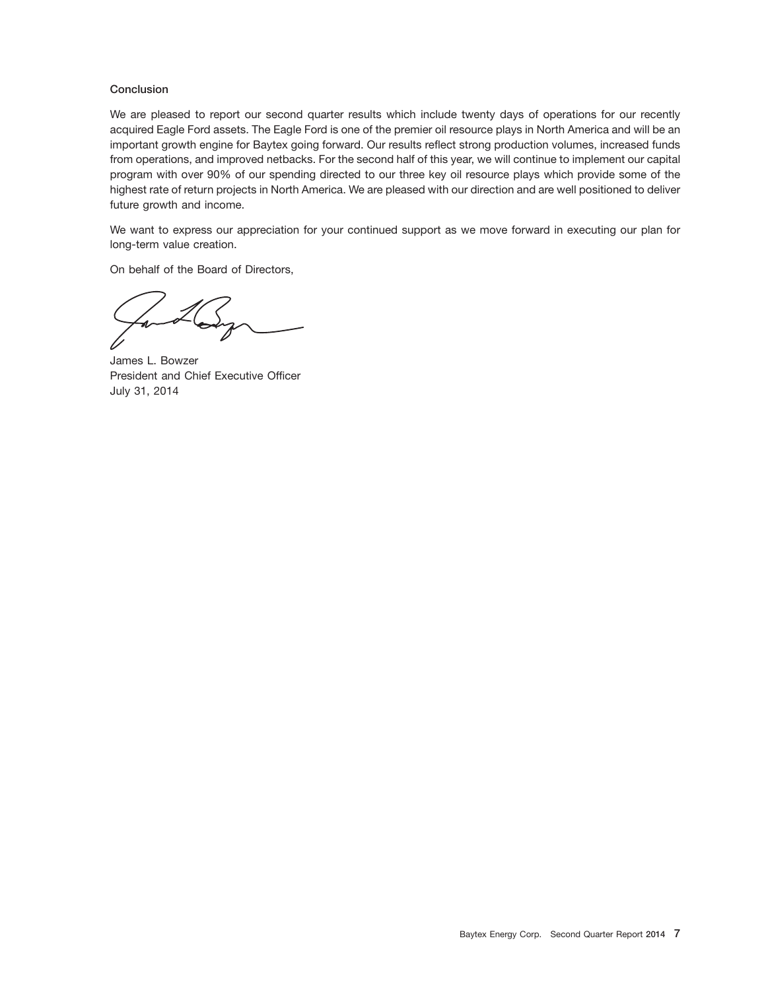### **Conclusion**

We are pleased to report our second quarter results which include twenty days of operations for our recently acquired Eagle Ford assets. The Eagle Ford is one of the premier oil resource plays in North America and will be an important growth engine for Baytex going forward. Our results reflect strong production volumes, increased funds from operations, and improved netbacks. For the second half of this year, we will continue to implement our capital program with over 90% of our spending directed to our three key oil resource plays which provide some of the highest rate of return projects in North America. We are pleased with our direction and are well positioned to deliver future growth and income.

We want to express our appreciation for your continued support as we move forward in executing our plan for long-term value creation.

On behalf of the Board of Directors,

James L. Bowzer President and Chief Executive Officer July 31, 2014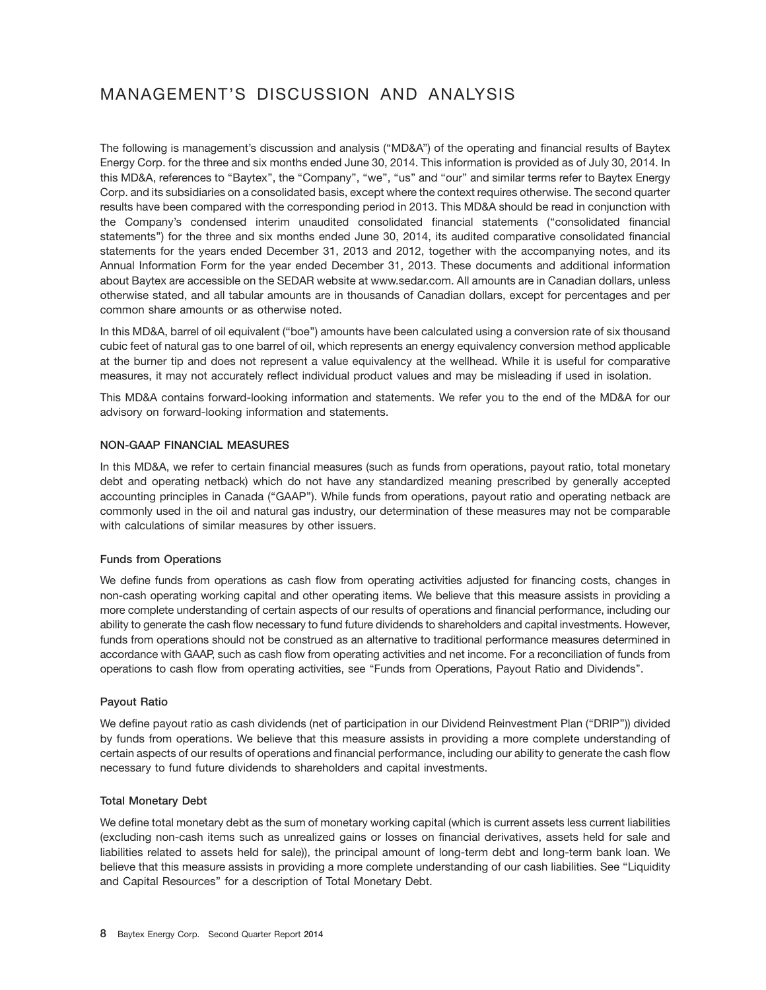# MANAGEMENT'S DISCUSSION AND ANALYSIS

The following is management's discussion and analysis (''MD&A'') of the operating and financial results of Baytex Energy Corp. for the three and six months ended June 30, 2014. This information is provided as of July 30, 2014. In this MD&A, references to "Baytex", the "Company", "we", "us" and "our" and similar terms refer to Baytex Energy Corp. and its subsidiaries on a consolidated basis, except where the context requires otherwise. The second quarter results have been compared with the corresponding period in 2013. This MD&A should be read in conjunction with the Company's condensed interim unaudited consolidated financial statements (''consolidated financial statements'') for the three and six months ended June 30, 2014, its audited comparative consolidated financial statements for the years ended December 31, 2013 and 2012, together with the accompanying notes, and its Annual Information Form for the year ended December 31, 2013. These documents and additional information about Baytex are accessible on the SEDAR website at www.sedar.com. All amounts are in Canadian dollars, unless otherwise stated, and all tabular amounts are in thousands of Canadian dollars, except for percentages and per common share amounts or as otherwise noted.

In this MD&A, barrel of oil equivalent (''boe'') amounts have been calculated using a conversion rate of six thousand cubic feet of natural gas to one barrel of oil, which represents an energy equivalency conversion method applicable at the burner tip and does not represent a value equivalency at the wellhead. While it is useful for comparative measures, it may not accurately reflect individual product values and may be misleading if used in isolation.

This MD&A contains forward-looking information and statements. We refer you to the end of the MD&A for our advisory on forward-looking information and statements.

### **NON-GAAP FINANCIAL MEASURES**

In this MD&A, we refer to certain financial measures (such as funds from operations, payout ratio, total monetary debt and operating netback) which do not have any standardized meaning prescribed by generally accepted accounting principles in Canada (''GAAP''). While funds from operations, payout ratio and operating netback are commonly used in the oil and natural gas industry, our determination of these measures may not be comparable with calculations of similar measures by other issuers.

### **Funds from Operations**

We define funds from operations as cash flow from operating activities adjusted for financing costs, changes in non-cash operating working capital and other operating items. We believe that this measure assists in providing a more complete understanding of certain aspects of our results of operations and financial performance, including our ability to generate the cash flow necessary to fund future dividends to shareholders and capital investments. However, funds from operations should not be construed as an alternative to traditional performance measures determined in accordance with GAAP, such as cash flow from operating activities and net income. For a reconciliation of funds from operations to cash flow from operating activities, see ''Funds from Operations, Payout Ratio and Dividends''.

### **Payout Ratio**

We define payout ratio as cash dividends (net of participation in our Dividend Reinvestment Plan (''DRIP'')) divided by funds from operations. We believe that this measure assists in providing a more complete understanding of certain aspects of our results of operations and financial performance, including our ability to generate the cash flow necessary to fund future dividends to shareholders and capital investments.

### **Total Monetary Debt**

We define total monetary debt as the sum of monetary working capital (which is current assets less current liabilities (excluding non-cash items such as unrealized gains or losses on financial derivatives, assets held for sale and liabilities related to assets held for sale)), the principal amount of long-term debt and long-term bank loan. We believe that this measure assists in providing a more complete understanding of our cash liabilities. See "Liquidity and Capital Resources'' for a description of Total Monetary Debt.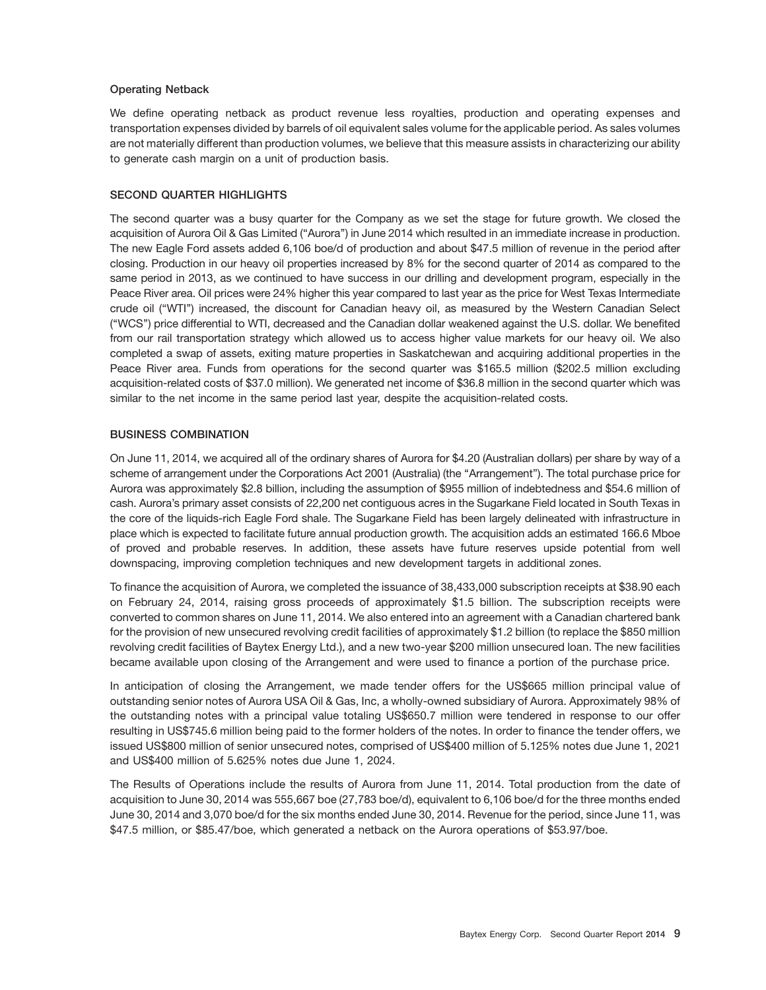### **Operating Netback**

We define operating netback as product revenue less royalties, production and operating expenses and transportation expenses divided by barrels of oil equivalent sales volume for the applicable period. As sales volumes are not materially different than production volumes, we believe that this measure assists in characterizing our ability to generate cash margin on a unit of production basis.

### **SECOND QUARTER HIGHLIGHTS**

The second quarter was a busy quarter for the Company as we set the stage for future growth. We closed the acquisition of Aurora Oil & Gas Limited (''Aurora'') in June 2014 which resulted in an immediate increase in production. The new Eagle Ford assets added 6,106 boe/d of production and about \$47.5 million of revenue in the period after closing. Production in our heavy oil properties increased by 8% for the second quarter of 2014 as compared to the same period in 2013, as we continued to have success in our drilling and development program, especially in the Peace River area. Oil prices were 24% higher this year compared to last year as the price for West Texas Intermediate crude oil (''WTI'') increased, the discount for Canadian heavy oil, as measured by the Western Canadian Select (''WCS'') price differential to WTI, decreased and the Canadian dollar weakened against the U.S. dollar. We benefited from our rail transportation strategy which allowed us to access higher value markets for our heavy oil. We also completed a swap of assets, exiting mature properties in Saskatchewan and acquiring additional properties in the Peace River area. Funds from operations for the second quarter was \$165.5 million (\$202.5 million excluding acquisition-related costs of \$37.0 million). We generated net income of \$36.8 million in the second quarter which was similar to the net income in the same period last year, despite the acquisition-related costs.

### **BUSINESS COMBINATION**

On June 11, 2014, we acquired all of the ordinary shares of Aurora for \$4.20 (Australian dollars) per share by way of a scheme of arrangement under the Corporations Act 2001 (Australia) (the "Arrangement"). The total purchase price for Aurora was approximately \$2.8 billion, including the assumption of \$955 million of indebtedness and \$54.6 million of cash. Aurora's primary asset consists of 22,200 net contiguous acres in the Sugarkane Field located in South Texas in the core of the liquids-rich Eagle Ford shale. The Sugarkane Field has been largely delineated with infrastructure in place which is expected to facilitate future annual production growth. The acquisition adds an estimated 166.6 Mboe of proved and probable reserves. In addition, these assets have future reserves upside potential from well downspacing, improving completion techniques and new development targets in additional zones.

To finance the acquisition of Aurora, we completed the issuance of 38,433,000 subscription receipts at \$38.90 each on February 24, 2014, raising gross proceeds of approximately \$1.5 billion. The subscription receipts were converted to common shares on June 11, 2014. We also entered into an agreement with a Canadian chartered bank for the provision of new unsecured revolving credit facilities of approximately \$1.2 billion (to replace the \$850 million revolving credit facilities of Baytex Energy Ltd.), and a new two-year \$200 million unsecured loan. The new facilities became available upon closing of the Arrangement and were used to finance a portion of the purchase price.

In anticipation of closing the Arrangement, we made tender offers for the US\$665 million principal value of outstanding senior notes of Aurora USA Oil & Gas, Inc, a wholly-owned subsidiary of Aurora. Approximately 98% of the outstanding notes with a principal value totaling US\$650.7 million were tendered in response to our offer resulting in US\$745.6 million being paid to the former holders of the notes. In order to finance the tender offers, we issued US\$800 million of senior unsecured notes, comprised of US\$400 million of 5.125% notes due June 1, 2021 and US\$400 million of 5.625% notes due June 1, 2024.

The Results of Operations include the results of Aurora from June 11, 2014. Total production from the date of acquisition to June 30, 2014 was 555,667 boe (27,783 boe/d), equivalent to 6,106 boe/d for the three months ended June 30, 2014 and 3,070 boe/d for the six months ended June 30, 2014. Revenue for the period, since June 11, was \$47.5 million, or \$85.47/boe, which generated a netback on the Aurora operations of \$53.97/boe.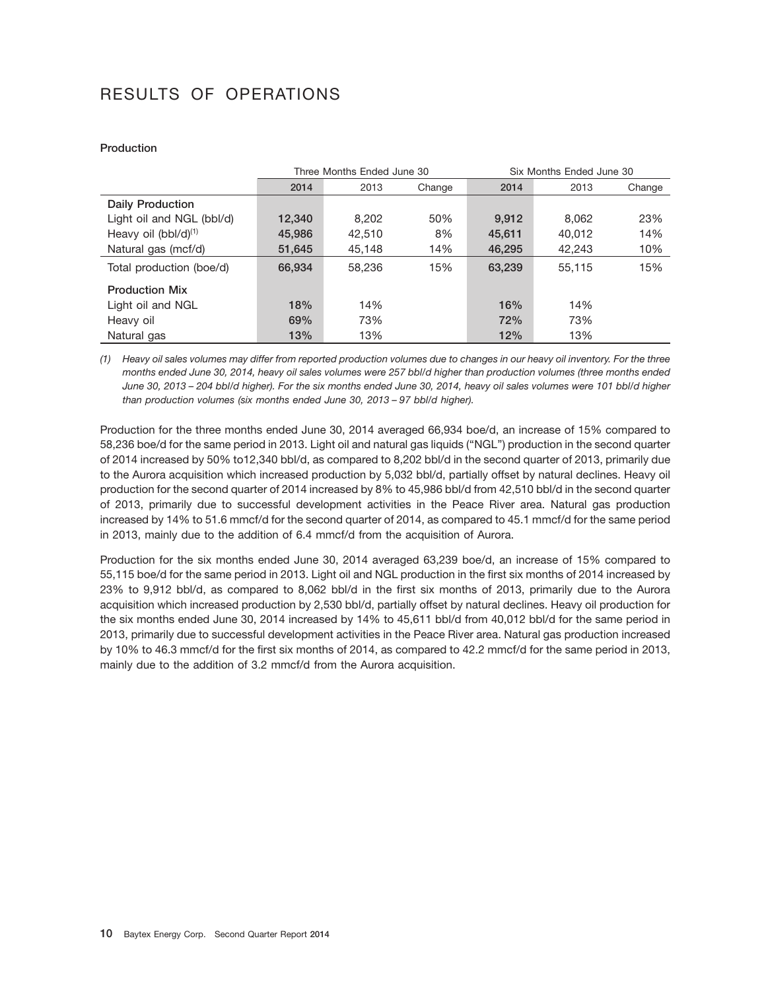# RESULTS OF OPERATIONS

### **Production**

|                           |        | Three Months Ended June 30 |        | Six Months Ended June 30 |        |        |  |  |
|---------------------------|--------|----------------------------|--------|--------------------------|--------|--------|--|--|
|                           | 2014   | 2013                       | Change | 2014                     | 2013   | Change |  |  |
| <b>Daily Production</b>   |        |                            |        |                          |        |        |  |  |
| Light oil and NGL (bbl/d) | 12,340 | 8.202                      | 50%    | 9,912                    | 8.062  | 23%    |  |  |
| Heavy oil $(bbI/d)^{(1)}$ | 45,986 | 42,510                     | 8%     | 45,611                   | 40,012 | 14%    |  |  |
| Natural gas (mcf/d)       | 51.645 | 45,148                     | 14%    | 46,295                   | 42.243 | 10%    |  |  |
| Total production (boe/d)  | 66,934 | 58,236                     | 15%    | 63,239                   | 55,115 | 15%    |  |  |
| <b>Production Mix</b>     |        |                            |        |                          |        |        |  |  |
| Light oil and NGL         | 18%    | 14%                        |        | 16%                      | 14%    |        |  |  |
| Heavy oil                 | 69%    | 73%                        |        | 72%                      | 73%    |        |  |  |
| Natural gas               | 13%    | 13%                        |        | 12%                      | 13%    |        |  |  |

*(1) Heavy oil sales volumes may differ from reported production volumes due to changes in our heavy oil inventory. For the three months ended June 30, 2014, heavy oil sales volumes were 257 bbl/d higher than production volumes (three months ended June 30, 2013 – 204 bbl/d higher). For the six months ended June 30, 2014, heavy oil sales volumes were 101 bbl/d higher than production volumes (six months ended June 30, 2013 – 97 bbl/d higher).*

Production for the three months ended June 30, 2014 averaged 66,934 boe/d, an increase of 15% compared to 58,236 boe/d for the same period in 2013. Light oil and natural gas liquids (''NGL'') production in the second quarter of 2014 increased by 50% to12,340 bbl/d, as compared to 8,202 bbl/d in the second quarter of 2013, primarily due to the Aurora acquisition which increased production by 5,032 bbl/d, partially offset by natural declines. Heavy oil production for the second quarter of 2014 increased by 8% to 45,986 bbl/d from 42,510 bbl/d in the second quarter of 2013, primarily due to successful development activities in the Peace River area. Natural gas production increased by 14% to 51.6 mmcf/d for the second quarter of 2014, as compared to 45.1 mmcf/d for the same period in 2013, mainly due to the addition of 6.4 mmcf/d from the acquisition of Aurora.

Production for the six months ended June 30, 2014 averaged 63,239 boe/d, an increase of 15% compared to 55,115 boe/d for the same period in 2013. Light oil and NGL production in the first six months of 2014 increased by 23% to 9,912 bbl/d, as compared to 8,062 bbl/d in the first six months of 2013, primarily due to the Aurora acquisition which increased production by 2,530 bbl/d, partially offset by natural declines. Heavy oil production for the six months ended June 30, 2014 increased by 14% to 45,611 bbl/d from 40,012 bbl/d for the same period in 2013, primarily due to successful development activities in the Peace River area. Natural gas production increased by 10% to 46.3 mmcf/d for the first six months of 2014, as compared to 42.2 mmcf/d for the same period in 2013, mainly due to the addition of 3.2 mmcf/d from the Aurora acquisition.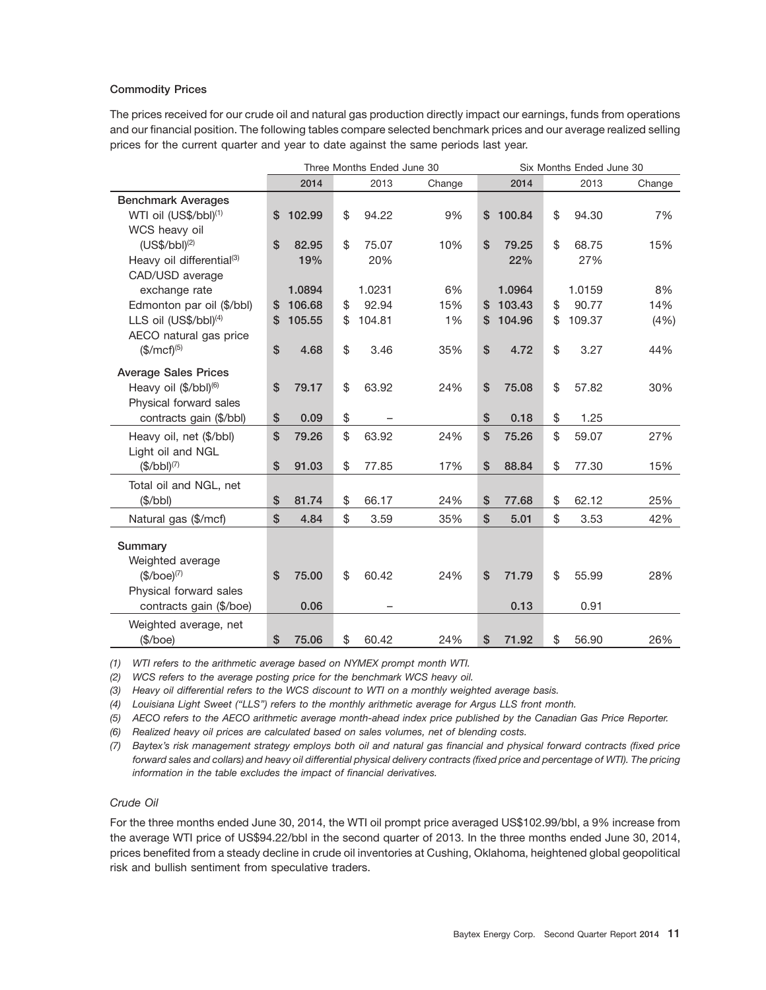### **Commodity Prices**

The prices received for our crude oil and natural gas production directly impact our earnings, funds from operations and our financial position. The following tables compare selected benchmark prices and our average realized selling prices for the current quarter and year to date against the same periods last year.

|                                       |               |        | Three Months Ended June 30 |        | Six Months Ended June 30 |        |    |        |        |  |
|---------------------------------------|---------------|--------|----------------------------|--------|--------------------------|--------|----|--------|--------|--|
|                                       |               | 2014   | 2013                       | Change |                          | 2014   |    | 2013   | Change |  |
| <b>Benchmark Averages</b>             |               |        |                            |        |                          |        |    |        |        |  |
| WTI oil (US\$/bbl) <sup>(1)</sup>     | \$            | 102.99 | \$<br>94.22                | 9%     | \$                       | 100.84 | \$ | 94.30  | 7%     |  |
| WCS heavy oil                         |               |        |                            |        |                          |        |    |        |        |  |
| (US\$/bbI) <sup>(2)</sup>             | \$            | 82.95  | \$<br>75.07                | 10%    | \$                       | 79.25  | \$ | 68.75  | 15%    |  |
| Heavy oil differential <sup>(3)</sup> |               | 19%    | 20%                        |        |                          | 22%    |    | 27%    |        |  |
| CAD/USD average                       |               |        |                            |        |                          |        |    |        |        |  |
| exchange rate                         |               | 1.0894 | 1.0231                     | 6%     |                          | 1.0964 |    | 1.0159 | 8%     |  |
| Edmonton par oil (\$/bbl)             | \$            | 106.68 | \$<br>92.94                | 15%    | S                        | 103.43 | \$ | 90.77  | 14%    |  |
| LLS oil (US\$/bbl) <sup>(4)</sup>     | \$            | 105.55 | \$<br>104.81               | 1%     | \$                       | 104.96 | \$ | 109.37 | (4% )  |  |
| AECO natural gas price                |               |        |                            |        |                          |        |    |        |        |  |
| $($/mcf)^{(5)}$                       | \$            | 4.68   | \$<br>3.46                 | 35%    | \$                       | 4.72   | \$ | 3.27   | 44%    |  |
| <b>Average Sales Prices</b>           |               |        |                            |        |                          |        |    |        |        |  |
| Heavy oil (\$/bbl) <sup>(6)</sup>     | $\mathbf{\$}$ | 79.17  | \$<br>63.92                | 24%    | \$                       | 75.08  | \$ | 57.82  | 30%    |  |
| Physical forward sales                |               |        |                            |        |                          |        |    |        |        |  |
| contracts gain (\$/bbl)               | \$            | 0.09   | \$                         |        | \$                       | 0.18   | \$ | 1.25   |        |  |
| Heavy oil, net (\$/bbl)               | \$            | 79.26  | \$<br>63.92                | 24%    | \$                       | 75.26  | \$ | 59.07  | 27%    |  |
| Light oil and NGL                     |               |        |                            |        |                          |        |    |        |        |  |
| $($/bb1)^{(7)}$                       | \$            | 91.03  | \$<br>77.85                | 17%    | \$                       | 88.84  | \$ | 77.30  | 15%    |  |
| Total oil and NGL, net                |               |        |                            |        |                          |        |    |        |        |  |
| (S/bbl)                               | \$            | 81.74  | \$<br>66.17                | 24%    | \$                       | 77.68  | \$ | 62.12  | 25%    |  |
| Natural gas (\$/mcf)                  | \$            | 4.84   | \$<br>3.59                 | 35%    | \$                       | 5.01   | \$ | 3.53   | 42%    |  |
|                                       |               |        |                            |        |                          |        |    |        |        |  |
| Summary                               |               |        |                            |        |                          |        |    |        |        |  |
| Weighted average                      |               |        |                            |        |                          |        |    |        |        |  |
| $($/boe)^{(7)}$                       | $\mathbf{\$}$ | 75.00  | \$<br>60.42                | 24%    | \$                       | 71.79  | \$ | 55.99  | 28%    |  |
| Physical forward sales                |               |        |                            |        |                          |        |    |        |        |  |
| contracts gain (\$/boe)               |               | 0.06   |                            |        |                          | 0.13   |    | 0.91   |        |  |
| Weighted average, net                 |               |        |                            |        |                          |        |    |        |        |  |
| (\$/boe)                              | \$            | 75.06  | \$<br>60.42                | 24%    | \$                       | 71.92  | \$ | 56.90  | 26%    |  |

*(1) WTI refers to the arithmetic average based on NYMEX prompt month WTI.*

*(2) WCS refers to the average posting price for the benchmark WCS heavy oil.*

*(3) Heavy oil differential refers to the WCS discount to WTI on a monthly weighted average basis.*

*(4) Louisiana Light Sweet (''LLS'') refers to the monthly arithmetic average for Argus LLS front month.*

*(5) AECO refers to the AECO arithmetic average month-ahead index price published by the Canadian Gas Price Reporter.*

*(6) Realized heavy oil prices are calculated based on sales volumes, net of blending costs.*

*(7) Baytex's risk management strategy employs both oil and natural gas financial and physical forward contracts (fixed price forward sales and collars) and heavy oil differential physical delivery contracts (fixed price and percentage of WTI). The pricing information in the table excludes the impact of financial derivatives.*

### *Crude Oil*

For the three months ended June 30, 2014, the WTI oil prompt price averaged US\$102.99/bbl, a 9% increase from the average WTI price of US\$94.22/bbl in the second quarter of 2013. In the three months ended June 30, 2014, prices benefited from a steady decline in crude oil inventories at Cushing, Oklahoma, heightened global geopolitical risk and bullish sentiment from speculative traders.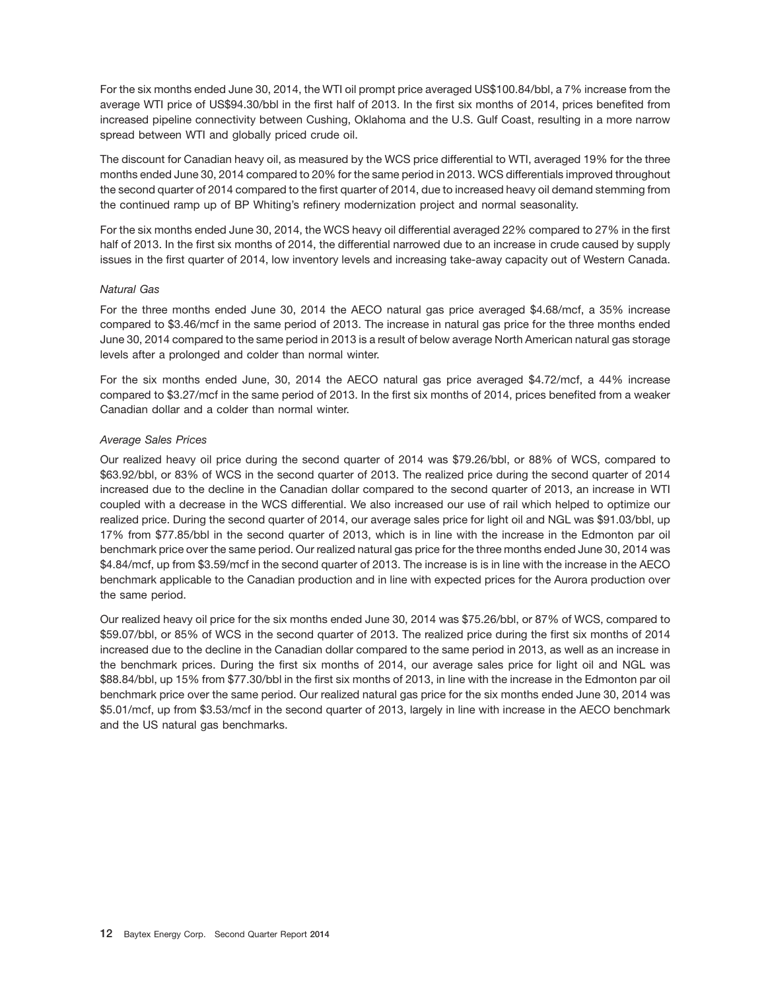For the six months ended June 30, 2014, the WTI oil prompt price averaged US\$100.84/bbl, a 7% increase from the average WTI price of US\$94.30/bbl in the first half of 2013. In the first six months of 2014, prices benefited from increased pipeline connectivity between Cushing, Oklahoma and the U.S. Gulf Coast, resulting in a more narrow spread between WTI and globally priced crude oil.

The discount for Canadian heavy oil, as measured by the WCS price differential to WTI, averaged 19% for the three months ended June 30, 2014 compared to 20% for the same period in 2013. WCS differentials improved throughout the second quarter of 2014 compared to the first quarter of 2014, due to increased heavy oil demand stemming from the continued ramp up of BP Whiting's refinery modernization project and normal seasonality.

For the six months ended June 30, 2014, the WCS heavy oil differential averaged 22% compared to 27% in the first half of 2013. In the first six months of 2014, the differential narrowed due to an increase in crude caused by supply issues in the first quarter of 2014, low inventory levels and increasing take-away capacity out of Western Canada.

### *Natural Gas*

For the three months ended June 30, 2014 the AECO natural gas price averaged \$4.68/mcf, a 35% increase compared to \$3.46/mcf in the same period of 2013. The increase in natural gas price for the three months ended June 30, 2014 compared to the same period in 2013 is a result of below average North American natural gas storage levels after a prolonged and colder than normal winter.

For the six months ended June, 30, 2014 the AECO natural gas price averaged \$4.72/mcf, a 44% increase compared to \$3.27/mcf in the same period of 2013. In the first six months of 2014, prices benefited from a weaker Canadian dollar and a colder than normal winter.

### *Average Sales Prices*

Our realized heavy oil price during the second quarter of 2014 was \$79.26/bbl, or 88% of WCS, compared to \$63.92/bbl, or 83% of WCS in the second quarter of 2013. The realized price during the second quarter of 2014 increased due to the decline in the Canadian dollar compared to the second quarter of 2013, an increase in WTI coupled with a decrease in the WCS differential. We also increased our use of rail which helped to optimize our realized price. During the second quarter of 2014, our average sales price for light oil and NGL was \$91.03/bbl, up 17% from \$77.85/bbl in the second quarter of 2013, which is in line with the increase in the Edmonton par oil benchmark price over the same period. Our realized natural gas price for the three months ended June 30, 2014 was \$4.84/mcf, up from \$3.59/mcf in the second quarter of 2013. The increase is is in line with the increase in the AECO benchmark applicable to the Canadian production and in line with expected prices for the Aurora production over the same period.

Our realized heavy oil price for the six months ended June 30, 2014 was \$75.26/bbl, or 87% of WCS, compared to \$59.07/bbl, or 85% of WCS in the second quarter of 2013. The realized price during the first six months of 2014 increased due to the decline in the Canadian dollar compared to the same period in 2013, as well as an increase in the benchmark prices. During the first six months of 2014, our average sales price for light oil and NGL was \$88.84/bbl, up 15% from \$77.30/bbl in the first six months of 2013, in line with the increase in the Edmonton par oil benchmark price over the same period. Our realized natural gas price for the six months ended June 30, 2014 was \$5.01/mcf, up from \$3.53/mcf in the second quarter of 2013, largely in line with increase in the AECO benchmark and the US natural gas benchmarks.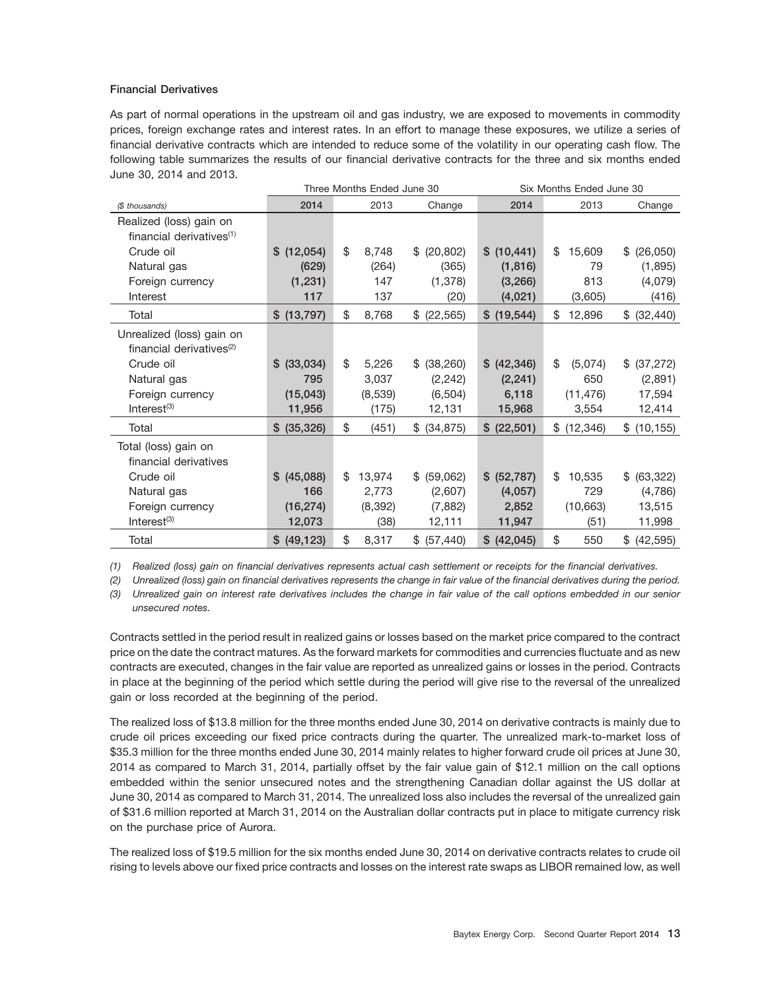### **Financial Derivatives**

As part of normal operations in the upstream oil and gas industry, we are exposed to movements in commodity prices, foreign exchange rates and interest rates. In an effort to manage these exposures, we utilize a series of financial derivative contracts which are intended to reduce some of the volatility in our operating cash flow. The following table summarizes the results of our financial derivative contracts for the three and six months ended June 30, 2014 and 2013.

|                                      |                 | Three Months Ended June 30 |                 | Six Months Ended June 30 |                 |                 |  |  |
|--------------------------------------|-----------------|----------------------------|-----------------|--------------------------|-----------------|-----------------|--|--|
| (\$ thousands)                       | 2014            | 2013                       | Change          | 2014                     | 2013            | Change          |  |  |
| Realized (loss) gain on              |                 |                            |                 |                          |                 |                 |  |  |
| financial derivatives <sup>(1)</sup> |                 |                            |                 |                          |                 |                 |  |  |
| Crude oil                            | \$ (12,054)     | \$<br>8,748                | \$ (20,802)     | \$ (10, 441)             | \$<br>15,609    | \$<br>(26,050)  |  |  |
| Natural gas                          | (629)           | (264)                      | (365)           | (1, 816)                 | 79              | (1,895)         |  |  |
| Foreign currency                     | (1, 231)        | 147                        | (1, 378)        | (3,266)                  | 813             | (4,079)         |  |  |
| Interest                             | 117             | 137                        | (20)            | (4,021)                  | (3,605)         | (416)           |  |  |
| Total                                | \$(13,797)      | \$<br>8,768                | \$<br>(22, 565) | (19, 544)<br>\$          | \$<br>12,896    | \$<br>(32, 440) |  |  |
| Unrealized (loss) gain on            |                 |                            |                 |                          |                 |                 |  |  |
| financial derivatives <sup>(2)</sup> |                 |                            |                 |                          |                 |                 |  |  |
| Crude oil                            | \$ (33,034)     | \$<br>5,226                | (38, 260)<br>\$ | (42, 346)<br>\$          | \$<br>(5,074)   | \$<br>(37, 272) |  |  |
| Natural gas                          | 795             | 3,037                      | (2, 242)        | (2, 241)                 | 650             | (2,891)         |  |  |
| Foreign currency                     | (15, 043)       | (8,539)                    | (6,504)         | 6,118                    | (11, 476)       | 17,594          |  |  |
| Interest <sup>(3)</sup>              | 11,956          | (175)                      | 12,131          | 15,968                   | 3,554           | 12,414          |  |  |
| Total                                | (35, 326)<br>\$ | \$<br>(451)                | \$<br>(34, 875) | (22, 501)<br>\$          | \$<br>(12, 346) | \$<br>(10, 155) |  |  |
| Total (loss) gain on                 |                 |                            |                 |                          |                 |                 |  |  |
| financial derivatives                |                 |                            |                 |                          |                 |                 |  |  |
| Crude oil                            | (45,088)<br>\$  | \$<br>13,974               | \$ (59,062)     | (52, 787)<br>\$          | \$<br>10,535    | (63, 322)<br>\$ |  |  |
| Natural gas                          | 166             | 2,773                      | (2,607)         | (4,057)                  | 729             | (4,786)         |  |  |
| Foreign currency                     | (16, 274)       | (8, 392)                   | (7, 882)        | 2,852                    | (10, 663)       | 13,515          |  |  |
| Interest <sup>(3)</sup>              | 12,073          | (38)                       | 12,111          | 11,947                   | (51)            | 11,998          |  |  |
| Total                                | \$ (49, 123)    | \$<br>8,317                | \$<br>(57, 440) | (42, 045)<br>S           | \$<br>550       | \$<br>(42, 595) |  |  |

*(1) Realized (loss) gain on financial derivatives represents actual cash settlement or receipts for the financial derivatives.*

*(2) Unrealized (loss) gain on financial derivatives represents the change in fair value of the financial derivatives during the period.*

*(3) Unrealized gain on interest rate derivatives includes the change in fair value of the call options embedded in our senior unsecured notes.*

Contracts settled in the period result in realized gains or losses based on the market price compared to the contract price on the date the contract matures. As the forward markets for commodities and currencies fluctuate and as new contracts are executed, changes in the fair value are reported as unrealized gains or losses in the period. Contracts in place at the beginning of the period which settle during the period will give rise to the reversal of the unrealized gain or loss recorded at the beginning of the period.

The realized loss of \$13.8 million for the three months ended June 30, 2014 on derivative contracts is mainly due to crude oil prices exceeding our fixed price contracts during the quarter. The unrealized mark-to-market loss of \$35.3 million for the three months ended June 30, 2014 mainly relates to higher forward crude oil prices at June 30, 2014 as compared to March 31, 2014, partially offset by the fair value gain of \$12.1 million on the call options embedded within the senior unsecured notes and the strengthening Canadian dollar against the US dollar at June 30, 2014 as compared to March 31, 2014. The unrealized loss also includes the reversal of the unrealized gain of \$31.6 million reported at March 31, 2014 on the Australian dollar contracts put in place to mitigate currency risk on the purchase price of Aurora.

The realized loss of \$19.5 million for the six months ended June 30, 2014 on derivative contracts relates to crude oil rising to levels above our fixed price contracts and losses on the interest rate swaps as LIBOR remained low, as well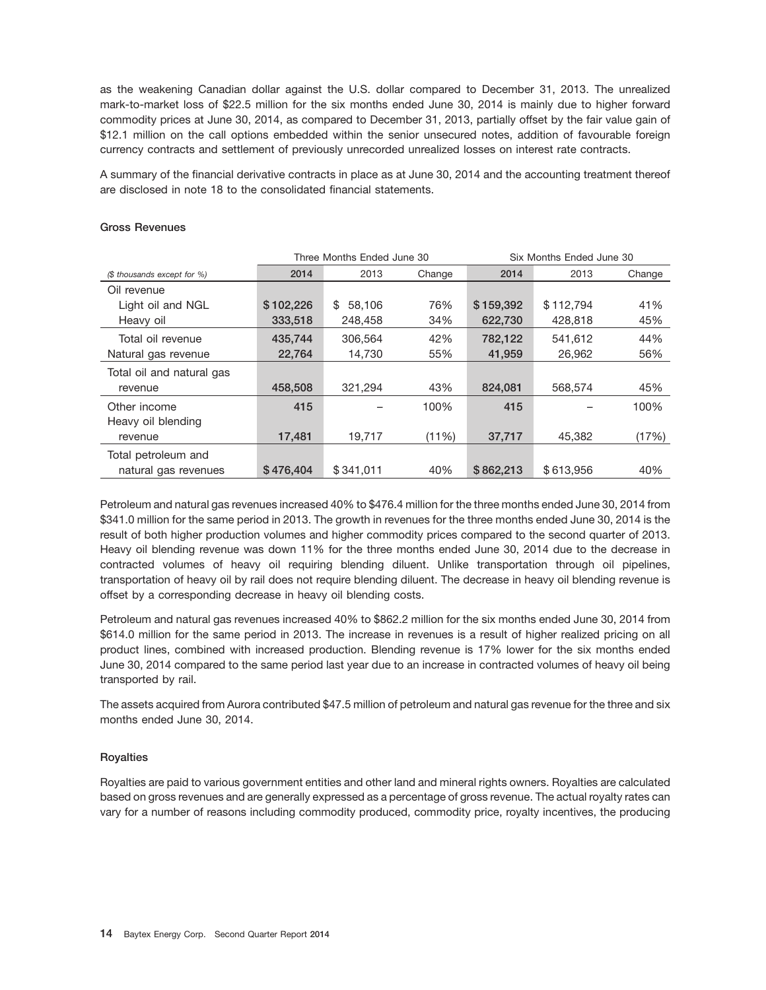as the weakening Canadian dollar against the U.S. dollar compared to December 31, 2013. The unrealized mark-to-market loss of \$22.5 million for the six months ended June 30, 2014 is mainly due to higher forward commodity prices at June 30, 2014, as compared to December 31, 2013, partially offset by the fair value gain of \$12.1 million on the call options embedded within the senior unsecured notes, addition of favourable foreign currency contracts and settlement of previously unrecorded unrealized losses on interest rate contracts.

A summary of the financial derivative contracts in place as at June 30, 2014 and the accounting treatment thereof are disclosed in note 18 to the consolidated financial statements.

|                             |           | Three Months Ended June 30 |        | Six Months Ended June 30 |           |        |  |  |
|-----------------------------|-----------|----------------------------|--------|--------------------------|-----------|--------|--|--|
| (\$ thousands except for %) | 2014      | 2013                       | Change | 2014                     | 2013      | Change |  |  |
| Oil revenue                 |           |                            |        |                          |           |        |  |  |
| Light oil and NGL           | \$102,226 | 58.106<br>\$               | 76%    | \$159,392                | \$112,794 | 41%    |  |  |
| Heavy oil                   | 333,518   | 248,458                    | 34%    | 622,730                  | 428,818   | 45%    |  |  |
| Total oil revenue           | 435,744   | 306,564                    | 42%    | 782,122                  | 541,612   | 44%    |  |  |
| Natural gas revenue         | 22,764    | 14,730                     | 55%    | 41,959                   | 26,962    | 56%    |  |  |
| Total oil and natural gas   |           |                            |        |                          |           |        |  |  |
| revenue                     | 458,508   | 321,294                    | 43%    | 824,081                  | 568,574   | 45%    |  |  |
| Other income                | 415       |                            | 100%   | 415                      |           | 100%   |  |  |
| Heavy oil blending          |           |                            |        |                          |           |        |  |  |
| revenue                     | 17,481    | 19.717                     | (11%)  | 37,717                   | 45.382    | (17%)  |  |  |
| Total petroleum and         |           |                            |        |                          |           |        |  |  |
| natural gas revenues        | \$476,404 | \$341.011                  | 40%    | \$862,213                | \$613,956 | 40%    |  |  |

### **Gross Revenues**

Petroleum and natural gas revenues increased 40% to \$476.4 million for the three months ended June 30, 2014 from \$341.0 million for the same period in 2013. The growth in revenues for the three months ended June 30, 2014 is the result of both higher production volumes and higher commodity prices compared to the second quarter of 2013. Heavy oil blending revenue was down 11% for the three months ended June 30, 2014 due to the decrease in contracted volumes of heavy oil requiring blending diluent. Unlike transportation through oil pipelines, transportation of heavy oil by rail does not require blending diluent. The decrease in heavy oil blending revenue is offset by a corresponding decrease in heavy oil blending costs.

Petroleum and natural gas revenues increased 40% to \$862.2 million for the six months ended June 30, 2014 from \$614.0 million for the same period in 2013. The increase in revenues is a result of higher realized pricing on all product lines, combined with increased production. Blending revenue is 17% lower for the six months ended June 30, 2014 compared to the same period last year due to an increase in contracted volumes of heavy oil being transported by rail.

The assets acquired from Aurora contributed \$47.5 million of petroleum and natural gas revenue for the three and six months ended June 30, 2014.

### **Royalties**

Royalties are paid to various government entities and other land and mineral rights owners. Royalties are calculated based on gross revenues and are generally expressed as a percentage of gross revenue. The actual royalty rates can vary for a number of reasons including commodity produced, commodity price, royalty incentives, the producing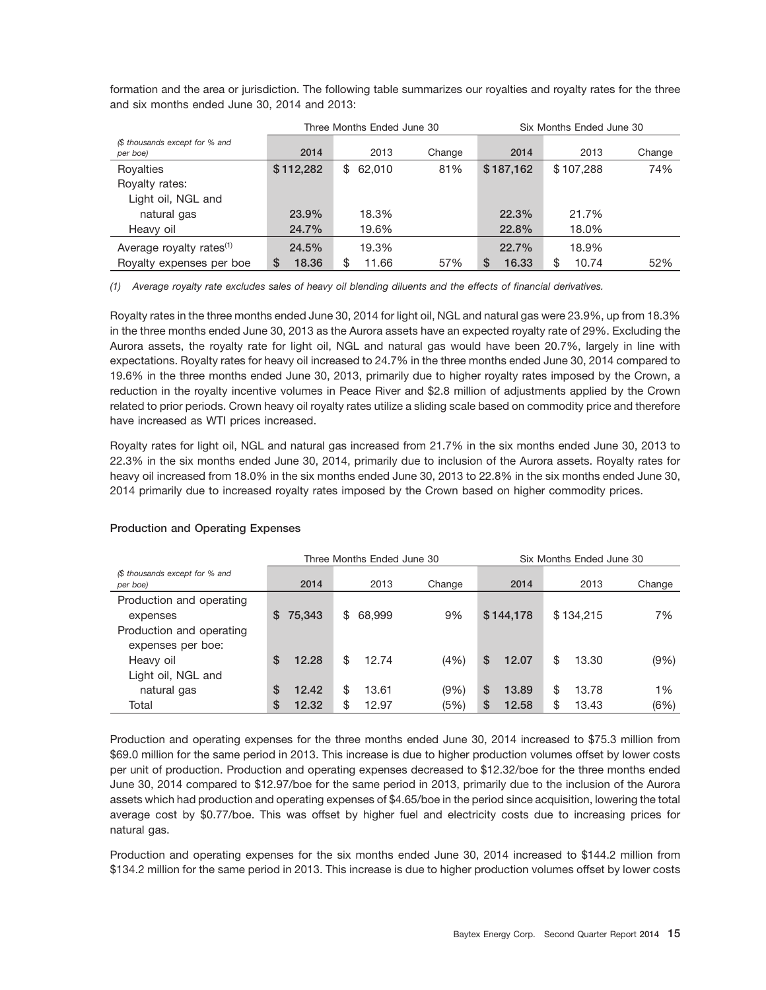formation and the area or jurisdiction. The following table summarizes our royalties and royalty rates for the three and six months ended June 30, 2014 and 2013:

|                                            |            | Three Months Ended June 30 |        | Six Months Ended June 30 |             |        |  |  |
|--------------------------------------------|------------|----------------------------|--------|--------------------------|-------------|--------|--|--|
| (\$ thousands except for % and<br>per boe) | 2014       | 2013                       | Change | 2014                     | 2013        | Change |  |  |
| Royalties                                  | \$112,282  | 62,010<br>\$               | 81%    | \$187,162                | \$107.288   | 74%    |  |  |
| Royalty rates:                             |            |                            |        |                          |             |        |  |  |
| Light oil, NGL and                         |            |                            |        |                          |             |        |  |  |
| natural gas                                | 23.9%      | 18.3%                      |        | 22.3%                    | 21.7%       |        |  |  |
| Heavy oil                                  | 24.7%      | 19.6%                      |        | 22.8%                    | 18.0%       |        |  |  |
| Average royalty rates <sup>(1)</sup>       | 24.5%      | 19.3%                      |        | 22.7%                    | 18.9%       |        |  |  |
| Royalty expenses per boe                   | 18.36<br>S | \$<br>11.66                | 57%    | 16.33                    | \$<br>10.74 | 52%    |  |  |

*(1) Average royalty rate excludes sales of heavy oil blending diluents and the effects of financial derivatives.*

Royalty rates in the three months ended June 30, 2014 for light oil, NGL and natural gas were 23.9%, up from 18.3% in the three months ended June 30, 2013 as the Aurora assets have an expected royalty rate of 29%. Excluding the Aurora assets, the royalty rate for light oil, NGL and natural gas would have been 20.7%, largely in line with expectations. Royalty rates for heavy oil increased to 24.7% in the three months ended June 30, 2014 compared to 19.6% in the three months ended June 30, 2013, primarily due to higher royalty rates imposed by the Crown, a reduction in the royalty incentive volumes in Peace River and \$2.8 million of adjustments applied by the Crown related to prior periods. Crown heavy oil royalty rates utilize a sliding scale based on commodity price and therefore have increased as WTI prices increased.

Royalty rates for light oil, NGL and natural gas increased from 21.7% in the six months ended June 30, 2013 to 22.3% in the six months ended June 30, 2014, primarily due to inclusion of the Aurora assets. Royalty rates for heavy oil increased from 18.0% in the six months ended June 30, 2013 to 22.8% in the six months ended June 30, 2014 primarily due to increased royalty rates imposed by the Crown based on higher commodity prices.

|                                            |             | Three Months Ended June 30 |        | Six Months Ended June 30 |             |        |  |  |
|--------------------------------------------|-------------|----------------------------|--------|--------------------------|-------------|--------|--|--|
| (\$ thousands except for % and<br>per boe) | 2014        | 2013                       | Change | 2014                     | 2013        | Change |  |  |
| Production and operating                   |             |                            |        |                          |             |        |  |  |
| expenses                                   | 75,343<br>S | 68,999<br>\$               | 9%     | \$144,178                | \$134,215   | 7%     |  |  |
| Production and operating                   |             |                            |        |                          |             |        |  |  |
| expenses per boe:                          |             |                            |        |                          |             |        |  |  |
| Heavy oil                                  | S<br>12.28  | \$<br>12.74                | (4%)   | S<br>12.07               | \$<br>13.30 | (9% )  |  |  |
| Light oil, NGL and                         |             |                            |        |                          |             |        |  |  |
| natural gas                                | S<br>12.42  | \$<br>13.61                | (9% )  | S<br>13.89               | \$<br>13.78 | 1%     |  |  |
| Total                                      | 12.32<br>S  | \$<br>12.97                | (5%)   | S<br>12.58               | \$<br>13.43 | (6%)   |  |  |

### **Production and Operating Expenses**

Production and operating expenses for the three months ended June 30, 2014 increased to \$75.3 million from \$69.0 million for the same period in 2013. This increase is due to higher production volumes offset by lower costs per unit of production. Production and operating expenses decreased to \$12.32/boe for the three months ended June 30, 2014 compared to \$12.97/boe for the same period in 2013, primarily due to the inclusion of the Aurora assets which had production and operating expenses of \$4.65/boe in the period since acquisition, lowering the total average cost by \$0.77/boe. This was offset by higher fuel and electricity costs due to increasing prices for natural gas.

Production and operating expenses for the six months ended June 30, 2014 increased to \$144.2 million from \$134.2 million for the same period in 2013. This increase is due to higher production volumes offset by lower costs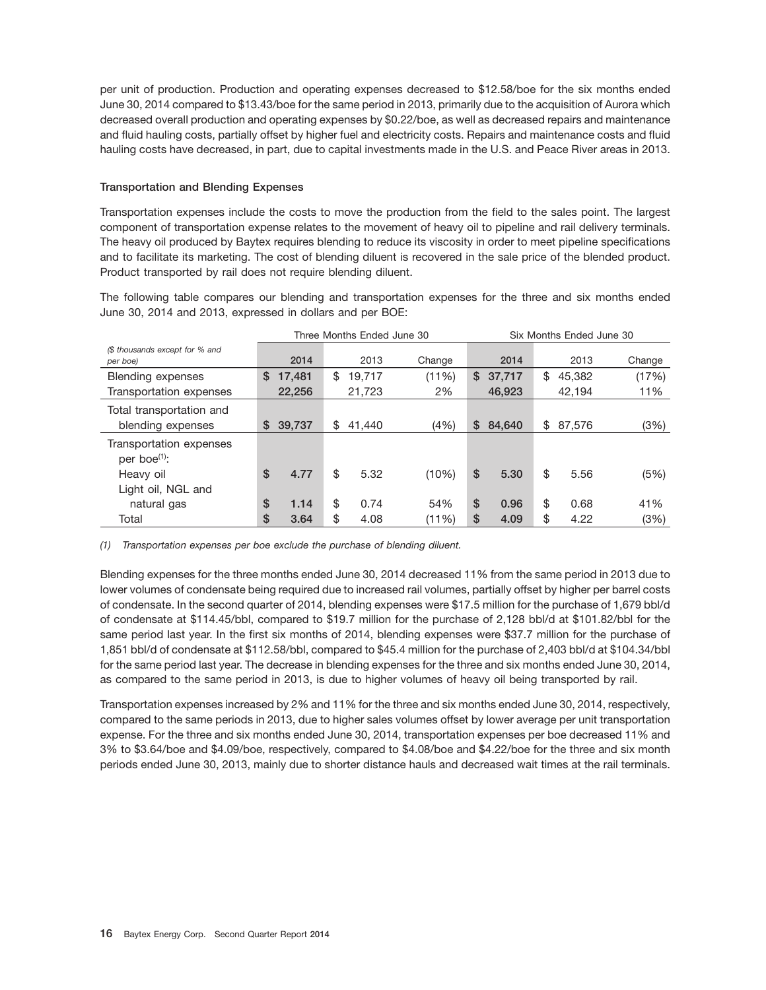per unit of production. Production and operating expenses decreased to \$12.58/boe for the six months ended June 30, 2014 compared to \$13.43/boe for the same period in 2013, primarily due to the acquisition of Aurora which decreased overall production and operating expenses by \$0.22/boe, as well as decreased repairs and maintenance and fluid hauling costs, partially offset by higher fuel and electricity costs. Repairs and maintenance costs and fluid hauling costs have decreased, in part, due to capital investments made in the U.S. and Peace River areas in 2013.

### **Transportation and Blending Expenses**

Transportation expenses include the costs to move the production from the field to the sales point. The largest component of transportation expense relates to the movement of heavy oil to pipeline and rail delivery terminals. The heavy oil produced by Baytex requires blending to reduce its viscosity in order to meet pipeline specifications and to facilitate its marketing. The cost of blending diluent is recovered in the sale price of the blended product. Product transported by rail does not require blending diluent.

The following table compares our blending and transportation expenses for the three and six months ended June 30, 2014 and 2013, expressed in dollars and per BOE:

|                                                     |    | Three Months Ended June 30 |    |        |          |    | Six Months Ended June 30 |    |        |        |  |  |
|-----------------------------------------------------|----|----------------------------|----|--------|----------|----|--------------------------|----|--------|--------|--|--|
| (\$ thousands except for % and<br>per boe)          |    | 2014                       |    | 2013   | Change   |    | 2014                     |    | 2013   | Change |  |  |
| <b>Blending expenses</b>                            | \$ | 17.481                     | \$ | 19.717 | $(11\%)$ | \$ | 37,717                   | \$ | 45.382 | (17%)  |  |  |
| Transportation expenses                             |    | 22,256                     |    | 21,723 | 2%       |    | 46.923                   |    | 42,194 | 11%    |  |  |
| Total transportation and<br>blending expenses       | S  | 39,737                     | \$ | 41.440 | (4%)     | \$ | 84,640                   | \$ | 87.576 | (3%)   |  |  |
| Transportation expenses<br>per boe <sup>(1)</sup> : |    |                            |    |        |          |    |                          |    |        |        |  |  |
| Heavy oil                                           | \$ | 4.77                       | \$ | 5.32   | (10%)    | \$ | 5.30                     | \$ | 5.56   | (5%)   |  |  |
| Light oil, NGL and                                  |    |                            |    |        |          |    |                          |    |        |        |  |  |
| natural gas                                         | \$ | 1.14                       | \$ | 0.74   | 54%      | \$ | 0.96                     | \$ | 0.68   | 41%    |  |  |
| Total                                               | \$ | 3.64                       | \$ | 4.08   | $(11\%)$ | \$ | 4.09                     | \$ | 4.22   | (3%)   |  |  |

*(1) Transportation expenses per boe exclude the purchase of blending diluent.*

Blending expenses for the three months ended June 30, 2014 decreased 11% from the same period in 2013 due to lower volumes of condensate being required due to increased rail volumes, partially offset by higher per barrel costs of condensate. In the second quarter of 2014, blending expenses were \$17.5 million for the purchase of 1,679 bbl/d of condensate at \$114.45/bbl, compared to \$19.7 million for the purchase of 2,128 bbl/d at \$101.82/bbl for the same period last year. In the first six months of 2014, blending expenses were \$37.7 million for the purchase of 1,851 bbl/d of condensate at \$112.58/bbl, compared to \$45.4 million for the purchase of 2,403 bbl/d at \$104.34/bbl for the same period last year. The decrease in blending expenses for the three and six months ended June 30, 2014, as compared to the same period in 2013, is due to higher volumes of heavy oil being transported by rail.

Transportation expenses increased by 2% and 11% for the three and six months ended June 30, 2014, respectively, compared to the same periods in 2013, due to higher sales volumes offset by lower average per unit transportation expense. For the three and six months ended June 30, 2014, transportation expenses per boe decreased 11% and 3% to \$3.64/boe and \$4.09/boe, respectively, compared to \$4.08/boe and \$4.22/boe for the three and six month periods ended June 30, 2013, mainly due to shorter distance hauls and decreased wait times at the rail terminals.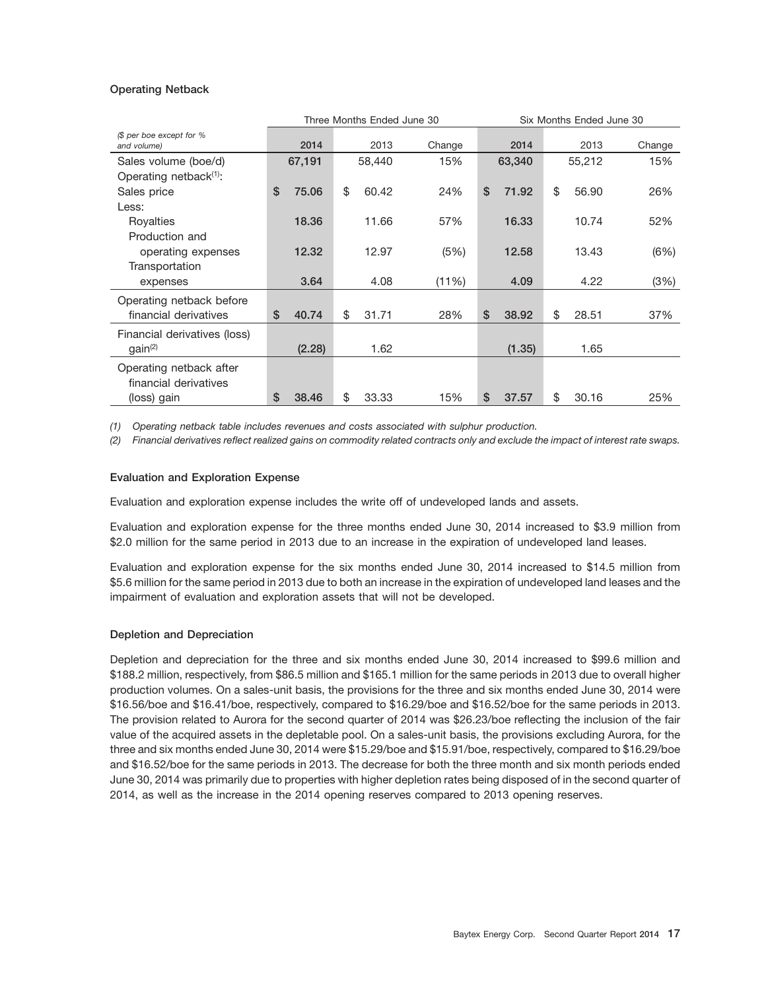### **Operating Netback**

|                                         |             | Three Months Ended June 30 |       | Six Months Ended June 30 |             |        |  |  |
|-----------------------------------------|-------------|----------------------------|-------|--------------------------|-------------|--------|--|--|
| (\$ per boe except for %<br>and volume) | 2014        | 2013<br>Change             |       | 2014                     | 2013        | Change |  |  |
| Sales volume (boe/d)                    | 67,191      | 58,440                     | 15%   | 63,340                   | 55,212      | 15%    |  |  |
| Operating netback <sup>(1)</sup> :      |             |                            |       |                          |             |        |  |  |
| Sales price                             | \$<br>75.06 | \$<br>60.42                | 24%   | \$<br>71.92              | \$<br>56.90 | 26%    |  |  |
| Less:                                   |             |                            |       |                          |             |        |  |  |
| Royalties                               | 18.36       | 11.66                      | 57%   | 16.33                    | 10.74       | 52%    |  |  |
| Production and                          |             |                            |       |                          |             |        |  |  |
| operating expenses                      | 12.32       | 12.97                      | (5%)  | 12.58                    | 13.43       | (6%)   |  |  |
| Transportation                          |             |                            |       |                          |             |        |  |  |
| expenses                                | 3.64        | 4.08                       | (11%) | 4.09                     | 4.22        | (3%)   |  |  |
| Operating netback before                |             |                            |       |                          |             |        |  |  |
| financial derivatives                   | \$<br>40.74 | \$<br>31.71                | 28%   | \$<br>38.92              | \$<br>28.51 | 37%    |  |  |
| Financial derivatives (loss)            |             |                            |       |                          |             |        |  |  |
| gain <sup>(2)</sup>                     | (2.28)      | 1.62                       |       | (1.35)                   | 1.65        |        |  |  |
| Operating netback after                 |             |                            |       |                          |             |        |  |  |
| financial derivatives                   |             |                            |       |                          |             |        |  |  |
| (loss) gain                             | 38.46<br>S  | \$<br>33.33                | 15%   | \$<br>37.57              | \$<br>30.16 | 25%    |  |  |

*(1) Operating netback table includes revenues and costs associated with sulphur production.*

*(2) Financial derivatives reflect realized gains on commodity related contracts only and exclude the impact of interest rate swaps.*

### **Evaluation and Exploration Expense**

Evaluation and exploration expense includes the write off of undeveloped lands and assets.

Evaluation and exploration expense for the three months ended June 30, 2014 increased to \$3.9 million from \$2.0 million for the same period in 2013 due to an increase in the expiration of undeveloped land leases.

Evaluation and exploration expense for the six months ended June 30, 2014 increased to \$14.5 million from \$5.6 million for the same period in 2013 due to both an increase in the expiration of undeveloped land leases and the impairment of evaluation and exploration assets that will not be developed.

### **Depletion and Depreciation**

Depletion and depreciation for the three and six months ended June 30, 2014 increased to \$99.6 million and \$188.2 million, respectively, from \$86.5 million and \$165.1 million for the same periods in 2013 due to overall higher production volumes. On a sales-unit basis, the provisions for the three and six months ended June 30, 2014 were \$16.56/boe and \$16.41/boe, respectively, compared to \$16.29/boe and \$16.52/boe for the same periods in 2013. The provision related to Aurora for the second quarter of 2014 was \$26.23/boe reflecting the inclusion of the fair value of the acquired assets in the depletable pool. On a sales-unit basis, the provisions excluding Aurora, for the three and six months ended June 30, 2014 were \$15.29/boe and \$15.91/boe, respectively, compared to \$16.29/boe and \$16.52/boe for the same periods in 2013. The decrease for both the three month and six month periods ended June 30, 2014 was primarily due to properties with higher depletion rates being disposed of in the second quarter of 2014, as well as the increase in the 2014 opening reserves compared to 2013 opening reserves.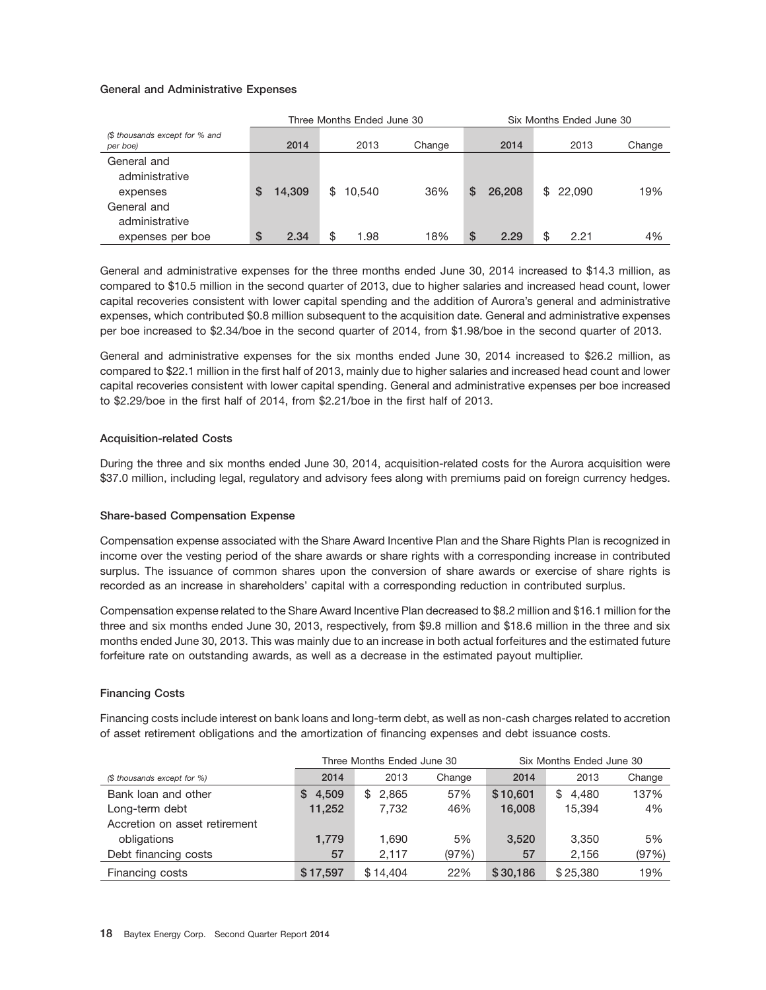### **General and Administrative Expenses**

|                                            |    | Three Months Ended June 30 |    |        |        |    | Six Months Ended June 30 |    |        |        |
|--------------------------------------------|----|----------------------------|----|--------|--------|----|--------------------------|----|--------|--------|
| (\$ thousands except for % and<br>per boe) |    | 2014                       |    | 2013   | Change |    | 2014                     |    | 2013   | Change |
| General and<br>administrative<br>expenses  | S  | 14,309                     | \$ | 10.540 | 36%    | S  | 26,208                   | \$ | 22,090 | 19%    |
| General and<br>administrative              |    |                            |    |        |        |    |                          |    |        |        |
| expenses per boe                           | \$ | 2.34                       | \$ | 1.98   | 18%    | \$ | 2.29                     | \$ | 2.21   | 4%     |

General and administrative expenses for the three months ended June 30, 2014 increased to \$14.3 million, as compared to \$10.5 million in the second quarter of 2013, due to higher salaries and increased head count, lower capital recoveries consistent with lower capital spending and the addition of Aurora's general and administrative expenses, which contributed \$0.8 million subsequent to the acquisition date. General and administrative expenses per boe increased to \$2.34/boe in the second quarter of 2014, from \$1.98/boe in the second quarter of 2013.

General and administrative expenses for the six months ended June 30, 2014 increased to \$26.2 million, as compared to \$22.1 million in the first half of 2013, mainly due to higher salaries and increased head count and lower capital recoveries consistent with lower capital spending. General and administrative expenses per boe increased to \$2.29/boe in the first half of 2014, from \$2.21/boe in the first half of 2013.

### **Acquisition-related Costs**

During the three and six months ended June 30, 2014, acquisition-related costs for the Aurora acquisition were \$37.0 million, including legal, regulatory and advisory fees along with premiums paid on foreign currency hedges.

### **Share-based Compensation Expense**

Compensation expense associated with the Share Award Incentive Plan and the Share Rights Plan is recognized in income over the vesting period of the share awards or share rights with a corresponding increase in contributed surplus. The issuance of common shares upon the conversion of share awards or exercise of share rights is recorded as an increase in shareholders' capital with a corresponding reduction in contributed surplus.

Compensation expense related to the Share Award Incentive Plan decreased to \$8.2 million and \$16.1 million for the three and six months ended June 30, 2013, respectively, from \$9.8 million and \$18.6 million in the three and six months ended June 30, 2013. This was mainly due to an increase in both actual forfeitures and the estimated future forfeiture rate on outstanding awards, as well as a decrease in the estimated payout multiplier.

### **Financing Costs**

Financing costs include interest on bank loans and long-term debt, as well as non-cash charges related to accretion of asset retirement obligations and the amortization of financing expenses and debt issuance costs.

|                               |            | Three Months Ended June 30 |        | Six Months Ended June 30 |              |        |  |  |
|-------------------------------|------------|----------------------------|--------|--------------------------|--------------|--------|--|--|
| (\$ thousands except for %)   | 2014       | 2013                       | Change | 2014                     | 2013         | Change |  |  |
| Bank loan and other           | 4,509<br>S | 2.865<br>\$                | 57%    | \$10,601                 | 4.480<br>\$. | 137%   |  |  |
| Long-term debt                | 11,252     | 7.732                      | 46%    | 16,008                   | 15.394       | 4%     |  |  |
| Accretion on asset retirement |            |                            |        |                          |              |        |  |  |
| obligations                   | 1,779      | 1.690                      | 5%     | 3,520                    | 3.350        | 5%     |  |  |
| Debt financing costs          | 57         | 2.117                      | (97%)  | 57                       | 2.156        | (97%)  |  |  |
| Financing costs               | \$17.597   | \$14.404                   | 22%    | \$30,186                 | \$25,380     | 19%    |  |  |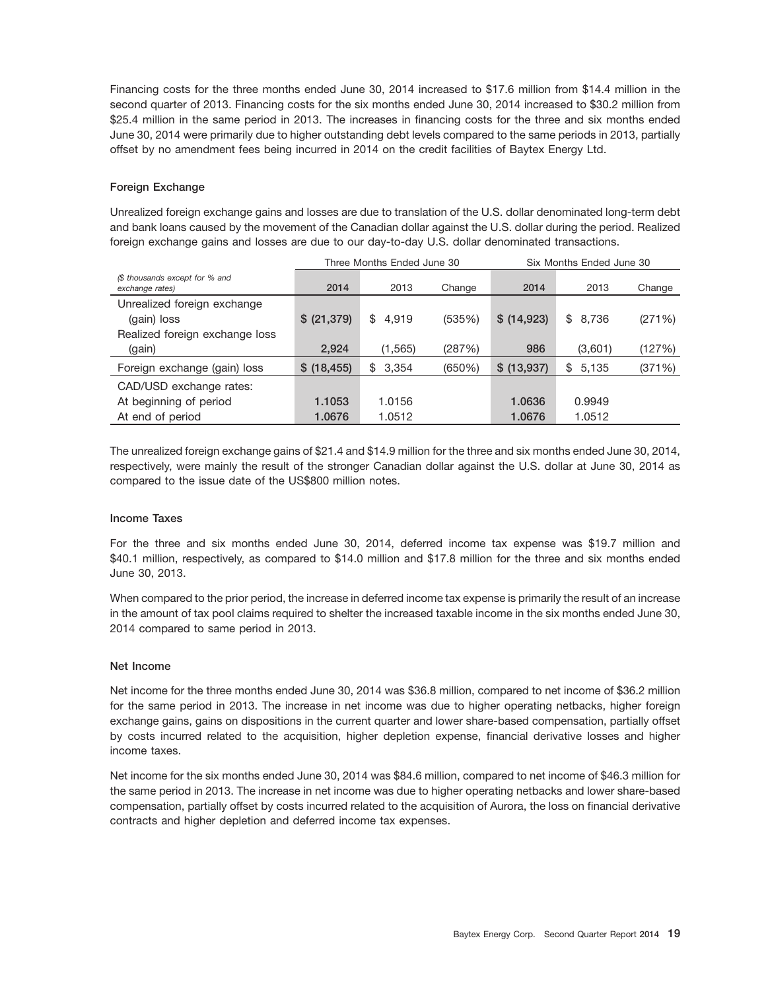Financing costs for the three months ended June 30, 2014 increased to \$17.6 million from \$14.4 million in the second quarter of 2013. Financing costs for the six months ended June 30, 2014 increased to \$30.2 million from \$25.4 million in the same period in 2013. The increases in financing costs for the three and six months ended June 30, 2014 were primarily due to higher outstanding debt levels compared to the same periods in 2013, partially offset by no amendment fees being incurred in 2014 on the credit facilities of Baytex Energy Ltd.

### **Foreign Exchange**

Unrealized foreign exchange gains and losses are due to translation of the U.S. dollar denominated long-term debt and bank loans caused by the movement of the Canadian dollar against the U.S. dollar during the period. Realized foreign exchange gains and losses are due to our day-to-day U.S. dollar denominated transactions.

|                                                   |              | Three Months Ended June 30 |        | Six Months Ended June 30 |             |        |  |
|---------------------------------------------------|--------------|----------------------------|--------|--------------------------|-------------|--------|--|
| (\$ thousands except for % and<br>exchange rates) | 2014         | 2013                       | Change | 2014                     | 2013        | Change |  |
| Unrealized foreign exchange                       |              |                            |        |                          |             |        |  |
| (gain) loss                                       | \$ (21, 379) | \$<br>4,919                | (535%) | \$ (14,923)              | \$8,736     | (271%) |  |
| Realized foreign exchange loss                    |              |                            |        |                          |             |        |  |
| (gain)                                            | 2.924        | (1, 565)                   | (287%) | 986                      | (3,601)     | (127%) |  |
| Foreign exchange (gain) loss                      | \$ (18, 455) | \$<br>3,354                | (650%) | \$ (13,937)              | \$<br>5,135 | (371%) |  |
| CAD/USD exchange rates:                           |              |                            |        |                          |             |        |  |
| At beginning of period                            | 1.1053       | 1.0156                     |        | 1.0636                   | 0.9949      |        |  |
| At end of period                                  | 1.0676       | 1.0512                     |        | 1.0676                   | 1.0512      |        |  |

The unrealized foreign exchange gains of \$21.4 and \$14.9 million for the three and six months ended June 30, 2014, respectively, were mainly the result of the stronger Canadian dollar against the U.S. dollar at June 30, 2014 as compared to the issue date of the US\$800 million notes.

### **Income Taxes**

For the three and six months ended June 30, 2014, deferred income tax expense was \$19.7 million and \$40.1 million, respectively, as compared to \$14.0 million and \$17.8 million for the three and six months ended June 30, 2013.

When compared to the prior period, the increase in deferred income tax expense is primarily the result of an increase in the amount of tax pool claims required to shelter the increased taxable income in the six months ended June 30, 2014 compared to same period in 2013.

### **Net Income**

Net income for the three months ended June 30, 2014 was \$36.8 million, compared to net income of \$36.2 million for the same period in 2013. The increase in net income was due to higher operating netbacks, higher foreign exchange gains, gains on dispositions in the current quarter and lower share-based compensation, partially offset by costs incurred related to the acquisition, higher depletion expense, financial derivative losses and higher income taxes.

Net income for the six months ended June 30, 2014 was \$84.6 million, compared to net income of \$46.3 million for the same period in 2013. The increase in net income was due to higher operating netbacks and lower share-based compensation, partially offset by costs incurred related to the acquisition of Aurora, the loss on financial derivative contracts and higher depletion and deferred income tax expenses.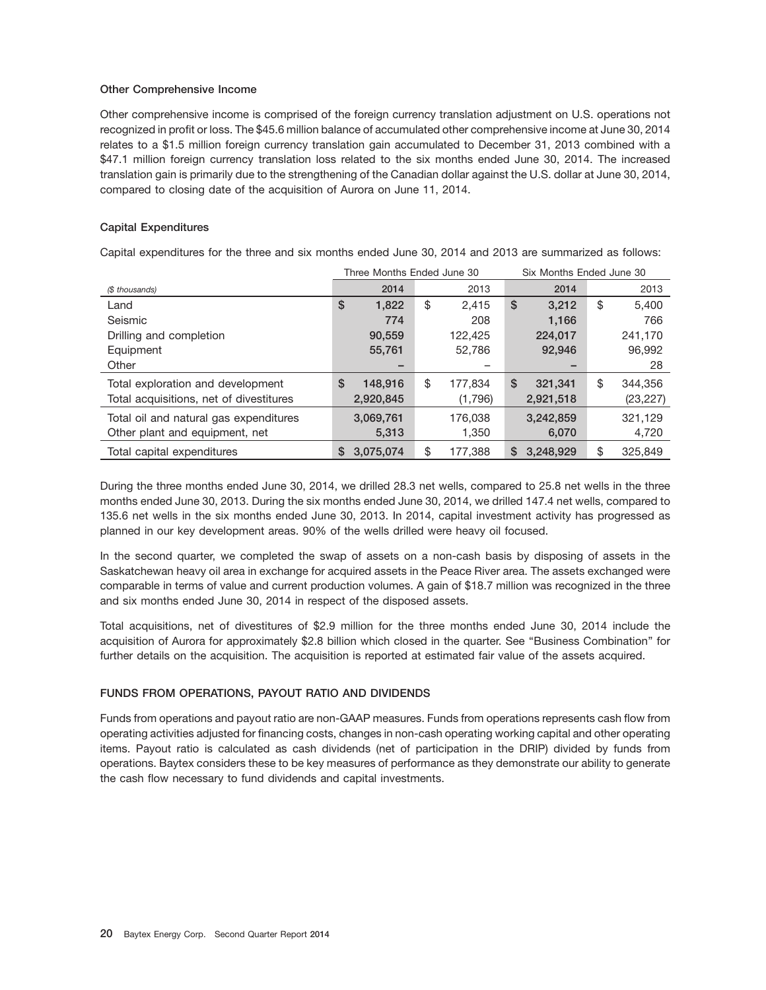### **Other Comprehensive Income**

Other comprehensive income is comprised of the foreign currency translation adjustment on U.S. operations not recognized in profit or loss. The \$45.6 million balance of accumulated other comprehensive income at June 30, 2014 relates to a \$1.5 million foreign currency translation gain accumulated to December 31, 2013 combined with a \$47.1 million foreign currency translation loss related to the six months ended June 30, 2014. The increased translation gain is primarily due to the strengthening of the Canadian dollar against the U.S. dollar at June 30, 2014, compared to closing date of the acquisition of Aurora on June 11, 2014.

### **Capital Expenditures**

Capital expenditures for the three and six months ended June 30, 2014 and 2013 are summarized as follows:

|                                         |          | Three Months Ended June 30 |               | Six Months Ended June 30 |           |    |           |
|-----------------------------------------|----------|----------------------------|---------------|--------------------------|-----------|----|-----------|
| (\$ thousands)                          |          | 2014                       | 2013          |                          | 2014      |    | 2013      |
| Land                                    | \$       | 1,822                      | \$<br>2.415   | \$                       | 3.212     | \$ | 5.400     |
| Seismic                                 |          | 774                        | 208           |                          | 1.166     |    | 766       |
| Drilling and completion                 |          | 90,559                     | 122,425       |                          | 224,017   |    | 241,170   |
| Equipment                               |          | 55,761                     | 52,786        |                          | 92,946    |    | 96,992    |
| Other                                   |          |                            |               |                          |           |    | 28        |
| Total exploration and development       | \$       | 148.916                    | \$<br>177.834 | \$                       | 321.341   | \$ | 344,356   |
| Total acquisitions, net of divestitures |          | 2,920,845                  | (1,796)       |                          | 2,921,518 |    | (23, 227) |
| Total oil and natural gas expenditures  |          | 3,069,761                  | 176.038       |                          | 3,242,859 |    | 321,129   |
| Other plant and equipment, net          |          | 5,313                      | 1,350         |                          | 6,070     |    | 4,720     |
| Total capital expenditures              | <b>S</b> | 3.075.074                  | \$<br>177.388 | \$                       | 3.248.929 | \$ | 325.849   |

During the three months ended June 30, 2014, we drilled 28.3 net wells, compared to 25.8 net wells in the three months ended June 30, 2013. During the six months ended June 30, 2014, we drilled 147.4 net wells, compared to 135.6 net wells in the six months ended June 30, 2013. In 2014, capital investment activity has progressed as planned in our key development areas. 90% of the wells drilled were heavy oil focused.

In the second quarter, we completed the swap of assets on a non-cash basis by disposing of assets in the Saskatchewan heavy oil area in exchange for acquired assets in the Peace River area. The assets exchanged were comparable in terms of value and current production volumes. A gain of \$18.7 million was recognized in the three and six months ended June 30, 2014 in respect of the disposed assets.

Total acquisitions, net of divestitures of \$2.9 million for the three months ended June 30, 2014 include the acquisition of Aurora for approximately \$2.8 billion which closed in the quarter. See ''Business Combination'' for further details on the acquisition. The acquisition is reported at estimated fair value of the assets acquired.

### **FUNDS FROM OPERATIONS, PAYOUT RATIO AND DIVIDENDS**

Funds from operations and payout ratio are non-GAAP measures. Funds from operations represents cash flow from operating activities adjusted for financing costs, changes in non-cash operating working capital and other operating items. Payout ratio is calculated as cash dividends (net of participation in the DRIP) divided by funds from operations. Baytex considers these to be key measures of performance as they demonstrate our ability to generate the cash flow necessary to fund dividends and capital investments.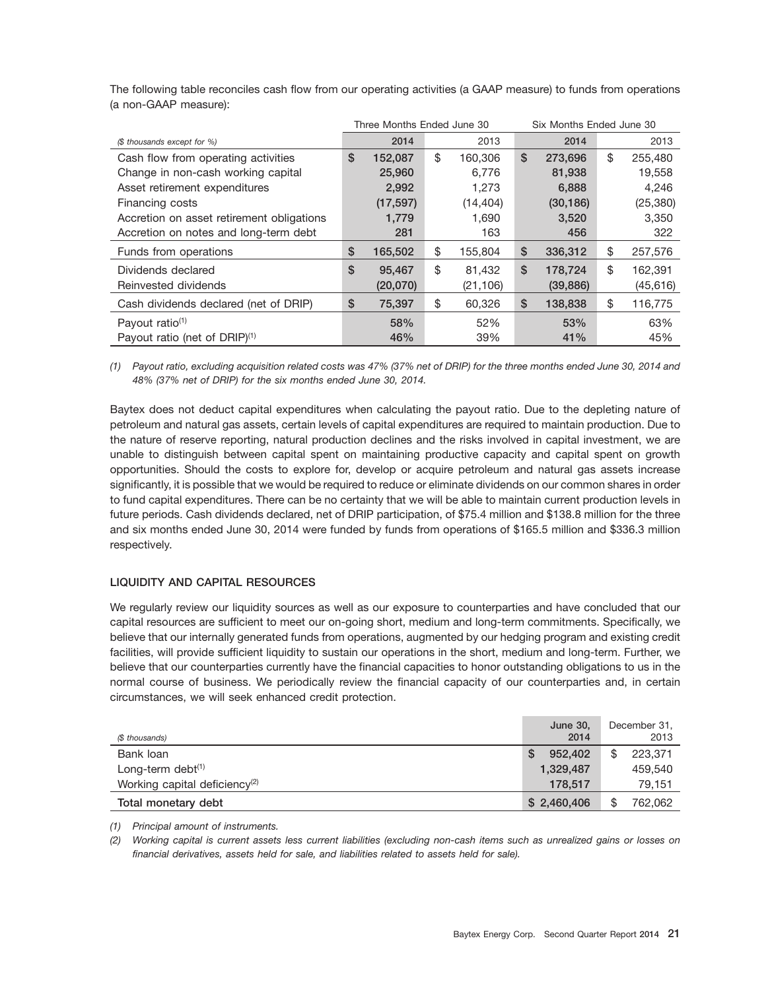|                                           | Three Months Ended June 30 |           |    |           |    | Six Months Ended June 30 |    |           |  |
|-------------------------------------------|----------------------------|-----------|----|-----------|----|--------------------------|----|-----------|--|
| (\$ thousands except for %)               |                            | 2014      |    | 2013      |    | 2014                     |    | 2013      |  |
| Cash flow from operating activities       | \$                         | 152.087   | \$ | 160,306   | \$ | 273,696                  | \$ | 255,480   |  |
| Change in non-cash working capital        |                            | 25,960    |    | 6,776     |    | 81,938                   |    | 19,558    |  |
| Asset retirement expenditures             |                            | 2,992     |    | 1.273     |    | 6,888                    |    | 4.246     |  |
| Financing costs                           |                            | (17, 597) |    | (14, 404) |    | (30, 186)                |    | (25, 380) |  |
| Accretion on asset retirement obligations |                            | 1,779     |    | 1,690     |    | 3,520                    |    | 3,350     |  |
| Accretion on notes and long-term debt     |                            | 281       |    | 163       |    | 456                      |    | 322       |  |
| Funds from operations                     | \$                         | 165,502   | \$ | 155,804   | \$ | 336,312                  | \$ | 257,576   |  |
| Dividends declared                        | \$                         | 95,467    | \$ | 81,432    | \$ | 178,724                  | \$ | 162,391   |  |
| Reinvested dividends                      |                            | (20,070)  |    | (21, 106) |    | (39, 886)                |    | (45, 616) |  |
| Cash dividends declared (net of DRIP)     | \$                         | 75,397    | \$ | 60,326    | \$ | 138,838                  | \$ | 116,775   |  |
| Payout ratio <sup><math>(1)</math></sup>  |                            | 58%       |    | 52%       |    | 53%                      |    | 63%       |  |
| Payout ratio (net of DRIP) <sup>(1)</sup> |                            | 46%       |    | 39%       |    | 41%                      |    | 45%       |  |

The following table reconciles cash flow from our operating activities (a GAAP measure) to funds from operations (a non-GAAP measure):

*(1) Payout ratio, excluding acquisition related costs was 47% (37% net of DRIP) for the three months ended June 30, 2014 and 48% (37% net of DRIP) for the six months ended June 30, 2014.*

Baytex does not deduct capital expenditures when calculating the payout ratio. Due to the depleting nature of petroleum and natural gas assets, certain levels of capital expenditures are required to maintain production. Due to the nature of reserve reporting, natural production declines and the risks involved in capital investment, we are unable to distinguish between capital spent on maintaining productive capacity and capital spent on growth opportunities. Should the costs to explore for, develop or acquire petroleum and natural gas assets increase significantly, it is possible that we would be required to reduce or eliminate dividends on our common shares in order to fund capital expenditures. There can be no certainty that we will be able to maintain current production levels in future periods. Cash dividends declared, net of DRIP participation, of \$75.4 million and \$138.8 million for the three and six months ended June 30, 2014 were funded by funds from operations of \$165.5 million and \$336.3 million respectively.

### **LIQUIDITY AND CAPITAL RESOURCES**

We regularly review our liquidity sources as well as our exposure to counterparties and have concluded that our capital resources are sufficient to meet our on-going short, medium and long-term commitments. Specifically, we believe that our internally generated funds from operations, augmented by our hedging program and existing credit facilities, will provide sufficient liquidity to sustain our operations in the short, medium and long-term. Further, we believe that our counterparties currently have the financial capacities to honor outstanding obligations to us in the normal course of business. We periodically review the financial capacity of our counterparties and, in certain circumstances, we will seek enhanced credit protection.

| (\$ thousands)                            | June 30,<br>2014 | December 31.<br>2013 |
|-------------------------------------------|------------------|----------------------|
| Bank loan                                 | 952,402          | \$<br>223,371        |
| Long-term debt $(1)$                      | 1,329,487        | 459,540              |
| Working capital deficiency <sup>(2)</sup> | 178.517          | 79.151               |
| Total monetary debt                       | \$2,460,406      | \$<br>762,062        |

*(1) Principal amount of instruments.*

*(2) Working capital is current assets less current liabilities (excluding non-cash items such as unrealized gains or losses on financial derivatives, assets held for sale, and liabilities related to assets held for sale).*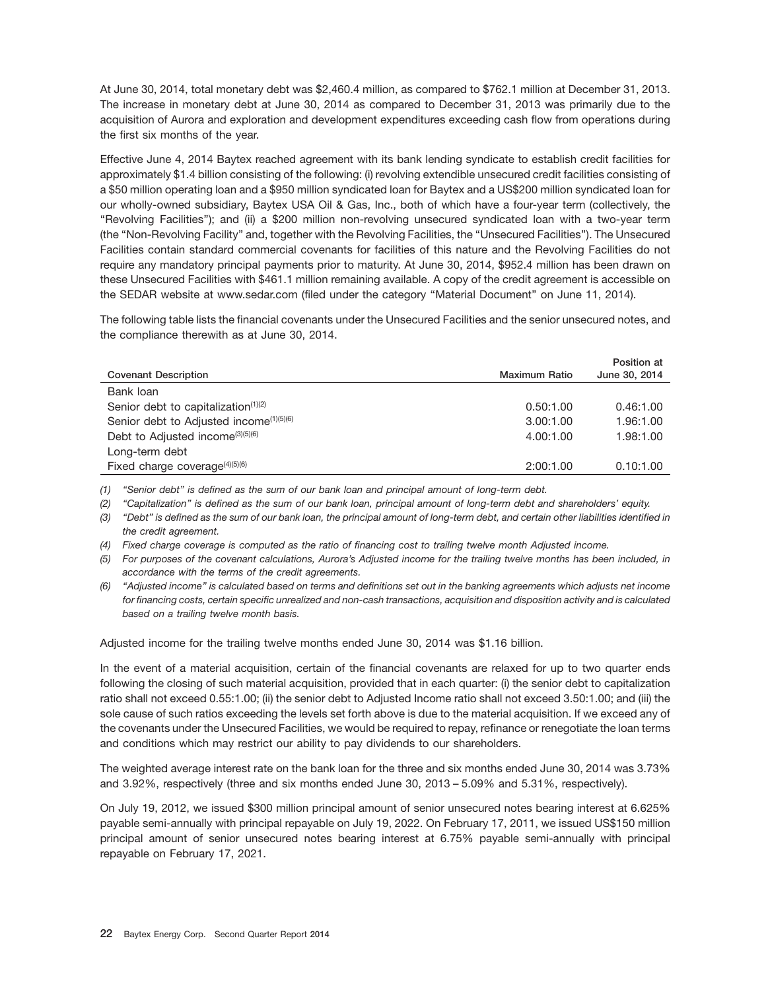At June 30, 2014, total monetary debt was \$2,460.4 million, as compared to \$762.1 million at December 31, 2013. The increase in monetary debt at June 30, 2014 as compared to December 31, 2013 was primarily due to the acquisition of Aurora and exploration and development expenditures exceeding cash flow from operations during the first six months of the year.

Effective June 4, 2014 Baytex reached agreement with its bank lending syndicate to establish credit facilities for approximately \$1.4 billion consisting of the following: (i) revolving extendible unsecured credit facilities consisting of a \$50 million operating loan and a \$950 million syndicated loan for Baytex and a US\$200 million syndicated loan for our wholly-owned subsidiary, Baytex USA Oil & Gas, Inc., both of which have a four-year term (collectively, the ''Revolving Facilities''); and (ii) a \$200 million non-revolving unsecured syndicated loan with a two-year term (the ''Non-Revolving Facility'' and, together with the Revolving Facilities, the ''Unsecured Facilities''). The Unsecured Facilities contain standard commercial covenants for facilities of this nature and the Revolving Facilities do not require any mandatory principal payments prior to maturity. At June 30, 2014, \$952.4 million has been drawn on these Unsecured Facilities with \$461.1 million remaining available. A copy of the credit agreement is accessible on the SEDAR website at www.sedar.com (filed under the category ''Material Document'' on June 11, 2014).

The following table lists the financial covenants under the Unsecured Facilities and the senior unsecured notes, and the compliance therewith as at June 30, 2014.

|                                                     |                      | Position at   |
|-----------------------------------------------------|----------------------|---------------|
| <b>Covenant Description</b>                         | <b>Maximum Ratio</b> | June 30, 2014 |
| Bank loan                                           |                      |               |
| Senior debt to capitalization $(1)(2)$              | 0.50:1.00            | 0.46:1.00     |
| Senior debt to Adjusted income <sup>(1)(5)(6)</sup> | 3.00:1.00            | 1.96:1.00     |
| Debt to Adjusted income(3)(5)(6)                    | 4.00:1.00            | 1.98:1.00     |
| Long-term debt                                      |                      |               |
| Fixed charge coverage $(4)(5)(6)$                   | 2:00:1.00            | 0.10:1.00     |

*(1) ''Senior debt'' is defined as the sum of our bank loan and principal amount of long-term debt.*

*(2) ''Capitalization'' is defined as the sum of our bank loan, principal amount of long-term debt and shareholders' equity.*

- *(3) ''Debt'' is defined as the sum of our bank loan, the principal amount of long-term debt, and certain other liabilities identified in the credit agreement.*
- *(4) Fixed charge coverage is computed as the ratio of financing cost to trailing twelve month Adjusted income.*
- *(5) For purposes of the covenant calculations, Aurora's Adjusted income for the trailing twelve months has been included, in accordance with the terms of the credit agreements.*
- *(6) ''Adjusted income'' is calculated based on terms and definitions set out in the banking agreements which adjusts net income for financing costs, certain specific unrealized and non-cash transactions, acquisition and disposition activity and is calculated based on a trailing twelve month basis.*

Adjusted income for the trailing twelve months ended June 30, 2014 was \$1.16 billion.

In the event of a material acquisition, certain of the financial covenants are relaxed for up to two quarter ends following the closing of such material acquisition, provided that in each quarter: (i) the senior debt to capitalization ratio shall not exceed 0.55:1.00; (ii) the senior debt to Adjusted Income ratio shall not exceed 3.50:1.00; and (iii) the sole cause of such ratios exceeding the levels set forth above is due to the material acquisition. If we exceed any of the covenants under the Unsecured Facilities, we would be required to repay, refinance or renegotiate the loan terms and conditions which may restrict our ability to pay dividends to our shareholders.

The weighted average interest rate on the bank loan for the three and six months ended June 30, 2014 was 3.73% and 3.92%, respectively (three and six months ended June 30, 2013 – 5.09% and 5.31%, respectively).

On July 19, 2012, we issued \$300 million principal amount of senior unsecured notes bearing interest at 6.625% payable semi-annually with principal repayable on July 19, 2022. On February 17, 2011, we issued US\$150 million principal amount of senior unsecured notes bearing interest at 6.75% payable semi-annually with principal repayable on February 17, 2021.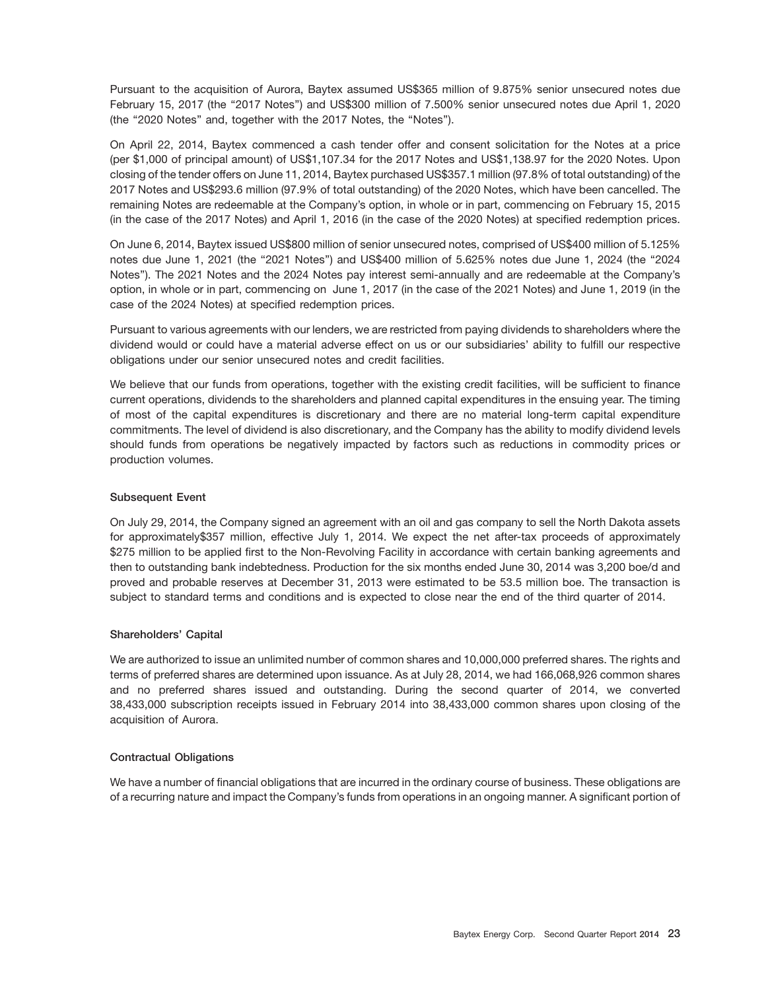Pursuant to the acquisition of Aurora, Baytex assumed US\$365 million of 9.875% senior unsecured notes due February 15, 2017 (the ''2017 Notes'') and US\$300 million of 7.500% senior unsecured notes due April 1, 2020 (the ''2020 Notes'' and, together with the 2017 Notes, the ''Notes'').

On April 22, 2014, Baytex commenced a cash tender offer and consent solicitation for the Notes at a price (per \$1,000 of principal amount) of US\$1,107.34 for the 2017 Notes and US\$1,138.97 for the 2020 Notes. Upon closing of the tender offers on June 11, 2014, Baytex purchased US\$357.1 million (97.8% of total outstanding) of the 2017 Notes and US\$293.6 million (97.9% of total outstanding) of the 2020 Notes, which have been cancelled. The remaining Notes are redeemable at the Company's option, in whole or in part, commencing on February 15, 2015 (in the case of the 2017 Notes) and April 1, 2016 (in the case of the 2020 Notes) at specified redemption prices.

On June 6, 2014, Baytex issued US\$800 million of senior unsecured notes, comprised of US\$400 million of 5.125% notes due June 1, 2021 (the ''2021 Notes'') and US\$400 million of 5.625% notes due June 1, 2024 (the ''2024 Notes"). The 2021 Notes and the 2024 Notes pay interest semi-annually and are redeemable at the Company's option, in whole or in part, commencing on June 1, 2017 (in the case of the 2021 Notes) and June 1, 2019 (in the case of the 2024 Notes) at specified redemption prices.

Pursuant to various agreements with our lenders, we are restricted from paying dividends to shareholders where the dividend would or could have a material adverse effect on us or our subsidiaries' ability to fulfill our respective obligations under our senior unsecured notes and credit facilities.

We believe that our funds from operations, together with the existing credit facilities, will be sufficient to finance current operations, dividends to the shareholders and planned capital expenditures in the ensuing year. The timing of most of the capital expenditures is discretionary and there are no material long-term capital expenditure commitments. The level of dividend is also discretionary, and the Company has the ability to modify dividend levels should funds from operations be negatively impacted by factors such as reductions in commodity prices or production volumes.

### **Subsequent Event**

On July 29, 2014, the Company signed an agreement with an oil and gas company to sell the North Dakota assets for approximately\$357 million, effective July 1, 2014. We expect the net after-tax proceeds of approximately \$275 million to be applied first to the Non-Revolving Facility in accordance with certain banking agreements and then to outstanding bank indebtedness. Production for the six months ended June 30, 2014 was 3,200 boe/d and proved and probable reserves at December 31, 2013 were estimated to be 53.5 million boe. The transaction is subject to standard terms and conditions and is expected to close near the end of the third quarter of 2014.

### **Shareholders' Capital**

We are authorized to issue an unlimited number of common shares and 10,000,000 preferred shares. The rights and terms of preferred shares are determined upon issuance. As at July 28, 2014, we had 166,068,926 common shares and no preferred shares issued and outstanding. During the second quarter of 2014, we converted 38,433,000 subscription receipts issued in February 2014 into 38,433,000 common shares upon closing of the acquisition of Aurora.

### **Contractual Obligations**

We have a number of financial obligations that are incurred in the ordinary course of business. These obligations are of a recurring nature and impact the Company's funds from operations in an ongoing manner. A significant portion of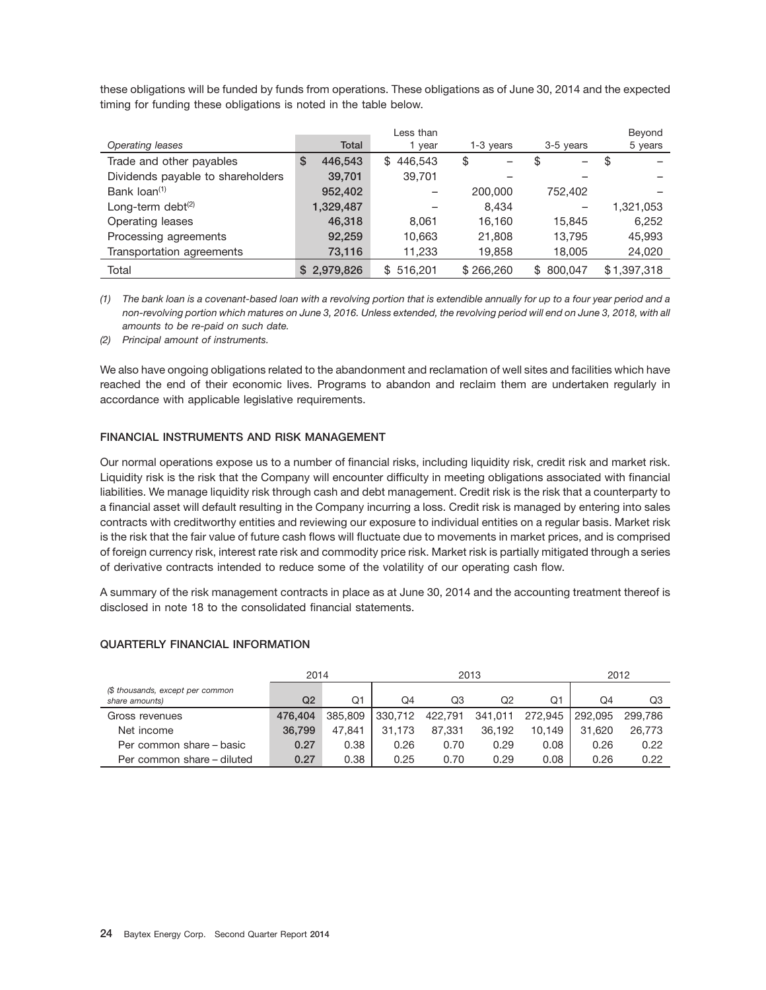these obligations will be funded by funds from operations. These obligations as of June 30, 2014 and the expected timing for funding these obligations is noted in the table below.

|                                   |               |               | Beyond    |                |             |
|-----------------------------------|---------------|---------------|-----------|----------------|-------------|
| Operating leases                  | <b>Total</b>  | 1 year        | 1-3 years | 3-5 years      | 5 years     |
| Trade and other payables          | \$<br>446,543 | 446.543<br>\$ | \$<br>-   | \$<br>-        | \$          |
| Dividends payable to shareholders | 39,701        | 39,701        |           |                |             |
| Bank loan <sup>(1)</sup>          | 952,402       |               | 200,000   | 752.402        |             |
| Long-term debt $(2)$              | 1,329,487     |               | 8,434     |                | 321,053. ا  |
| Operating leases                  | 46,318        | 8.061         | 16.160    | 15.845         | 6,252       |
| Processing agreements             | 92,259        | 10,663        | 21,808    | 13,795         | 45,993      |
| Transportation agreements         | 73,116        | 11,233        | 19,858    | 18,005         | 24,020      |
| Total                             | \$2,979,826   | 516,201<br>\$ | \$266,260 | 800,047<br>\$. | \$1,397,318 |

*(1) The bank loan is a covenant-based loan with a revolving portion that is extendible annually for up to a four year period and a non-revolving portion which matures on June 3, 2016. Unless extended, the revolving period will end on June 3, 2018, with all amounts to be re-paid on such date.*

*(2) Principal amount of instruments.*

We also have ongoing obligations related to the abandonment and reclamation of well sites and facilities which have reached the end of their economic lives. Programs to abandon and reclaim them are undertaken regularly in accordance with applicable legislative requirements.

### **FINANCIAL INSTRUMENTS AND RISK MANAGEMENT**

Our normal operations expose us to a number of financial risks, including liquidity risk, credit risk and market risk. Liquidity risk is the risk that the Company will encounter difficulty in meeting obligations associated with financial liabilities. We manage liquidity risk through cash and debt management. Credit risk is the risk that a counterparty to a financial asset will default resulting in the Company incurring a loss. Credit risk is managed by entering into sales contracts with creditworthy entities and reviewing our exposure to individual entities on a regular basis. Market risk is the risk that the fair value of future cash flows will fluctuate due to movements in market prices, and is comprised of foreign currency risk, interest rate risk and commodity price risk. Market risk is partially mitigated through a series of derivative contracts intended to reduce some of the volatility of our operating cash flow.

A summary of the risk management contracts in place as at June 30, 2014 and the accounting treatment thereof is disclosed in note 18 to the consolidated financial statements.

### **QUARTERLY FINANCIAL INFORMATION**

|                                                    | 2014           |         |         | 2013    | 2012    |         |         |         |
|----------------------------------------------------|----------------|---------|---------|---------|---------|---------|---------|---------|
| (\$ thousands, except per common<br>share amounts) | Q <sub>2</sub> | Q1      | Q4      | Q3      | O2      | Q1      | O4      | Q3      |
| Gross revenues                                     | 476,404        | 385,809 | 330.712 | 422,791 | 341,011 | 272,945 | 292.095 | 299,786 |
| Net income                                         | 36.799         | 47.841  | 31.173  | 87.331  | 36.192  | 10.149  | 31.620  | 26,773  |
| Per common share – basic                           | 0.27           | 0.38    | 0.26    | 0.70    | 0.29    | 0.08    | 0.26    | 0.22    |
| Per common share – diluted                         | 0.27           | 0.38    | 0.25    | 0.70    | 0.29    | 0.08    | 0.26    | 0.22    |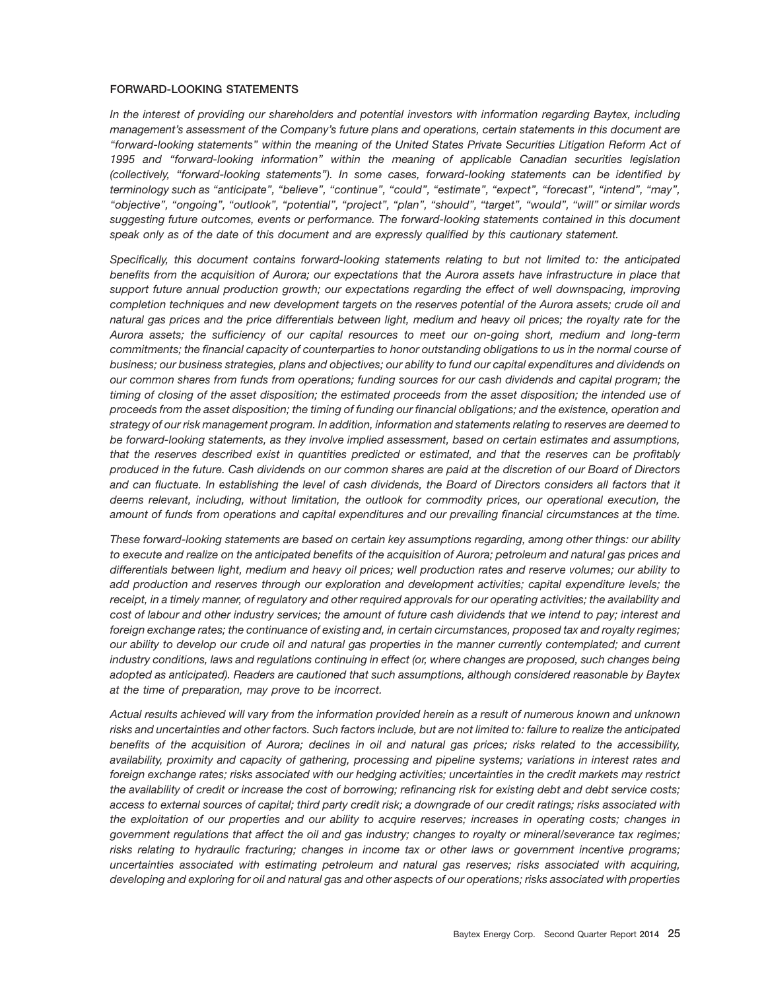### **FORWARD-LOOKING STATEMENTS**

*In the interest of providing our shareholders and potential investors with information regarding Baytex, including management's assessment of the Company's future plans and operations, certain statements in this document are ''forward-looking statements'' within the meaning of the United States Private Securities Litigation Reform Act of 1995 and ''forward-looking information'' within the meaning of applicable Canadian securities legislation (collectively, ''forward-looking statements''). In some cases, forward-looking statements can be identified by terminology such as ''anticipate'', ''believe'', ''continue'', ''could'', ''estimate'', ''expect'', ''forecast'', ''intend'', ''may'', ''objective'', ''ongoing'', ''outlook'', ''potential'', ''project'', ''plan'', ''should'', ''target'', ''would'', ''will'' or similar words suggesting future outcomes, events or performance. The forward-looking statements contained in this document speak only as of the date of this document and are expressly qualified by this cautionary statement.*

*Specifically, this document contains forward-looking statements relating to but not limited to: the anticipated benefits from the acquisition of Aurora; our expectations that the Aurora assets have infrastructure in place that support future annual production growth; our expectations regarding the effect of well downspacing, improving completion techniques and new development targets on the reserves potential of the Aurora assets; crude oil and natural gas prices and the price differentials between light, medium and heavy oil prices; the royalty rate for the Aurora assets; the sufficiency of our capital resources to meet our on-going short, medium and long-term commitments; the financial capacity of counterparties to honor outstanding obligations to us in the normal course of business; our business strategies, plans and objectives; our ability to fund our capital expenditures and dividends on our common shares from funds from operations; funding sources for our cash dividends and capital program; the timing of closing of the asset disposition; the estimated proceeds from the asset disposition; the intended use of proceeds from the asset disposition; the timing of funding our financial obligations; and the existence, operation and strategy of our risk management program. In addition, information and statements relating to reserves are deemed to be forward-looking statements, as they involve implied assessment, based on certain estimates and assumptions, that the reserves described exist in quantities predicted or estimated, and that the reserves can be profitably produced in the future. Cash dividends on our common shares are paid at the discretion of our Board of Directors and can fluctuate. In establishing the level of cash dividends, the Board of Directors considers all factors that it deems relevant, including, without limitation, the outlook for commodity prices, our operational execution, the amount of funds from operations and capital expenditures and our prevailing financial circumstances at the time.*

*These forward-looking statements are based on certain key assumptions regarding, among other things: our ability to execute and realize on the anticipated benefits of the acquisition of Aurora; petroleum and natural gas prices and differentials between light, medium and heavy oil prices; well production rates and reserve volumes; our ability to add production and reserves through our exploration and development activities; capital expenditure levels; the receipt, in a timely manner, of regulatory and other required approvals for our operating activities; the availability and cost of labour and other industry services; the amount of future cash dividends that we intend to pay; interest and foreign exchange rates; the continuance of existing and, in certain circumstances, proposed tax and royalty regimes; our ability to develop our crude oil and natural gas properties in the manner currently contemplated; and current industry conditions, laws and regulations continuing in effect (or, where changes are proposed, such changes being adopted as anticipated). Readers are cautioned that such assumptions, although considered reasonable by Baytex at the time of preparation, may prove to be incorrect.*

*Actual results achieved will vary from the information provided herein as a result of numerous known and unknown risks and uncertainties and other factors. Such factors include, but are not limited to: failure to realize the anticipated benefits of the acquisition of Aurora; declines in oil and natural gas prices; risks related to the accessibility, availability, proximity and capacity of gathering, processing and pipeline systems; variations in interest rates and foreign exchange rates; risks associated with our hedging activities; uncertainties in the credit markets may restrict the availability of credit or increase the cost of borrowing; refinancing risk for existing debt and debt service costs; access to external sources of capital; third party credit risk; a downgrade of our credit ratings; risks associated with the exploitation of our properties and our ability to acquire reserves; increases in operating costs; changes in government regulations that affect the oil and gas industry; changes to royalty or mineral/severance tax regimes; risks relating to hydraulic fracturing; changes in income tax or other laws or government incentive programs; uncertainties associated with estimating petroleum and natural gas reserves; risks associated with acquiring, developing and exploring for oil and natural gas and other aspects of our operations; risks associated with properties*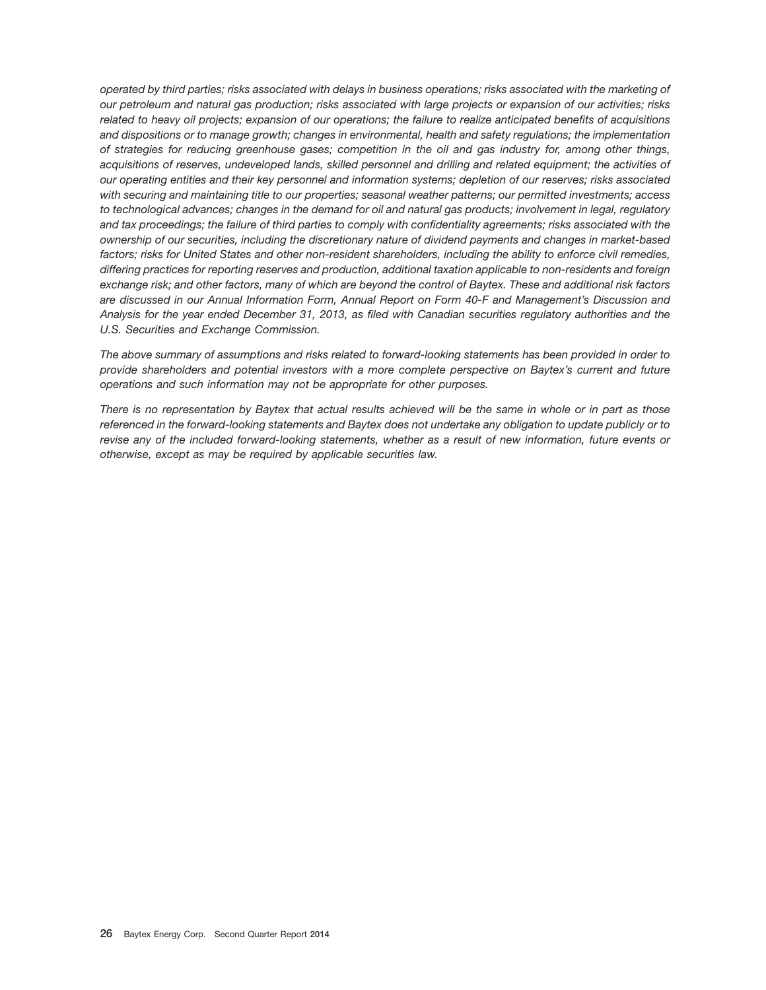*operated by third parties; risks associated with delays in business operations; risks associated with the marketing of our petroleum and natural gas production; risks associated with large projects or expansion of our activities; risks related to heavy oil projects; expansion of our operations; the failure to realize anticipated benefits of acquisitions and dispositions or to manage growth; changes in environmental, health and safety regulations; the implementation of strategies for reducing greenhouse gases; competition in the oil and gas industry for, among other things, acquisitions of reserves, undeveloped lands, skilled personnel and drilling and related equipment; the activities of our operating entities and their key personnel and information systems; depletion of our reserves; risks associated with securing and maintaining title to our properties; seasonal weather patterns; our permitted investments; access to technological advances; changes in the demand for oil and natural gas products; involvement in legal, regulatory and tax proceedings; the failure of third parties to comply with confidentiality agreements; risks associated with the ownership of our securities, including the discretionary nature of dividend payments and changes in market-based factors; risks for United States and other non-resident shareholders, including the ability to enforce civil remedies, differing practices for reporting reserves and production, additional taxation applicable to non-residents and foreign exchange risk; and other factors, many of which are beyond the control of Baytex. These and additional risk factors are discussed in our Annual Information Form, Annual Report on Form 40-F and Management's Discussion and Analysis for the year ended December 31, 2013, as filed with Canadian securities regulatory authorities and the U.S. Securities and Exchange Commission.*

*The above summary of assumptions and risks related to forward-looking statements has been provided in order to provide shareholders and potential investors with a more complete perspective on Baytex's current and future operations and such information may not be appropriate for other purposes.*

*There is no representation by Baytex that actual results achieved will be the same in whole or in part as those referenced in the forward-looking statements and Baytex does not undertake any obligation to update publicly or to revise any of the included forward-looking statements, whether as a result of new information, future events or otherwise, except as may be required by applicable securities law.*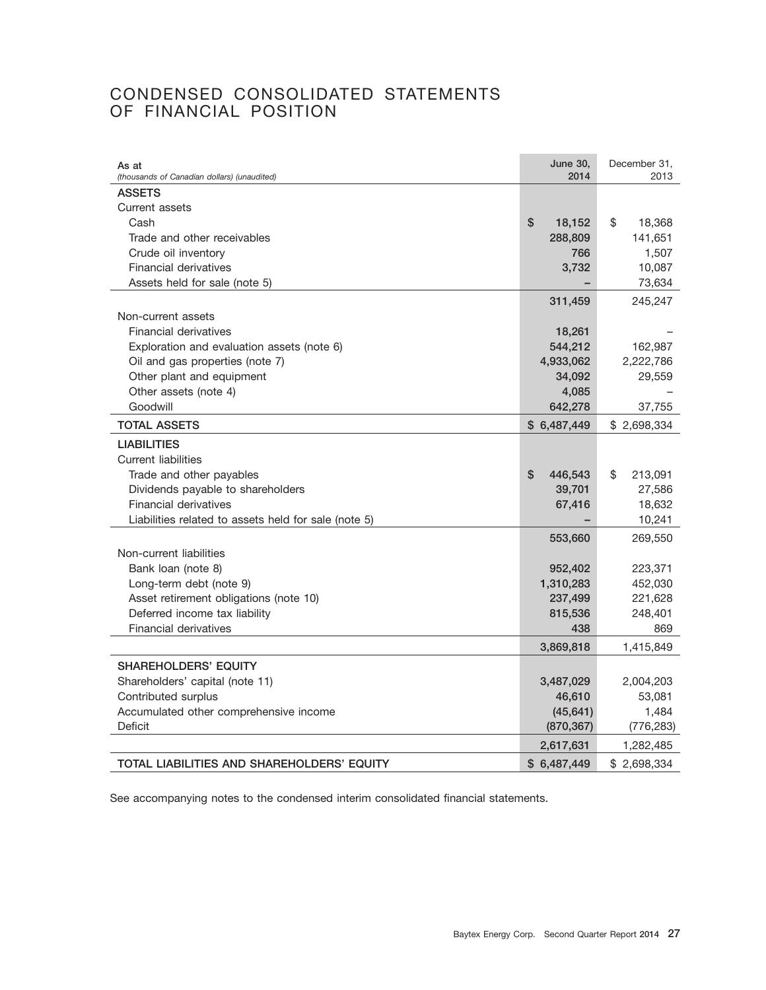### CONDENSED CONSOLIDATED STATEMENTS OF FINANCIAL POSITION

| As at<br>(thousands of Canadian dollars) (unaudited) | <b>June 30,</b><br>2014 | December 31,<br>2013 |
|------------------------------------------------------|-------------------------|----------------------|
| <b>ASSETS</b>                                        |                         |                      |
| Current assets                                       |                         |                      |
| Cash                                                 | \$<br>18,152            | \$<br>18,368         |
| Trade and other receivables                          | 288,809                 | 141,651              |
| Crude oil inventory                                  | 766                     | 1,507                |
| <b>Financial derivatives</b>                         | 3,732                   | 10,087               |
| Assets held for sale (note 5)                        |                         | 73,634               |
|                                                      | 311,459                 | 245,247              |
| Non-current assets                                   |                         |                      |
| Financial derivatives                                | 18,261                  |                      |
| Exploration and evaluation assets (note 6)           | 544,212                 | 162,987              |
| Oil and gas properties (note 7)                      | 4,933,062               | 2,222,786            |
| Other plant and equipment                            | 34,092                  | 29,559               |
| Other assets (note 4)                                | 4,085                   |                      |
| Goodwill                                             | 642,278                 | 37,755               |
| <b>TOTAL ASSETS</b>                                  | \$6,487,449             | \$2,698,334          |
| <b>LIABILITIES</b>                                   |                         |                      |
| <b>Current liabilities</b>                           |                         |                      |
| Trade and other payables                             | \$<br>446,543           | \$<br>213,091        |
| Dividends payable to shareholders                    | 39,701                  | 27,586               |
| <b>Financial derivatives</b>                         | 67,416                  | 18,632               |
| Liabilities related to assets held for sale (note 5) |                         | 10,241               |
|                                                      | 553,660                 | 269,550              |
| Non-current liabilities                              |                         |                      |
| Bank loan (note 8)                                   | 952,402                 | 223,371              |
| Long-term debt (note 9)                              | 1,310,283               | 452,030              |
| Asset retirement obligations (note 10)               | 237,499                 | 221,628              |
| Deferred income tax liability                        | 815,536                 | 248,401              |
| <b>Financial derivatives</b>                         | 438                     | 869                  |
|                                                      | 3,869,818               | 1,415,849            |
| <b>SHAREHOLDERS' EQUITY</b>                          |                         |                      |
| Shareholders' capital (note 11)                      | 3,487,029               | 2,004,203            |
| Contributed surplus                                  | 46,610                  | 53,081               |
| Accumulated other comprehensive income               | (45, 641)               | 1,484                |
| Deficit                                              | (870, 367)              | (776, 283)           |
|                                                      | 2,617,631               | 1,282,485            |
| TOTAL LIABILITIES AND SHAREHOLDERS' EQUITY           | \$6,487,449             | \$2,698,334          |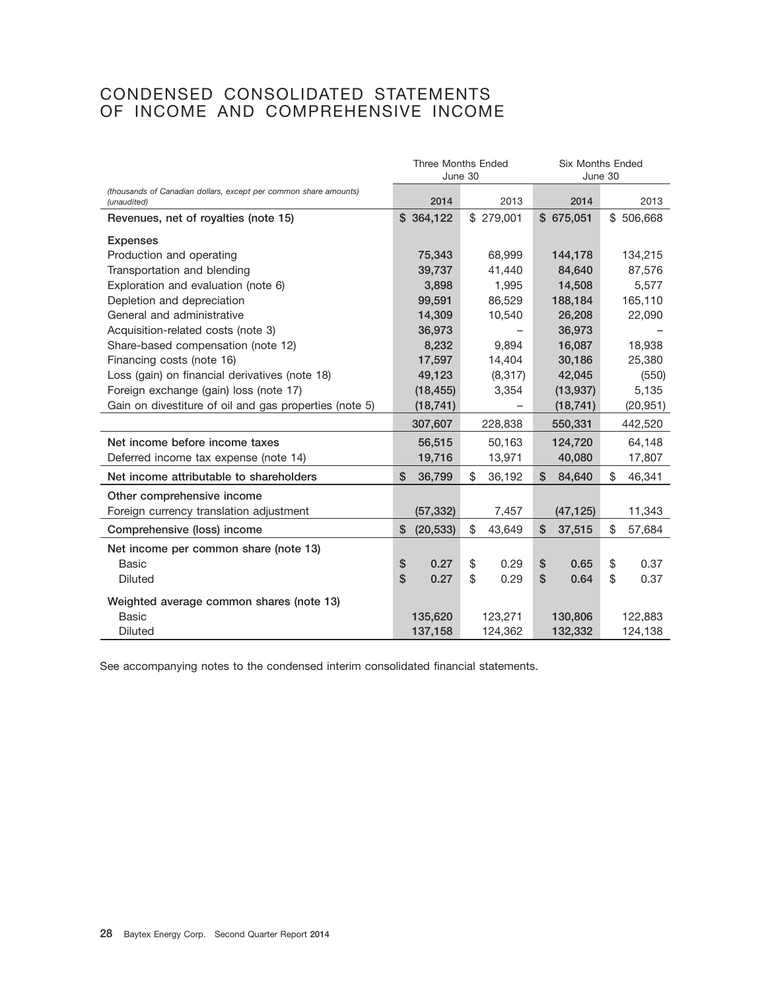### CONDENSED CONSOLIDATED STATEMENTS OF INCOME AND COMPREHENSIVE INCOME

|                                                                                 | <b>Three Months Ended</b> |           |    | <b>Six Months Ended</b> |               |           |    |           |
|---------------------------------------------------------------------------------|---------------------------|-----------|----|-------------------------|---------------|-----------|----|-----------|
|                                                                                 |                           | June 30   |    |                         | June 30       |           |    |           |
| (thousands of Canadian dollars, except per common share amounts)<br>(unaudited) |                           | 2014      |    | 2013                    |               | 2014      |    | 2013      |
| Revenues, net of royalties (note 15)                                            | \$364,122                 |           |    | \$279,001               |               | \$675,051 | \$ | 506,668   |
| <b>Expenses</b>                                                                 |                           |           |    |                         |               |           |    |           |
| Production and operating                                                        |                           | 75,343    |    | 68,999                  |               | 144,178   |    | 134,215   |
| Transportation and blending                                                     |                           | 39,737    |    | 41,440                  |               | 84,640    |    | 87,576    |
| Exploration and evaluation (note 6)                                             |                           | 3,898     |    | 1,995                   |               | 14,508    |    | 5.577     |
| Depletion and depreciation                                                      |                           | 99.591    |    | 86.529                  |               | 188,184   |    | 165,110   |
| General and administrative                                                      |                           | 14,309    |    | 10,540                  |               | 26,208    |    | 22,090    |
| Acquisition-related costs (note 3)                                              |                           | 36,973    |    |                         |               | 36,973    |    |           |
| Share-based compensation (note 12)                                              |                           | 8,232     |    | 9,894                   |               | 16,087    |    | 18,938    |
| Financing costs (note 16)                                                       |                           | 17,597    |    | 14,404                  |               | 30,186    |    | 25,380    |
| Loss (gain) on financial derivatives (note 18)                                  |                           | 49,123    |    | (8, 317)                |               | 42,045    |    | (550)     |
| Foreign exchange (gain) loss (note 17)                                          |                           | (18, 455) |    | 3,354                   |               | (13,937)  |    | 5,135     |
| Gain on divestiture of oil and gas properties (note 5)                          |                           | (18, 741) |    |                         |               | (18, 741) |    | (20, 951) |
|                                                                                 | 307,607                   |           |    | 228,838                 |               | 550,331   |    | 442,520   |
| Net income before income taxes                                                  |                           | 56,515    |    | 50,163                  |               | 124,720   |    | 64,148    |
| Deferred income tax expense (note 14)                                           |                           | 19,716    |    | 13,971                  |               | 40,080    |    | 17,807    |
| Net income attributable to shareholders                                         | \$                        | 36,799    | \$ | 36,192                  | \$            | 84,640    | \$ | 46,341    |
| Other comprehensive income                                                      |                           |           |    |                         |               |           |    |           |
| Foreign currency translation adjustment                                         |                           | (57, 332) |    | 7,457                   |               | (47, 125) |    | 11,343    |
| Comprehensive (loss) income                                                     | \$                        | (20, 533) | \$ | 43,649                  | \$            | 37,515    | \$ | 57,684    |
| Net income per common share (note 13)                                           |                           |           |    |                         |               |           |    |           |
| <b>Basic</b>                                                                    | \$                        | 0.27      | \$ | 0.29                    | \$            | 0.65      | \$ | 0.37      |
| <b>Diluted</b>                                                                  | \$                        | 0.27      | \$ | 0.29                    | $\mathsf{\$}$ | 0.64      | \$ | 0.37      |
| Weighted average common shares (note 13)                                        |                           |           |    |                         |               |           |    |           |
| Basic                                                                           | 135,620                   |           |    | 123,271                 |               | 130,806   |    | 122,883   |
| <b>Diluted</b>                                                                  | 137,158                   |           |    | 124,362                 |               | 132,332   |    | 124,138   |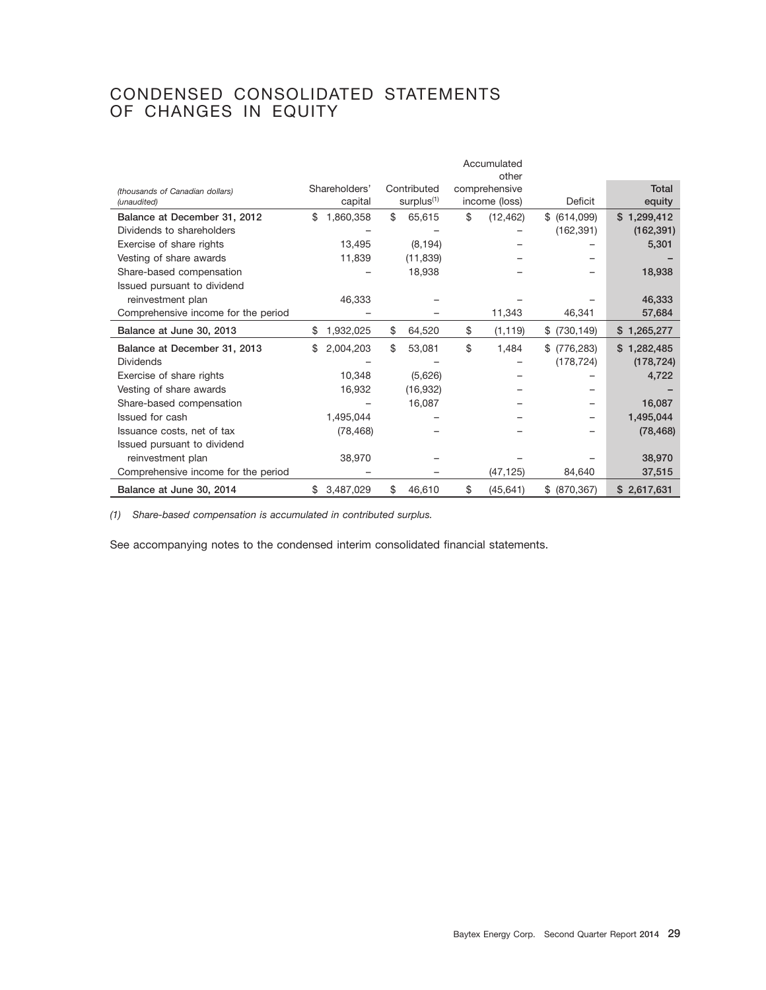# CONDENSED CONSOLIDATED STATEMENTS OF CHANGES IN EQUITY

|                                     |                 |     |                        | Accumulated     |                  |              |
|-------------------------------------|-----------------|-----|------------------------|-----------------|------------------|--------------|
|                                     |                 |     |                        | other           |                  |              |
| (thousands of Canadian dollars)     | Shareholders'   |     | Contributed            | comprehensive   |                  | <b>Total</b> |
| (unaudited)                         | capital         |     | surplus <sup>(1)</sup> | income (loss)   | <b>Deficit</b>   | equity       |
| Balance at December 31, 2012        | \$<br>1,860,358 | \$. | 65,615                 | \$<br>(12, 462) | \$<br>(614,099)  | \$1,299,412  |
| Dividends to shareholders           |                 |     |                        |                 | (162, 391)       | (162, 391)   |
| Exercise of share rights            | 13,495          |     | (8, 194)               |                 |                  | 5,301        |
| Vesting of share awards             | 11,839          |     | (11, 839)              |                 |                  |              |
| Share-based compensation            |                 |     | 18,938                 |                 |                  | 18,938       |
| Issued pursuant to dividend         |                 |     |                        |                 |                  |              |
| reinvestment plan                   | 46,333          |     |                        |                 |                  | 46,333       |
| Comprehensive income for the period |                 |     |                        | 11,343          | 46,341           | 57,684       |
| Balance at June 30, 2013            | \$<br>1,932,025 | \$  | 64,520                 | \$<br>(1, 119)  | \$<br>(730, 149) | \$1,265,277  |
| Balance at December 31, 2013        | \$<br>2,004,203 | \$  | 53,081                 | \$<br>1,484     | (776, 283)<br>\$ | \$1,282,485  |
| <b>Dividends</b>                    |                 |     |                        |                 | (178, 724)       | (178, 724)   |
| Exercise of share rights            | 10,348          |     | (5,626)                |                 |                  | 4,722        |
| Vesting of share awards             | 16,932          |     | (16, 932)              |                 |                  |              |
| Share-based compensation            |                 |     | 16,087                 |                 |                  | 16,087       |
| Issued for cash                     | 1,495,044       |     |                        |                 |                  | 1,495,044    |
| Issuance costs, net of tax          | (78, 468)       |     |                        |                 |                  | (78, 468)    |
| Issued pursuant to dividend         |                 |     |                        |                 |                  |              |
| reinvestment plan                   | 38,970          |     |                        |                 |                  | 38,970       |
| Comprehensive income for the period |                 |     |                        | (47, 125)       | 84,640           | 37,515       |
| Balance at June 30, 2014            | \$<br>3,487,029 | \$  | 46,610                 | \$<br>(45, 641) | \$ (870, 367)    | \$2,617,631  |

*(1) Share-based compensation is accumulated in contributed surplus.*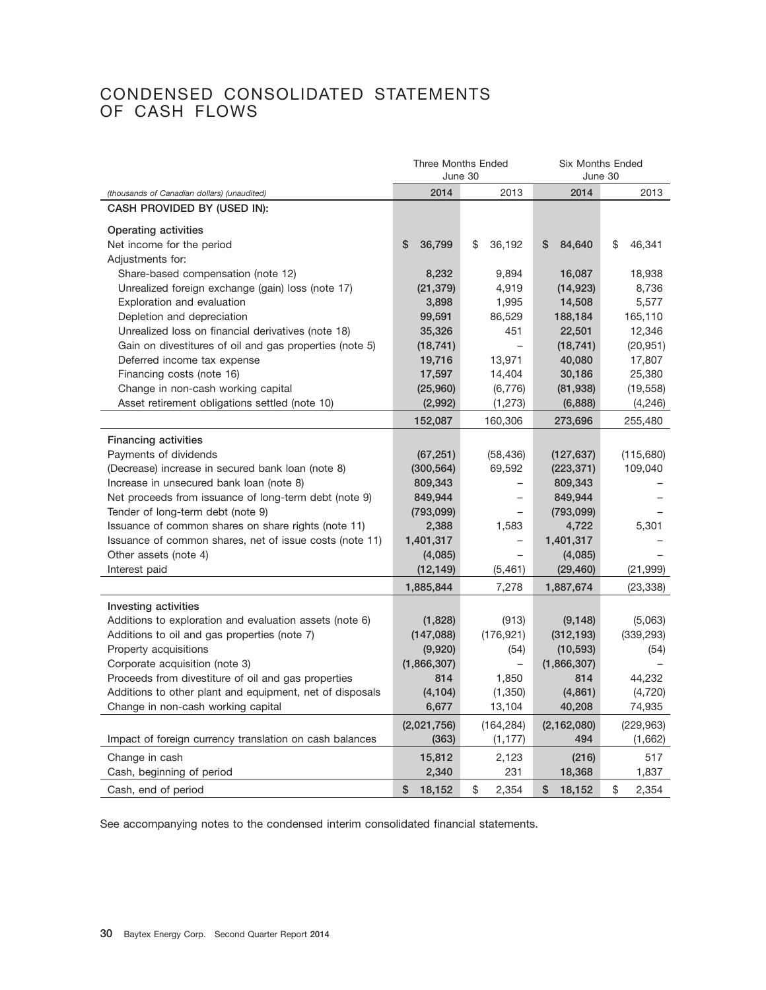# CONDENSED CONSOLIDATED STATEMENTS OF CASH FLOWS

|                                                          | <b>Three Months Ended</b><br>June 30 |                          | <b>Six Months Ended</b><br>June 30 |              |
|----------------------------------------------------------|--------------------------------------|--------------------------|------------------------------------|--------------|
| (thousands of Canadian dollars) (unaudited)              | 2014                                 | 2013                     | 2014                               | 2013         |
| CASH PROVIDED BY (USED IN):                              |                                      |                          |                                    |              |
| Operating activities                                     |                                      |                          |                                    |              |
| Net income for the period                                | \$<br>36,799                         | \$<br>36,192             | \$<br>84,640                       | \$<br>46,341 |
| Adjustments for:                                         |                                      |                          |                                    |              |
| Share-based compensation (note 12)                       | 8,232                                | 9,894                    | 16,087                             | 18,938       |
| Unrealized foreign exchange (gain) loss (note 17)        | (21, 379)                            | 4,919                    | (14, 923)                          | 8,736        |
| Exploration and evaluation                               | 3,898                                | 1,995                    | 14,508                             | 5,577        |
| Depletion and depreciation                               | 99,591                               | 86,529                   | 188,184                            | 165,110      |
| Unrealized loss on financial derivatives (note 18)       | 35,326                               | 451                      | 22,501                             | 12,346       |
| Gain on divestitures of oil and gas properties (note 5)  | (18, 741)                            |                          | (18, 741)                          | (20, 951)    |
| Deferred income tax expense                              | 19,716                               | 13,971                   | 40,080                             | 17,807       |
| Financing costs (note 16)                                | 17,597                               | 14,404                   | 30,186                             | 25,380       |
| Change in non-cash working capital                       | (25,960)                             | (6,776)                  | (81, 938)                          | (19, 558)    |
| Asset retirement obligations settled (note 10)           | (2,992)                              | (1, 273)                 | (6,888)                            | (4,246)      |
|                                                          | 152,087                              | 160,306                  | 273,696                            | 255,480      |
| <b>Financing activities</b>                              |                                      |                          |                                    |              |
| Payments of dividends                                    | (67, 251)                            | (58, 436)                | (127, 637)                         | (115,680)    |
| (Decrease) increase in secured bank loan (note 8)        | (300, 564)                           | 69,592                   | (223, 371)                         | 109,040      |
| Increase in unsecured bank loan (note 8)                 | 809,343                              | $\overline{\phantom{0}}$ | 809,343                            |              |
| Net proceeds from issuance of long-term debt (note 9)    | 849,944                              |                          | 849,944                            |              |
| Tender of long-term debt (note 9)                        | (793,099)                            | $\overline{\phantom{0}}$ | (793,099)                          |              |
| Issuance of common shares on share rights (note 11)      | 2,388                                | 1,583                    | 4,722                              | 5,301        |
| Issuance of common shares, net of issue costs (note 11)  | 1,401,317                            |                          | 1,401,317                          |              |
| Other assets (note 4)                                    | (4,085)                              | $\overline{\phantom{0}}$ | (4,085)                            |              |
| Interest paid                                            | (12, 149)                            | (5,461)                  | (29, 460)                          | (21, 999)    |
|                                                          | 1,885,844                            | 7,278                    | 1,887,674                          | (23, 338)    |
| Investing activities                                     |                                      |                          |                                    |              |
| Additions to exploration and evaluation assets (note 6)  | (1,828)                              | (913)                    | (9, 148)                           | (5,063)      |
| Additions to oil and gas properties (note 7)             | (147, 088)                           | (176, 921)               | (312, 193)                         | (339, 293)   |
| Property acquisitions                                    | (9,920)                              | (54)                     | (10, 593)                          | (54)         |
| Corporate acquisition (note 3)                           | (1,866,307)                          |                          | (1,866,307)                        |              |
| Proceeds from divestiture of oil and gas properties      | 814                                  | 1,850                    | 814                                | 44,232       |
| Additions to other plant and equipment, net of disposals | (4, 104)                             | (1,350)                  | (4,861)                            | (4,720)      |
| Change in non-cash working capital                       | 6,677                                | 13,104                   | 40,208                             | 74,935       |
|                                                          | (2,021,756)                          | (164, 284)               | (2, 162, 080)                      | (229, 963)   |
| Impact of foreign currency translation on cash balances  | (363)                                | (1, 177)                 | 494                                | (1,662)      |
| Change in cash                                           | 15,812                               | 2,123                    | (216)                              | 517          |
| Cash, beginning of period                                | 2,340                                | 231                      | 18,368                             | 1,837        |
| Cash, end of period                                      | \$<br>18,152                         | \$<br>2,354              | \$<br>18,152                       | \$<br>2,354  |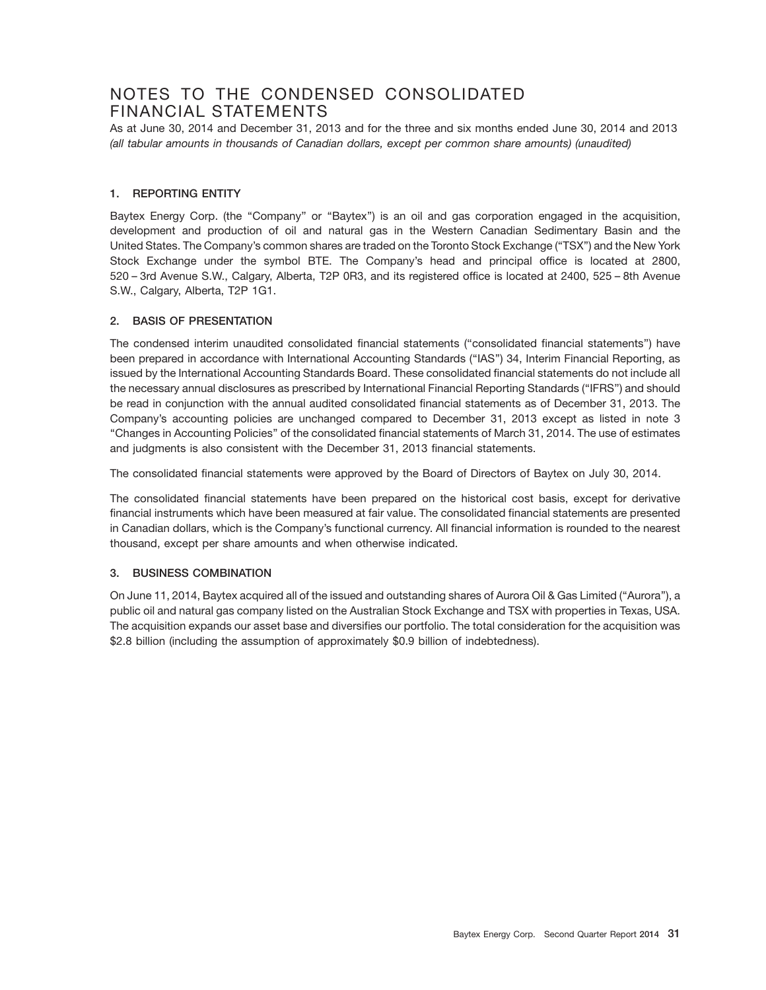# NOTES TO THE CONDENSED CONSOLIDATED FINANCIAL STATEMENTS

As at June 30, 2014 and December 31, 2013 and for the three and six months ended June 30, 2014 and 2013 *(all tabular amounts in thousands of Canadian dollars, except per common share amounts) (unaudited)*

### **1. REPORTING ENTITY**

Baytex Energy Corp. (the "Company" or "Baytex") is an oil and gas corporation engaged in the acquisition, development and production of oil and natural gas in the Western Canadian Sedimentary Basin and the United States. The Company's common shares are traded on the Toronto Stock Exchange (''TSX'') and the New York Stock Exchange under the symbol BTE. The Company's head and principal office is located at 2800, 520 – 3rd Avenue S.W., Calgary, Alberta, T2P 0R3, and its registered office is located at 2400, 525 – 8th Avenue S.W., Calgary, Alberta, T2P 1G1.

### **2. BASIS OF PRESENTATION**

The condensed interim unaudited consolidated financial statements (''consolidated financial statements'') have been prepared in accordance with International Accounting Standards (''IAS'') 34, Interim Financial Reporting, as issued by the International Accounting Standards Board. These consolidated financial statements do not include all the necessary annual disclosures as prescribed by International Financial Reporting Standards (''IFRS'') and should be read in conjunction with the annual audited consolidated financial statements as of December 31, 2013. The Company's accounting policies are unchanged compared to December 31, 2013 except as listed in note 3 ''Changes in Accounting Policies'' of the consolidated financial statements of March 31, 2014. The use of estimates and judgments is also consistent with the December 31, 2013 financial statements.

The consolidated financial statements were approved by the Board of Directors of Baytex on July 30, 2014.

The consolidated financial statements have been prepared on the historical cost basis, except for derivative financial instruments which have been measured at fair value. The consolidated financial statements are presented in Canadian dollars, which is the Company's functional currency. All financial information is rounded to the nearest thousand, except per share amounts and when otherwise indicated.

### **3. BUSINESS COMBINATION**

On June 11, 2014, Baytex acquired all of the issued and outstanding shares of Aurora Oil & Gas Limited (''Aurora''), a public oil and natural gas company listed on the Australian Stock Exchange and TSX with properties in Texas, USA. The acquisition expands our asset base and diversifies our portfolio. The total consideration for the acquisition was \$2.8 billion (including the assumption of approximately \$0.9 billion of indebtedness).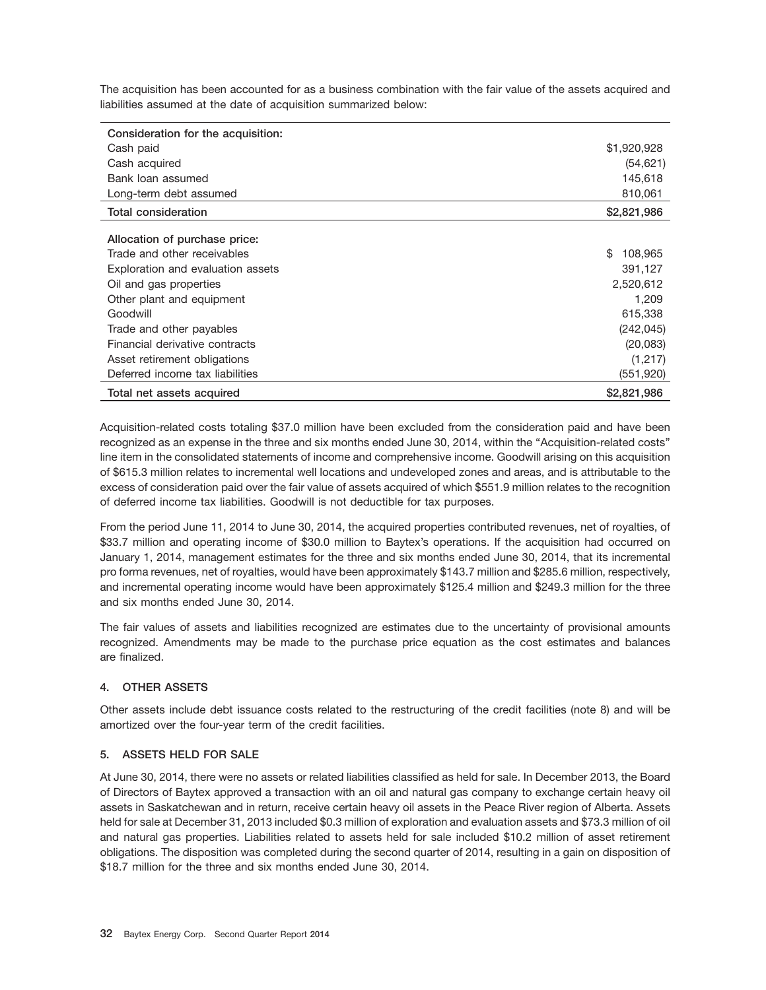The acquisition has been accounted for as a business combination with the fair value of the assets acquired and liabilities assumed at the date of acquisition summarized below:

| Consideration for the acquisition: |               |
|------------------------------------|---------------|
| Cash paid                          | \$1,920,928   |
| Cash acquired                      | (54, 621)     |
| Bank loan assumed                  | 145,618       |
| Long-term debt assumed             | 810,061       |
| <b>Total consideration</b>         | \$2,821,986   |
|                                    |               |
| Allocation of purchase price:      |               |
| Trade and other receivables        | \$<br>108,965 |
| Exploration and evaluation assets  | 391,127       |
| Oil and gas properties             | 2,520,612     |
| Other plant and equipment          | 1,209         |
| Goodwill                           | 615,338       |
| Trade and other payables           | (242, 045)    |
| Financial derivative contracts     | (20,083)      |
| Asset retirement obligations       | (1,217)       |
| Deferred income tax liabilities    | (551, 920)    |
| Total net assets acquired          | \$2,821,986   |

Acquisition-related costs totaling \$37.0 million have been excluded from the consideration paid and have been recognized as an expense in the three and six months ended June 30, 2014, within the "Acquisition-related costs" line item in the consolidated statements of income and comprehensive income. Goodwill arising on this acquisition of \$615.3 million relates to incremental well locations and undeveloped zones and areas, and is attributable to the excess of consideration paid over the fair value of assets acquired of which \$551.9 million relates to the recognition of deferred income tax liabilities. Goodwill is not deductible for tax purposes.

From the period June 11, 2014 to June 30, 2014, the acquired properties contributed revenues, net of royalties, of \$33.7 million and operating income of \$30.0 million to Baytex's operations. If the acquisition had occurred on January 1, 2014, management estimates for the three and six months ended June 30, 2014, that its incremental pro forma revenues, net of royalties, would have been approximately \$143.7 million and \$285.6 million, respectively, and incremental operating income would have been approximately \$125.4 million and \$249.3 million for the three and six months ended June 30, 2014.

The fair values of assets and liabilities recognized are estimates due to the uncertainty of provisional amounts recognized. Amendments may be made to the purchase price equation as the cost estimates and balances are finalized.

### **4. OTHER ASSETS**

Other assets include debt issuance costs related to the restructuring of the credit facilities (note 8) and will be amortized over the four-year term of the credit facilities.

### **5. ASSETS HELD FOR SALE**

At June 30, 2014, there were no assets or related liabilities classified as held for sale. In December 2013, the Board of Directors of Baytex approved a transaction with an oil and natural gas company to exchange certain heavy oil assets in Saskatchewan and in return, receive certain heavy oil assets in the Peace River region of Alberta. Assets held for sale at December 31, 2013 included \$0.3 million of exploration and evaluation assets and \$73.3 million of oil and natural gas properties. Liabilities related to assets held for sale included \$10.2 million of asset retirement obligations. The disposition was completed during the second quarter of 2014, resulting in a gain on disposition of \$18.7 million for the three and six months ended June 30, 2014.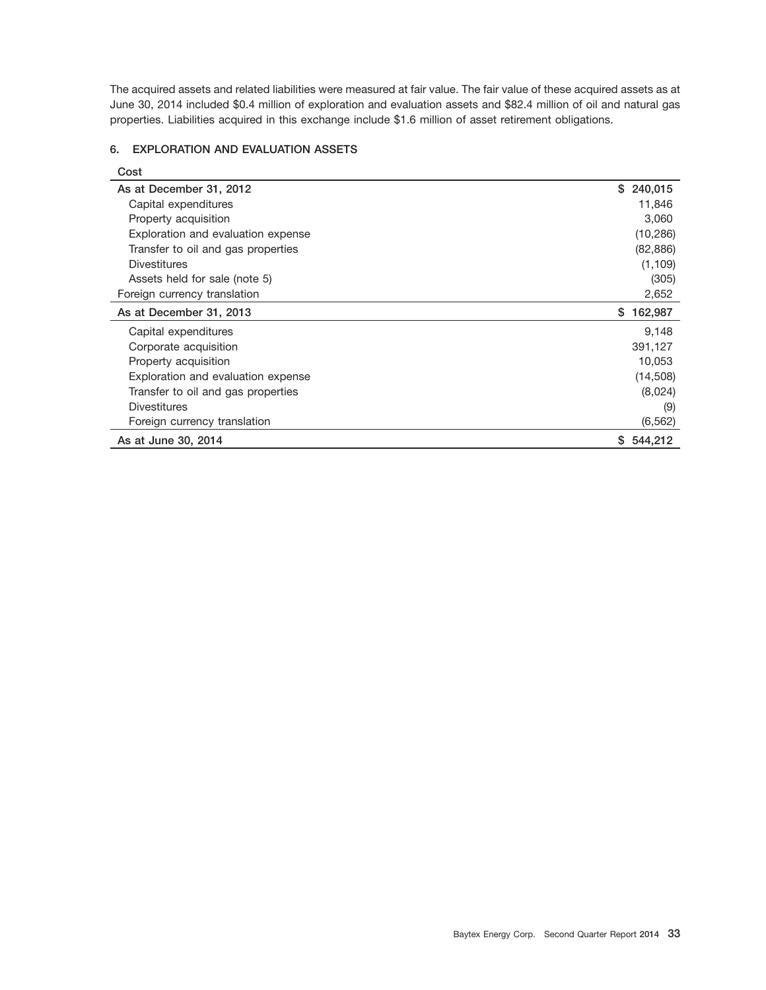The acquired assets and related liabilities were measured at fair value. The fair value of these acquired assets as at June 30, 2014 included \$0.4 million of exploration and evaluation assets and \$82.4 million of oil and natural gas properties. Liabilities acquired in this exchange include \$1.6 million of asset retirement obligations.

### **6. EXPLORATION AND EVALUATION ASSETS**

| Cost                               |               |
|------------------------------------|---------------|
| As at December 31, 2012            | \$240,015     |
| Capital expenditures               | 11,846        |
| Property acquisition               | 3,060         |
| Exploration and evaluation expense | (10, 286)     |
| Transfer to oil and gas properties | (82, 886)     |
| <b>Divestitures</b>                | (1, 109)      |
| Assets held for sale (note 5)      | (305)         |
| Foreign currency translation       | 2,652         |
| As at December 31, 2013            | S.<br>162,987 |
| Capital expenditures               | 9,148         |
| Corporate acquisition              | 391,127       |
| Property acquisition               | 10,053        |
| Exploration and evaluation expense | (14, 508)     |
| Transfer to oil and gas properties | (8,024)       |
| <b>Divestitures</b>                | (9)           |
| Foreign currency translation       | (6, 562)      |
| As at June 30, 2014                | \$544,212     |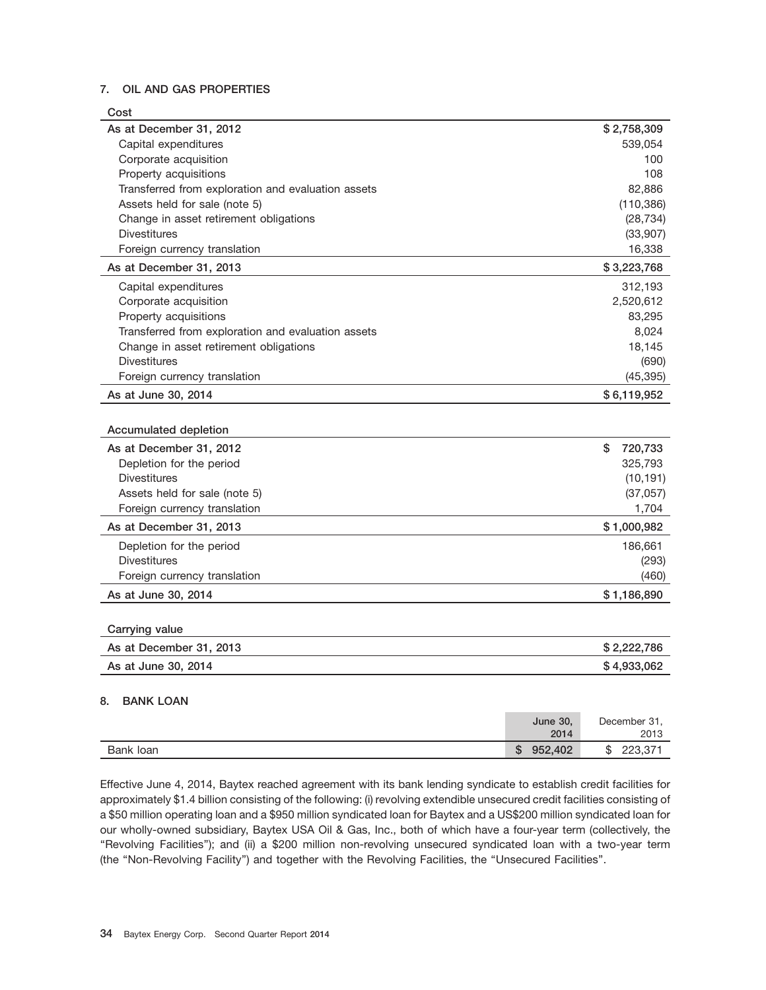### **7. OIL AND GAS PROPERTIES**

| Cost                                               |               |
|----------------------------------------------------|---------------|
| As at December 31, 2012                            | \$2,758,309   |
| Capital expenditures                               | 539,054       |
| Corporate acquisition                              | 100           |
| Property acquisitions                              | 108           |
| Transferred from exploration and evaluation assets | 82,886        |
| Assets held for sale (note 5)                      | (110, 386)    |
| Change in asset retirement obligations             | (28, 734)     |
| <b>Divestitures</b>                                | (33,907)      |
| Foreign currency translation                       | 16,338        |
| As at December 31, 2013                            | \$3,223,768   |
| Capital expenditures                               | 312,193       |
| Corporate acquisition                              | 2,520,612     |
| Property acquisitions                              | 83,295        |
| Transferred from exploration and evaluation assets | 8,024         |
| Change in asset retirement obligations             | 18,145        |
| <b>Divestitures</b>                                | (690)         |
| Foreign currency translation                       | (45, 395)     |
| As at June 30, 2014                                | \$6,119,952   |
| Accumulated depletion                              |               |
| As at December 31, 2012                            | \$<br>720,733 |
| Depletion for the period                           | 325,793       |
| <b>Divestitures</b>                                | (10, 191)     |
| Assets held for sale (note 5)                      | (37,057)      |
| Foreign currency translation                       | 1,704         |
| As at December 31, 2013                            | \$1,000,982   |
| Depletion for the period                           | 186,661       |
| <b>Divestitures</b>                                | (293)         |
| Foreign currency translation                       | (460)         |
| As at June 30, 2014                                | \$1,186,890   |
| Carrying value                                     |               |
| As at December 31, 2013                            | \$2,222,786   |
| As at June 30, 2014                                | \$4,933,062   |
| <b>BANK LOAN</b><br>8.                             |               |

|           | June 30,<br>2014  | December 31,<br>2013 |
|-----------|-------------------|----------------------|
| Bank loan | 952,402<br>æ<br>D | 223,371<br>œ<br>Œ    |

Effective June 4, 2014, Baytex reached agreement with its bank lending syndicate to establish credit facilities for approximately \$1.4 billion consisting of the following: (i) revolving extendible unsecured credit facilities consisting of a \$50 million operating loan and a \$950 million syndicated loan for Baytex and a US\$200 million syndicated loan for our wholly-owned subsidiary, Baytex USA Oil & Gas, Inc., both of which have a four-year term (collectively, the ''Revolving Facilities''); and (ii) a \$200 million non-revolving unsecured syndicated loan with a two-year term (the ''Non-Revolving Facility'') and together with the Revolving Facilities, the ''Unsecured Facilities''.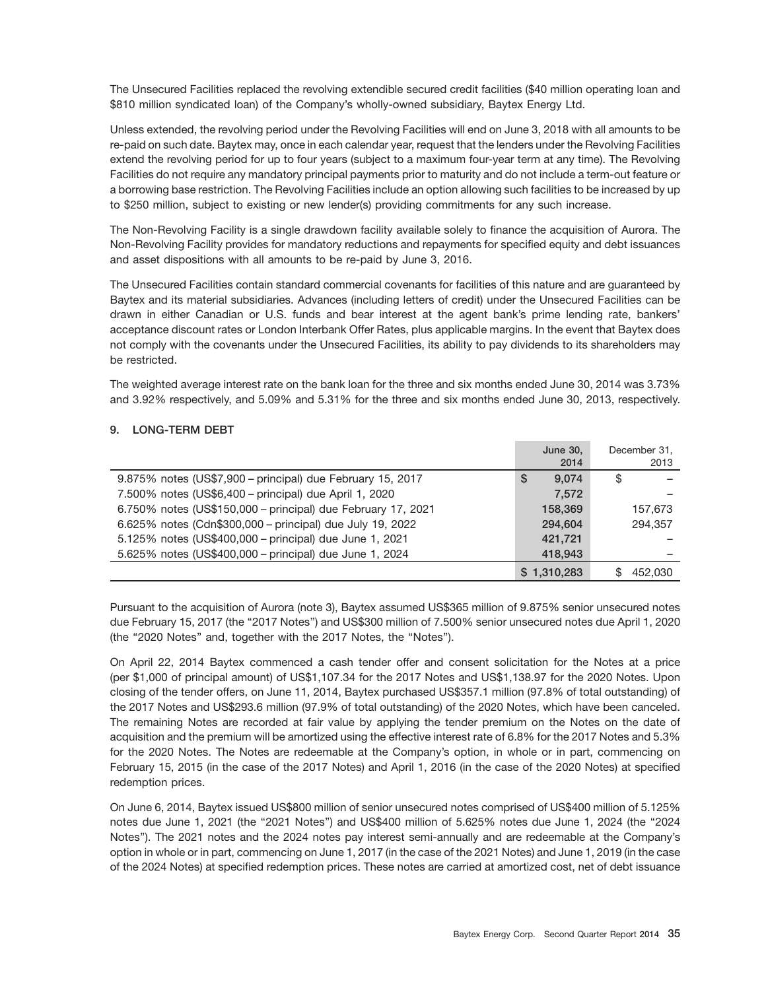The Unsecured Facilities replaced the revolving extendible secured credit facilities (\$40 million operating loan and \$810 million syndicated loan) of the Company's wholly-owned subsidiary, Baytex Energy Ltd.

Unless extended, the revolving period under the Revolving Facilities will end on June 3, 2018 with all amounts to be re-paid on such date. Baytex may, once in each calendar year, request that the lenders under the Revolving Facilities extend the revolving period for up to four years (subject to a maximum four-year term at any time). The Revolving Facilities do not require any mandatory principal payments prior to maturity and do not include a term-out feature or a borrowing base restriction. The Revolving Facilities include an option allowing such facilities to be increased by up to \$250 million, subject to existing or new lender(s) providing commitments for any such increase.

The Non-Revolving Facility is a single drawdown facility available solely to finance the acquisition of Aurora. The Non-Revolving Facility provides for mandatory reductions and repayments for specified equity and debt issuances and asset dispositions with all amounts to be re-paid by June 3, 2016.

The Unsecured Facilities contain standard commercial covenants for facilities of this nature and are guaranteed by Baytex and its material subsidiaries. Advances (including letters of credit) under the Unsecured Facilities can be drawn in either Canadian or U.S. funds and bear interest at the agent bank's prime lending rate, bankers' acceptance discount rates or London Interbank Offer Rates, plus applicable margins. In the event that Baytex does not comply with the covenants under the Unsecured Facilities, its ability to pay dividends to its shareholders may be restricted.

The weighted average interest rate on the bank loan for the three and six months ended June 30, 2014 was 3.73% and 3.92% respectively, and 5.09% and 5.31% for the three and six months ended June 30, 2013, respectively.

### **9. LONG-TERM DEBT**

|                                                              | <b>June 30,</b><br>2014 | December 31.<br>2013 |
|--------------------------------------------------------------|-------------------------|----------------------|
| 9.875% notes (US\$7,900 – principal) due February 15, 2017   | 9.074<br>\$             | \$                   |
| 7.500% notes (US\$6,400 - principal) due April 1, 2020       | 7,572                   |                      |
| 6.750% notes (US\$150,000 - principal) due February 17, 2021 | 158,369                 | 157,673              |
| 6.625% notes (Cdn\$300,000 - principal) due July 19, 2022    | 294.604                 | 294.357              |
| 5.125% notes (US\$400,000 - principal) due June 1, 2021      | 421.721                 |                      |
| 5.625% notes (US\$400,000 - principal) due June 1, 2024      | 418,943                 |                      |
|                                                              | \$1,310,283             | 452,030              |

Pursuant to the acquisition of Aurora (note 3), Baytex assumed US\$365 million of 9.875% senior unsecured notes due February 15, 2017 (the "2017 Notes") and US\$300 million of 7.500% senior unsecured notes due April 1, 2020 (the ''2020 Notes'' and, together with the 2017 Notes, the ''Notes'').

On April 22, 2014 Baytex commenced a cash tender offer and consent solicitation for the Notes at a price (per \$1,000 of principal amount) of US\$1,107.34 for the 2017 Notes and US\$1,138.97 for the 2020 Notes. Upon closing of the tender offers, on June 11, 2014, Baytex purchased US\$357.1 million (97.8% of total outstanding) of the 2017 Notes and US\$293.6 million (97.9% of total outstanding) of the 2020 Notes, which have been canceled. The remaining Notes are recorded at fair value by applying the tender premium on the Notes on the date of acquisition and the premium will be amortized using the effective interest rate of 6.8% for the 2017 Notes and 5.3% for the 2020 Notes. The Notes are redeemable at the Company's option, in whole or in part, commencing on February 15, 2015 (in the case of the 2017 Notes) and April 1, 2016 (in the case of the 2020 Notes) at specified redemption prices.

On June 6, 2014, Baytex issued US\$800 million of senior unsecured notes comprised of US\$400 million of 5.125% notes due June 1, 2021 (the ''2021 Notes'') and US\$400 million of 5.625% notes due June 1, 2024 (the ''2024 Notes''). The 2021 notes and the 2024 notes pay interest semi-annually and are redeemable at the Company's option in whole or in part, commencing on June 1, 2017 (in the case of the 2021 Notes) and June 1, 2019 (in the case of the 2024 Notes) at specified redemption prices. These notes are carried at amortized cost, net of debt issuance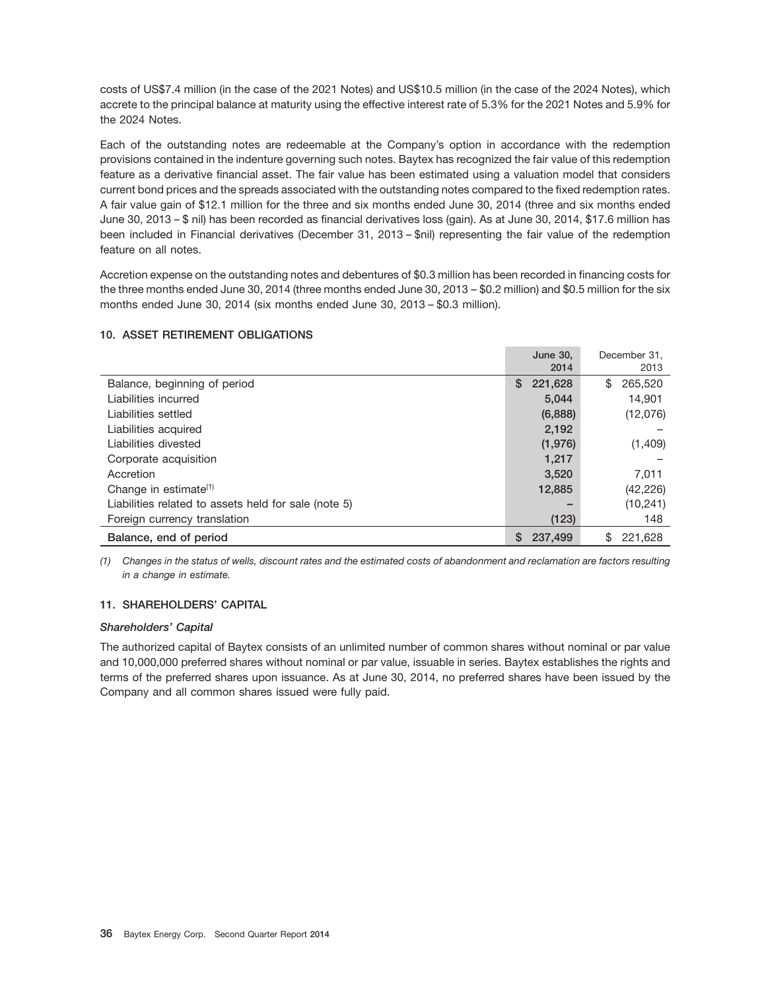costs of US\$7.4 million (in the case of the 2021 Notes) and US\$10.5 million (in the case of the 2024 Notes), which accrete to the principal balance at maturity using the effective interest rate of 5.3% for the 2021 Notes and 5.9% for the 2024 Notes.

Each of the outstanding notes are redeemable at the Company's option in accordance with the redemption provisions contained in the indenture governing such notes. Baytex has recognized the fair value of this redemption feature as a derivative financial asset. The fair value has been estimated using a valuation model that considers current bond prices and the spreads associated with the outstanding notes compared to the fixed redemption rates. A fair value gain of \$12.1 million for the three and six months ended June 30, 2014 (three and six months ended June 30, 2013 – \$ nil) has been recorded as financial derivatives loss (gain). As at June 30, 2014, \$17.6 million has been included in Financial derivatives (December 31, 2013 – \$nil) representing the fair value of the redemption feature on all notes.

Accretion expense on the outstanding notes and debentures of \$0.3 million has been recorded in financing costs for the three months ended June 30, 2014 (three months ended June 30, 2013 – \$0.2 million) and \$0.5 million for the six months ended June 30, 2014 (six months ended June 30, 2013 – \$0.3 million).

|                                                      | <b>June 30.</b><br>2014 | December 31.<br>2013 |
|------------------------------------------------------|-------------------------|----------------------|
| Balance, beginning of period                         | 221,628<br>S            | \$<br>265,520        |
| Liabilities incurred                                 | 5,044                   | 14.901               |
| Liabilities settled                                  | (6,888)                 | (12,076)             |
| Liabilities acquired                                 | 2,192                   |                      |
| Liabilities divested                                 | (1,976)                 | (1,409)              |
| Corporate acquisition                                | 1,217                   |                      |
| Accretion                                            | 3,520                   | 7,011                |
| Change in estimate $(1)$                             | 12,885                  | (42, 226)            |
| Liabilities related to assets held for sale (note 5) |                         | (10, 241)            |
| Foreign currency translation                         | (123)                   | 148                  |
| Balance, end of period                               | 237.499<br>S            | 221.628<br>\$        |

### **10. ASSET RETIREMENT OBLIGATIONS**

*(1) Changes in the status of wells, discount rates and the estimated costs of abandonment and reclamation are factors resulting in a change in estimate.*

### **11. SHAREHOLDERS' CAPITAL**

### *Shareholders' Capital*

The authorized capital of Baytex consists of an unlimited number of common shares without nominal or par value and 10,000,000 preferred shares without nominal or par value, issuable in series. Baytex establishes the rights and terms of the preferred shares upon issuance. As at June 30, 2014, no preferred shares have been issued by the Company and all common shares issued were fully paid.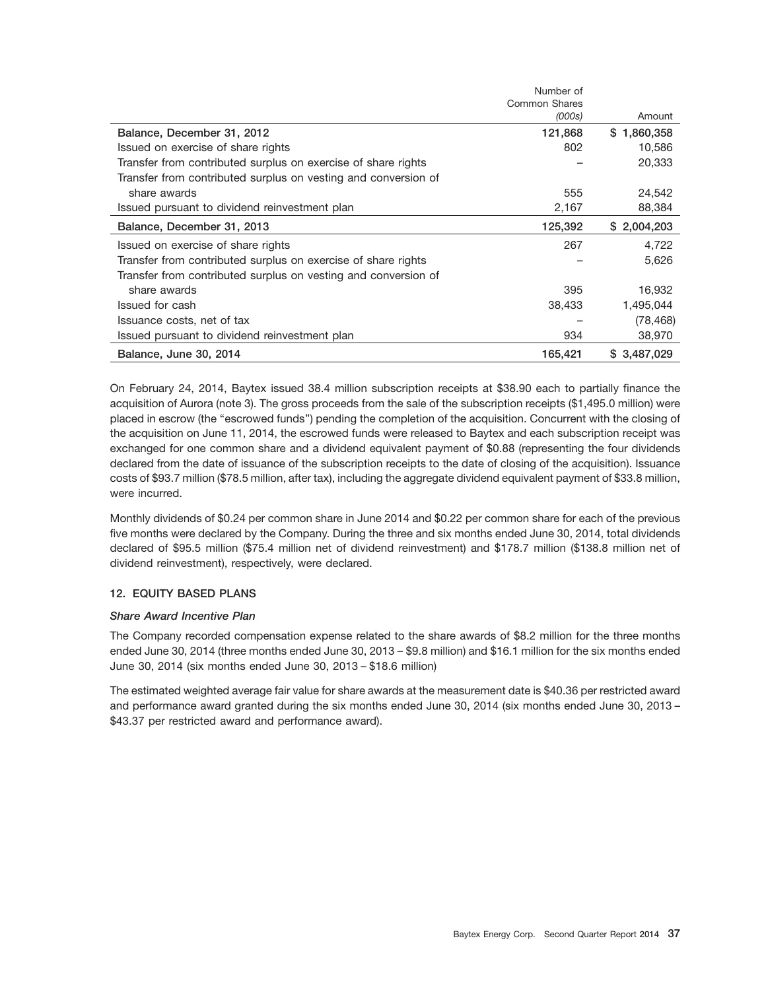|                                                                | Number of<br><b>Common Shares</b> |              |
|----------------------------------------------------------------|-----------------------------------|--------------|
|                                                                | (000s)                            | Amount       |
| Balance, December 31, 2012                                     | 121,868                           | \$1,860,358  |
| Issued on exercise of share rights                             | 802                               | 10,586       |
| Transfer from contributed surplus on exercise of share rights  |                                   | 20,333       |
| Transfer from contributed surplus on vesting and conversion of |                                   |              |
| share awards                                                   | 555                               | 24,542       |
| Issued pursuant to dividend reinvestment plan                  | 2,167                             | 88,384       |
| Balance, December 31, 2013                                     | 125,392                           | \$2,004,203  |
| Issued on exercise of share rights                             | 267                               | 4,722        |
| Transfer from contributed surplus on exercise of share rights  |                                   | 5,626        |
| Transfer from contributed surplus on vesting and conversion of |                                   |              |
| share awards                                                   | 395                               | 16,932       |
| Issued for cash                                                | 38,433                            | 1,495,044    |
| Issuance costs, net of tax                                     |                                   | (78, 468)    |
| Issued pursuant to dividend reinvestment plan                  | 934                               | 38,970       |
| Balance, June 30, 2014                                         | 165,421                           | \$ 3,487,029 |

On February 24, 2014, Baytex issued 38.4 million subscription receipts at \$38.90 each to partially finance the acquisition of Aurora (note 3). The gross proceeds from the sale of the subscription receipts (\$1,495.0 million) were placed in escrow (the ''escrowed funds'') pending the completion of the acquisition. Concurrent with the closing of the acquisition on June 11, 2014, the escrowed funds were released to Baytex and each subscription receipt was exchanged for one common share and a dividend equivalent payment of \$0.88 (representing the four dividends declared from the date of issuance of the subscription receipts to the date of closing of the acquisition). Issuance costs of \$93.7 million (\$78.5 million, after tax), including the aggregate dividend equivalent payment of \$33.8 million, were incurred.

Monthly dividends of \$0.24 per common share in June 2014 and \$0.22 per common share for each of the previous five months were declared by the Company. During the three and six months ended June 30, 2014, total dividends declared of \$95.5 million (\$75.4 million net of dividend reinvestment) and \$178.7 million (\$138.8 million net of dividend reinvestment), respectively, were declared.

### **12. EQUITY BASED PLANS**

### *Share Award Incentive Plan*

The Company recorded compensation expense related to the share awards of \$8.2 million for the three months ended June 30, 2014 (three months ended June 30, 2013 – \$9.8 million) and \$16.1 million for the six months ended June 30, 2014 (six months ended June 30, 2013 – \$18.6 million)

The estimated weighted average fair value for share awards at the measurement date is \$40.36 per restricted award and performance award granted during the six months ended June 30, 2014 (six months ended June 30, 2013 – \$43.37 per restricted award and performance award).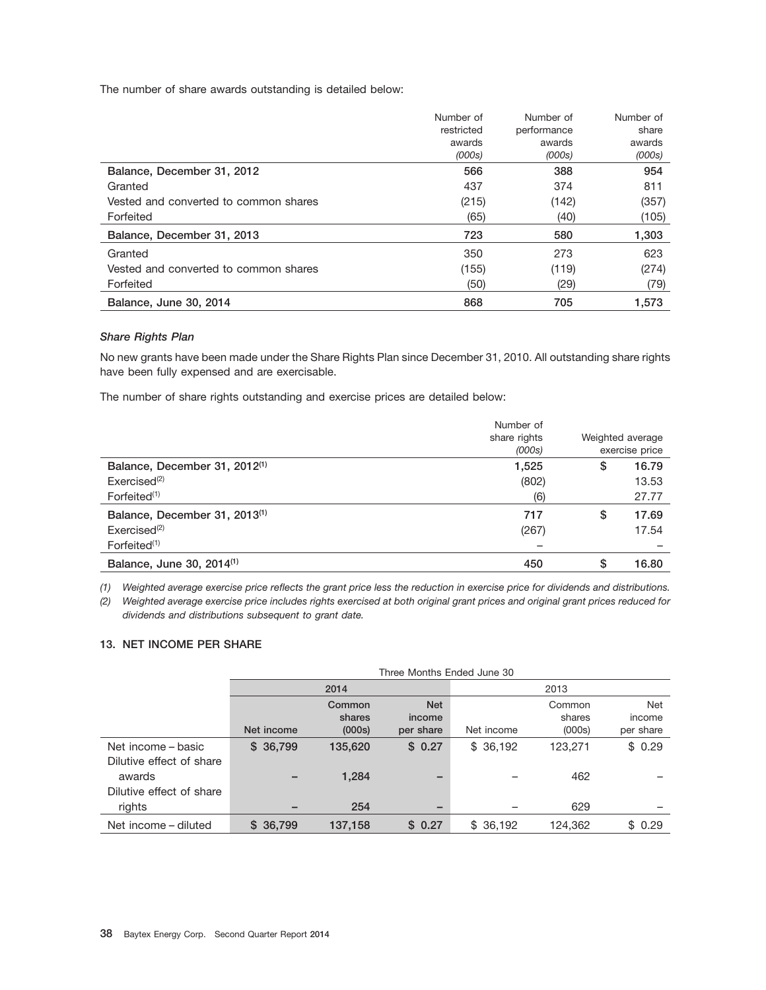The number of share awards outstanding is detailed below:

|                                       | Number of<br>restricted<br>awards<br>(000s) | Number of<br>performance<br>awards<br>(000s) | Number of<br>share<br>awards<br>(000s) |
|---------------------------------------|---------------------------------------------|----------------------------------------------|----------------------------------------|
| Balance, December 31, 2012            | 566                                         | 388                                          | 954                                    |
| Granted                               | 437                                         | 374                                          | 811                                    |
| Vested and converted to common shares | (215)                                       | (142)                                        | (357)                                  |
| Forfeited                             | (65)                                        | (40)                                         | (105)                                  |
| Balance, December 31, 2013            | 723                                         | 580                                          | 1,303                                  |
| Granted                               | 350                                         | 273                                          | 623                                    |
| Vested and converted to common shares | (155)                                       | (119)                                        | (274)                                  |
| Forfeited                             | (50)                                        | (29)                                         | (79)                                   |
| Balance, June 30, 2014                | 868                                         | 705                                          | 1.573                                  |

### *Share Rights Plan*

No new grants have been made under the Share Rights Plan since December 31, 2010. All outstanding share rights have been fully expensed and are exercisable.

The number of share rights outstanding and exercise prices are detailed below:

|                                           | Number of<br>share rights<br>(000s) |    | Weighted average<br>exercise price |
|-------------------------------------------|-------------------------------------|----|------------------------------------|
| Balance, December 31, 2012 <sup>(1)</sup> | 1,525                               | S  | 16.79                              |
| Exercised <sup>(2)</sup>                  | (802)                               |    | 13.53                              |
| Forfeited $(1)$                           | (6)                                 |    | 27.77                              |
| Balance, December 31, 2013 <sup>(1)</sup> | 717                                 | \$ | 17.69                              |
| Exercised <sup>(2)</sup>                  | (267)                               |    | 17.54                              |
| Forfeited $(1)$                           |                                     |    |                                    |
| Balance, June 30, 2014 <sup>(1)</sup>     | 450                                 | S  | 16.80                              |

*(1) Weighted average exercise price reflects the grant price less the reduction in exercise price for dividends and distributions.*

*(2) Weighted average exercise price includes rights exercised at both original grant prices and original grant prices reduced for dividends and distributions subsequent to grant date.*

### **13. NET INCOME PER SHARE**

|                                    | Three Months Ended June 30 |                            |                                   |            |                            |                                   |
|------------------------------------|----------------------------|----------------------------|-----------------------------------|------------|----------------------------|-----------------------------------|
|                                    |                            | 2014                       |                                   | 2013       |                            |                                   |
|                                    | Net income                 | Common<br>shares<br>(000s) | <b>Net</b><br>income<br>per share | Net income | Common<br>shares<br>(000s) | <b>Net</b><br>income<br>per share |
| Net income – basic                 | \$36,799                   | 135,620                    | \$0.27                            | \$36,192   | 123,271                    | \$0.29                            |
| Dilutive effect of share<br>awards |                            | 1,284                      | -                                 |            | 462                        |                                   |
| Dilutive effect of share           |                            |                            |                                   |            |                            |                                   |
| rights                             |                            | 254                        | $\overline{\phantom{0}}$          |            | 629                        |                                   |
| Net income – diluted               | \$36,799                   | 137,158                    | \$0.27                            | \$36,192   | 124.362                    | \$0.29                            |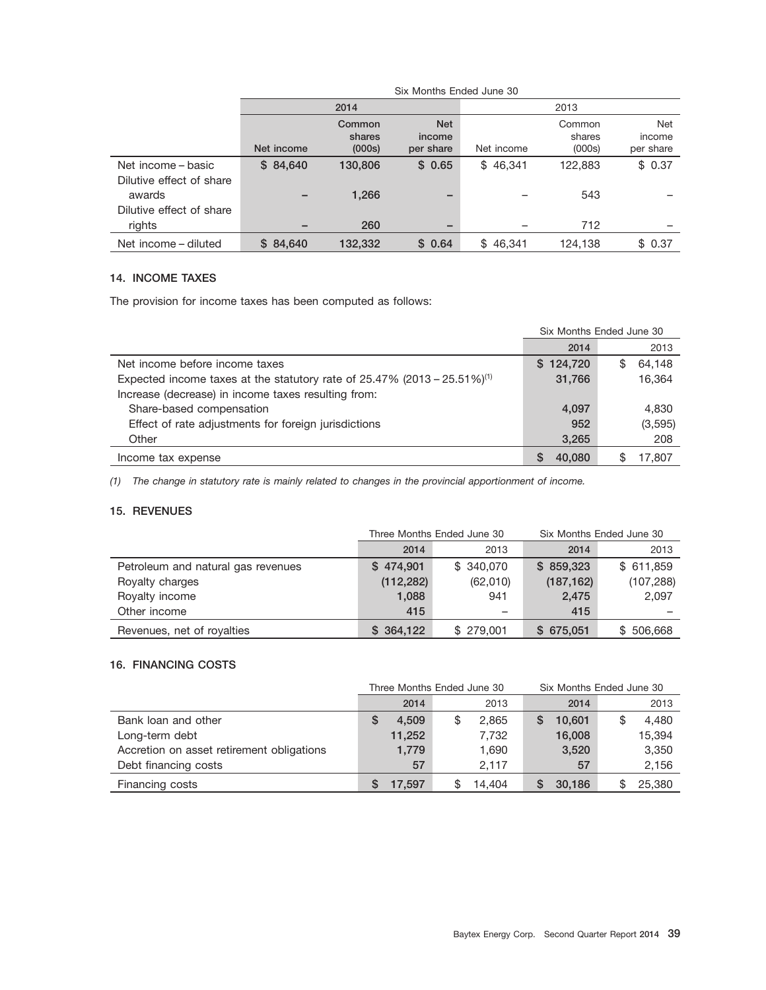|                          | Six Months Ended June 30 |                            |                                   |            |                            |                            |
|--------------------------|--------------------------|----------------------------|-----------------------------------|------------|----------------------------|----------------------------|
|                          |                          | 2014                       |                                   |            | 2013                       |                            |
|                          | Net income               | Common<br>shares<br>(000s) | <b>Net</b><br>income<br>per share | Net income | Common<br>shares<br>(000s) | Net<br>income<br>per share |
| Net income – basic       | \$84,640                 | 130,806                    | \$0.65                            | \$46,341   | 122.883                    | \$0.37                     |
| Dilutive effect of share |                          |                            |                                   |            |                            |                            |
| awards                   |                          | 1,266                      | -                                 |            | 543                        |                            |
| Dilutive effect of share |                          |                            |                                   |            |                            |                            |
| rights                   |                          | 260                        | -                                 |            | 712                        |                            |
| Net income – diluted     | \$84,640                 | 132,332                    | \$0.64                            | \$46,341   | 124.138                    | \$0.37                     |

### **14. INCOME TAXES**

The provision for income taxes has been computed as follows:

|                                                                                      |           | Six Months Ended June 30 |
|--------------------------------------------------------------------------------------|-----------|--------------------------|
|                                                                                      | 2014      | 2013                     |
| Net income before income taxes                                                       | \$124.720 | 64.148<br>S              |
| Expected income taxes at the statutory rate of 25.47% (2013 - 25.51%) <sup>(1)</sup> | 31,766    | 16,364                   |
| Increase (decrease) in income taxes resulting from:                                  |           |                          |
| Share-based compensation                                                             | 4.097     | 4.830                    |
| Effect of rate adjustments for foreign jurisdictions                                 | 952       | (3,595)                  |
| Other                                                                                | 3,265     | 208                      |
| Income tax expense                                                                   | 40,080    | 17.807                   |

*(1) The change in statutory rate is mainly related to changes in the provincial apportionment of income.*

### **15. REVENUES**

|                                    |            | Three Months Ended June 30 |            | Six Months Ended June 30 |
|------------------------------------|------------|----------------------------|------------|--------------------------|
|                                    | 2014       | 2013                       | 2014       | 2013                     |
| Petroleum and natural gas revenues | \$474,901  | \$340,070                  | \$859,323  | \$611,859                |
| Royalty charges                    | (112, 282) | (62,010)                   | (187, 162) | (107, 288)               |
| Royalty income                     | 1.088      | 941                        | 2.475      | 2,097                    |
| Other income                       | 415        |                            | 415        |                          |
| Revenues, net of royalties         | \$364,122  | \$279,001                  | \$675,051  | \$506,668                |

### **16. FINANCING COSTS**

|                                           | Three Months Ended June 30 |        | Six Months Ended June 30 |        |
|-------------------------------------------|----------------------------|--------|--------------------------|--------|
|                                           | 2014                       | 2013   | 2014                     | 2013   |
| Bank loan and other                       | 4.509<br>S                 | 2.865  | 10,601<br>S              | 4,480  |
| Long-term debt                            | 11,252                     | 7,732  | 16,008                   | 15,394 |
| Accretion on asset retirement obligations | 1,779                      | 1,690  | 3,520                    | 3,350  |
| Debt financing costs                      | 57                         | 2.117  | 57                       | 2,156  |
| Financing costs                           | 17.597                     | 14.404 | 30.186                   | 25,380 |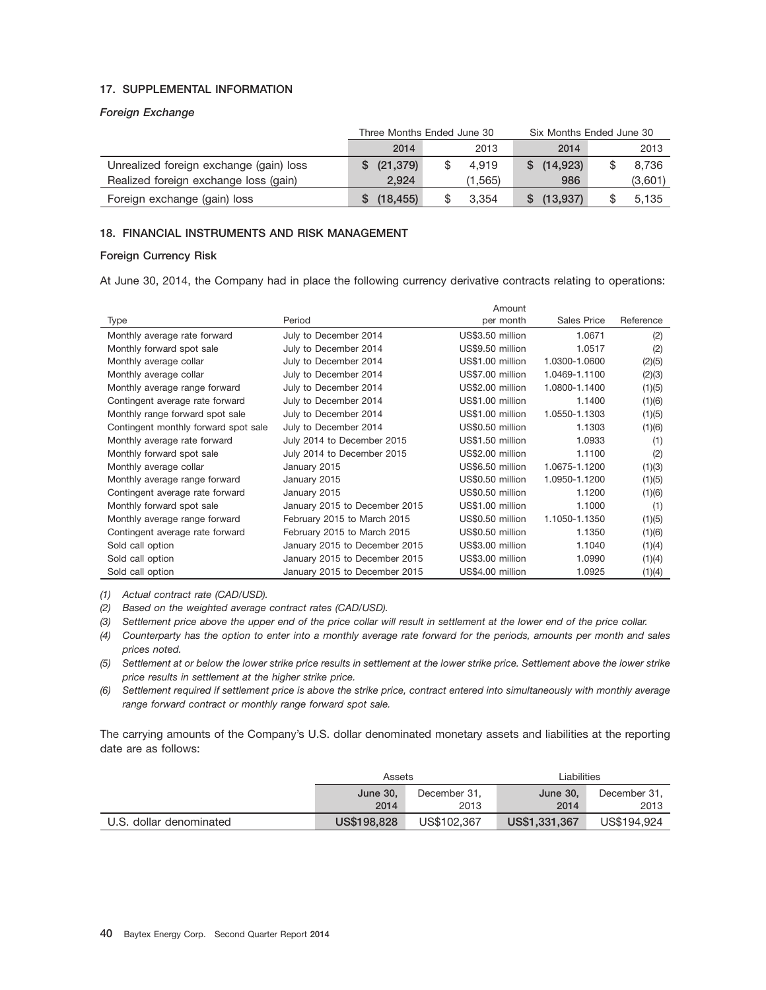### **17. SUPPLEMENTAL INFORMATION**

### *Foreign Exchange*

|                                         | Three Months Ended June 30 |         | Six Months Ended June 30 |  |         |
|-----------------------------------------|----------------------------|---------|--------------------------|--|---------|
|                                         | 2014                       | 2013    | 2014                     |  | 2013    |
| Unrealized foreign exchange (gain) loss | (21, 379)                  | 4.919   | (14, 923)                |  | 8.736   |
| Realized foreign exchange loss (gain)   | 2.924                      | (1.565) | 986                      |  | (3,601) |
| Foreign exchange (gain) loss            | (18.455)                   | 3.354   | (13.937)                 |  | 5,135   |

### **18. FINANCIAL INSTRUMENTS AND RISK MANAGEMENT**

### **Foreign Currency Risk**

At June 30, 2014, the Company had in place the following currency derivative contracts relating to operations:

|                                      |                               | Amount           |                    |           |
|--------------------------------------|-------------------------------|------------------|--------------------|-----------|
| Type                                 | Period                        | per month        | <b>Sales Price</b> | Reference |
| Monthly average rate forward         | July to December 2014         | US\$3.50 million | 1.0671             | (2)       |
| Monthly forward spot sale            | July to December 2014         | US\$9.50 million | 1.0517             | (2)       |
| Monthly average collar               | July to December 2014         | US\$1.00 million | 1.0300-1.0600      | (2)(5)    |
| Monthly average collar               | July to December 2014         | US\$7.00 million | 1.0469-1.1100      | (2)(3)    |
| Monthly average range forward        | July to December 2014         | US\$2.00 million | 1.0800-1.1400      | (1)(5)    |
| Contingent average rate forward      | July to December 2014         | US\$1.00 million | 1.1400             | (1)(6)    |
| Monthly range forward spot sale      | July to December 2014         | US\$1.00 million | 1.0550-1.1303      | (1)(5)    |
| Contingent monthly forward spot sale | July to December 2014         | US\$0.50 million | 1.1303             | (1)(6)    |
| Monthly average rate forward         | July 2014 to December 2015    | US\$1.50 million | 1.0933             | (1)       |
| Monthly forward spot sale            | July 2014 to December 2015    | US\$2.00 million | 1.1100             | (2)       |
| Monthly average collar               | January 2015                  | US\$6.50 million | 1.0675-1.1200      | (1)(3)    |
| Monthly average range forward        | January 2015                  | US\$0.50 million | 1.0950-1.1200      | (1)(5)    |
| Contingent average rate forward      | January 2015                  | US\$0.50 million | 1.1200             | (1)(6)    |
| Monthly forward spot sale            | January 2015 to December 2015 | US\$1.00 million | 1.1000             | (1)       |
| Monthly average range forward        | February 2015 to March 2015   | US\$0.50 million | 1.1050-1.1350      | (1)(5)    |
| Contingent average rate forward      | February 2015 to March 2015   | US\$0.50 million | 1.1350             | (1)(6)    |
| Sold call option                     | January 2015 to December 2015 | US\$3.00 million | 1.1040             | (1)(4)    |
| Sold call option                     | January 2015 to December 2015 | US\$3.00 million | 1.0990             | (1)(4)    |
| Sold call option                     | January 2015 to December 2015 | US\$4.00 million | 1.0925             | (1)(4)    |

*(1) Actual contract rate (CAD/USD).*

- *(2) Based on the weighted average contract rates (CAD/USD).*
- *(3) Settlement price above the upper end of the price collar will result in settlement at the lower end of the price collar.*
- *(4) Counterparty has the option to enter into a monthly average rate forward for the periods, amounts per month and sales prices noted.*
- *(5) Settlement at or below the lower strike price results in settlement at the lower strike price. Settlement above the lower strike price results in settlement at the higher strike price.*
- *(6) Settlement required if settlement price is above the strike price, contract entered into simultaneously with monthly average range forward contract or monthly range forward spot sale.*

The carrying amounts of the Company's U.S. dollar denominated monetary assets and liabilities at the reporting date are as follows:

|                         | Assets      |              | Liabilities     |              |
|-------------------------|-------------|--------------|-----------------|--------------|
|                         | June 30.    | December 31. | <b>June 30.</b> | December 31. |
|                         | 2014        | 2013         | 2014            | 2013         |
| U.S. dollar denominated | US\$198,828 | US\$102.367  | US\$1,331,367   | US\$194,924  |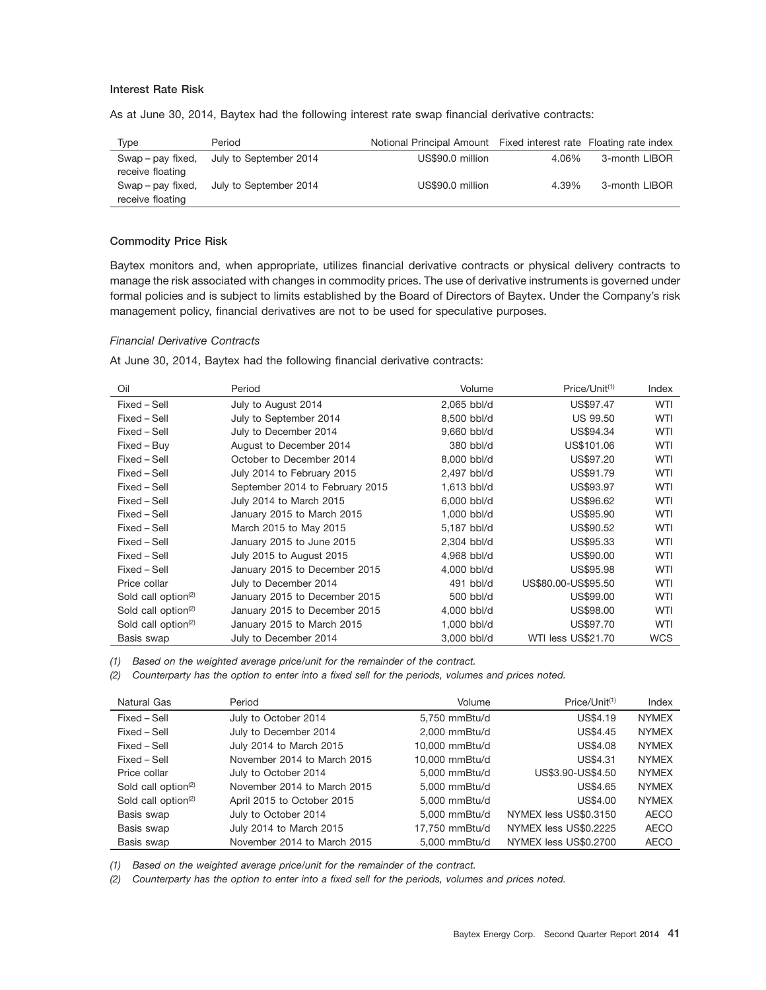### **Interest Rate Risk**

As at June 30, 2014, Baytex had the following interest rate swap financial derivative contracts:

| Type                                 | Period                                   | Notional Principal Amount Fixed interest rate Floating rate index |       |               |
|--------------------------------------|------------------------------------------|-------------------------------------------------------------------|-------|---------------|
| Swap – pay fixed,                    | July to September 2014                   | US\$90.0 million                                                  | 4.06% | 3-month LIBOR |
| receive floating<br>receive floating | Swap – pay fixed, July to September 2014 | US\$90.0 million                                                  | 4.39% | 3-month LIBOR |

### **Commodity Price Risk**

Baytex monitors and, when appropriate, utilizes financial derivative contracts or physical delivery contracts to manage the risk associated with changes in commodity prices. The use of derivative instruments is governed under formal policies and is subject to limits established by the Board of Directors of Baytex. Under the Company's risk management policy, financial derivatives are not to be used for speculative purposes.

### *Financial Derivative Contracts*

At June 30, 2014, Baytex had the following financial derivative contracts:

| Oil                             | Period                          | Volume        | Price/Unit <sup>(1)</sup> | Index      |
|---------------------------------|---------------------------------|---------------|---------------------------|------------|
| Fixed - Sell                    | July to August 2014             | 2,065 bbl/d   | US\$97.47                 | <b>WTI</b> |
| Fixed - Sell                    | July to September 2014          | 8,500 bbl/d   | <b>US 99.50</b>           | WTI        |
| Fixed - Sell                    | July to December 2014           | 9,660 bbl/d   | US\$94.34                 | WTI        |
| Fixed - Buy                     | August to December 2014         | 380 bbl/d     | US\$101.06                | WTI        |
| Fixed - Sell                    | October to December 2014        | 8,000 bbl/d   | US\$97.20                 | <b>WTI</b> |
| Fixed - Sell                    | July 2014 to February 2015      | 2,497 bbl/d   | US\$91.79                 | WTI        |
| Fixed - Sell                    | September 2014 to February 2015 | $1.613$ bbl/d | US\$93.97                 | WTI        |
| Fixed - Sell                    | July 2014 to March 2015         | 6,000 bbl/d   | US\$96.62                 | WTI        |
| Fixed - Sell                    | January 2015 to March 2015      | 1,000 bbl/d   | US\$95.90                 | WTI        |
| Fixed - Sell                    | March 2015 to May 2015          | 5.187 bbl/d   | US\$90.52                 | WTI        |
| Fixed - Sell                    | January 2015 to June 2015       | 2,304 bbl/d   | US\$95.33                 | WTI        |
| Fixed – Sell                    | July 2015 to August 2015        | 4,968 bbl/d   | US\$90.00                 | <b>WTI</b> |
| Fixed - Sell                    | January 2015 to December 2015   | 4,000 bbl/d   | US\$95.98                 | <b>WTI</b> |
| Price collar                    | July to December 2014           | $491$ bbl/d   | US\$80.00-US\$95.50       | WTI        |
| Sold call option <sup>(2)</sup> | January 2015 to December 2015   | 500 bbl/d     | US\$99.00                 | WTI        |
| Sold call option <sup>(2)</sup> | January 2015 to December 2015   | 4.000 bbl/d   | US\$98.00                 | <b>WTI</b> |
| Sold call option <sup>(2)</sup> | January 2015 to March 2015      | 1,000 bbl/d   | US\$97.70                 | <b>WTI</b> |
| Basis swap                      | July to December 2014           | 3,000 bbl/d   | WTI less US\$21.70        | <b>WCS</b> |

*(1) Based on the weighted average price/unit for the remainder of the contract.*

*(2) Counterparty has the option to enter into a fixed sell for the periods, volumes and prices noted.*

| <b>Natural Gas</b>                           | Period                      | Volume         | Price/Unit <sup>(1)</sup> | Index        |
|----------------------------------------------|-----------------------------|----------------|---------------------------|--------------|
| Fixed – Sell                                 | July to October 2014        | 5.750 mmBtu/d  | US\$4.19                  | <b>NYMEX</b> |
| Fixed – Sell                                 | July to December 2014       | 2,000 mmBtu/d  | US\$4.45                  | <b>NYMEX</b> |
| Fixed - Sell                                 | July 2014 to March 2015     | 10,000 mmBtu/d | US\$4.08                  | <b>NYMEX</b> |
| Fixed – Sell                                 | November 2014 to March 2015 | 10,000 mmBtu/d | US\$4.31                  | <b>NYMEX</b> |
| Price collar                                 | July to October 2014        | 5,000 mmBtu/d  | US\$3.90-US\$4.50         | <b>NYMEX</b> |
| Sold call option <sup><math>(2)</math></sup> | November 2014 to March 2015 | 5,000 mmBtu/d  | US\$4.65                  | <b>NYMEX</b> |
| Sold call option <sup>(2)</sup>              | April 2015 to October 2015  | 5,000 mmBtu/d  | US\$4.00                  | <b>NYMEX</b> |
| Basis swap                                   | July to October 2014        | 5,000 mmBtu/d  | NYMEX less US\$0.3150     | <b>AECO</b>  |
| Basis swap                                   | July 2014 to March 2015     | 17.750 mmBtu/d | NYMEX less US\$0.2225     | <b>AECO</b>  |
| Basis swap                                   | November 2014 to March 2015 | 5,000 mmBtu/d  | NYMEX less US\$0.2700     | <b>AECO</b>  |

*(1) Based on the weighted average price/unit for the remainder of the contract.*

*(2) Counterparty has the option to enter into a fixed sell for the periods, volumes and prices noted.*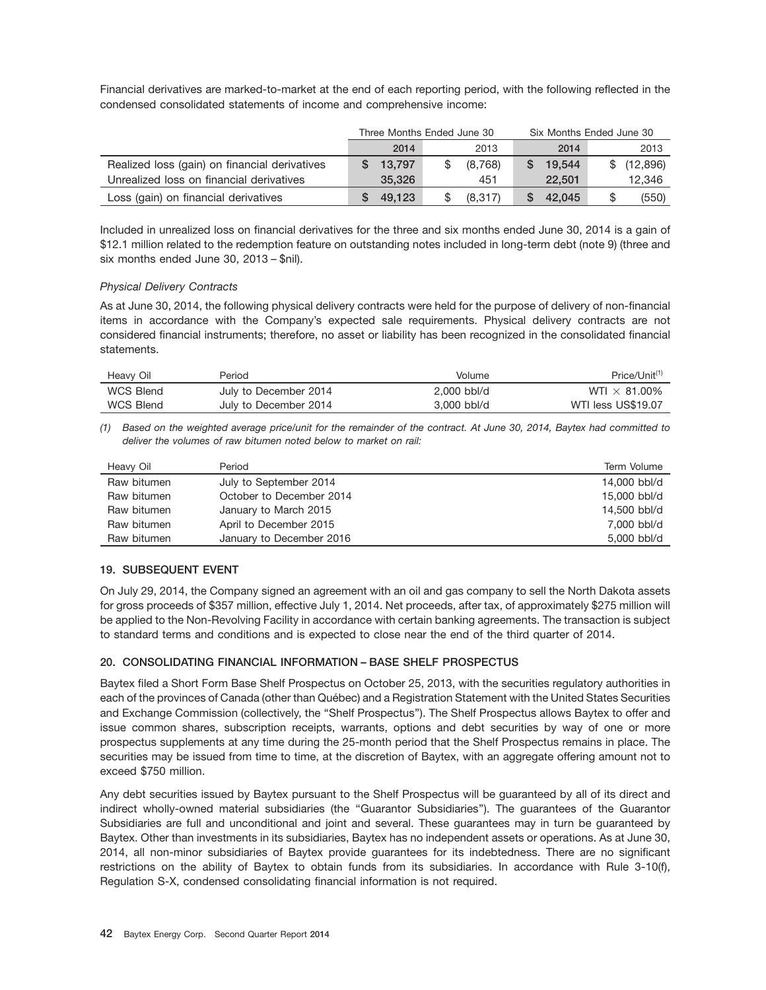Financial derivatives are marked-to-market at the end of each reporting period, with the following reflected in the condensed consolidated statements of income and comprehensive income:

|                                               | Three Months Ended June 30 |         | Six Months Ended June 30 |                 |
|-----------------------------------------------|----------------------------|---------|--------------------------|-----------------|
|                                               | 2014                       | 2013    | 2014                     | 2013            |
| Realized loss (gain) on financial derivatives | 13.797                     | (8.768) | 19.544                   | (12, 896)<br>\$ |
| Unrealized loss on financial derivatives      | 35,326                     | 451     | 22,501                   | 12.346          |
| Loss (gain) on financial derivatives          | 49.123                     | (8,317) | 42.045                   | (550)           |

Included in unrealized loss on financial derivatives for the three and six months ended June 30, 2014 is a gain of \$12.1 million related to the redemption feature on outstanding notes included in long-term debt (note 9) (three and six months ended June 30, 2013 – \$nil).

### *Physical Delivery Contracts*

As at June 30, 2014, the following physical delivery contracts were held for the purpose of delivery of non-financial items in accordance with the Company's expected sale requirements. Physical delivery contracts are not considered financial instruments; therefore, no asset or liability has been recognized in the consolidated financial statements.

| Heavy Oil        | Period                | Volume        | Price/Unit <sup>(1)</sup> |
|------------------|-----------------------|---------------|---------------------------|
| <b>WCS Blend</b> | July to December 2014 | $2.000$ bbl/d | WTI $\times$ 81.00%       |
| <b>WCS Blend</b> | July to December 2014 | 3.000 bbl/d   | WTI less US\$19.07        |

*(1) Based on the weighted average price/unit for the remainder of the contract. At June 30, 2014, Baytex had committed to deliver the volumes of raw bitumen noted below to market on rail:*

| Heavy Oil   | Period                   | Term Volume  |
|-------------|--------------------------|--------------|
| Raw bitumen | July to September 2014   | 14,000 bbl/d |
| Raw bitumen | October to December 2014 | 15,000 bbl/d |
| Raw bitumen | January to March 2015    | 14,500 bbl/d |
| Raw bitumen | April to December 2015   | 7.000 bbl/d  |
| Raw bitumen | January to December 2016 | 5.000 bbl/d  |

### **19. SUBSEQUENT EVENT**

On July 29, 2014, the Company signed an agreement with an oil and gas company to sell the North Dakota assets for gross proceeds of \$357 million, effective July 1, 2014. Net proceeds, after tax, of approximately \$275 million will be applied to the Non-Revolving Facility in accordance with certain banking agreements. The transaction is subject to standard terms and conditions and is expected to close near the end of the third quarter of 2014.

### **20. CONSOLIDATING FINANCIAL INFORMATION – BASE SHELF PROSPECTUS**

Baytex filed a Short Form Base Shelf Prospectus on October 25, 2013, with the securities regulatory authorities in each of the provinces of Canada (other than Québec) and a Registration Statement with the United States Securities and Exchange Commission (collectively, the ''Shelf Prospectus''). The Shelf Prospectus allows Baytex to offer and issue common shares, subscription receipts, warrants, options and debt securities by way of one or more prospectus supplements at any time during the 25-month period that the Shelf Prospectus remains in place. The securities may be issued from time to time, at the discretion of Baytex, with an aggregate offering amount not to exceed \$750 million.

Any debt securities issued by Baytex pursuant to the Shelf Prospectus will be guaranteed by all of its direct and indirect wholly-owned material subsidiaries (the "Guarantor Subsidiaries"). The guarantees of the Guarantor Subsidiaries are full and unconditional and joint and several. These guarantees may in turn be guaranteed by Baytex. Other than investments in its subsidiaries, Baytex has no independent assets or operations. As at June 30, 2014, all non-minor subsidiaries of Baytex provide guarantees for its indebtedness. There are no significant restrictions on the ability of Baytex to obtain funds from its subsidiaries. In accordance with Rule 3-10(f), Regulation S-X, condensed consolidating financial information is not required.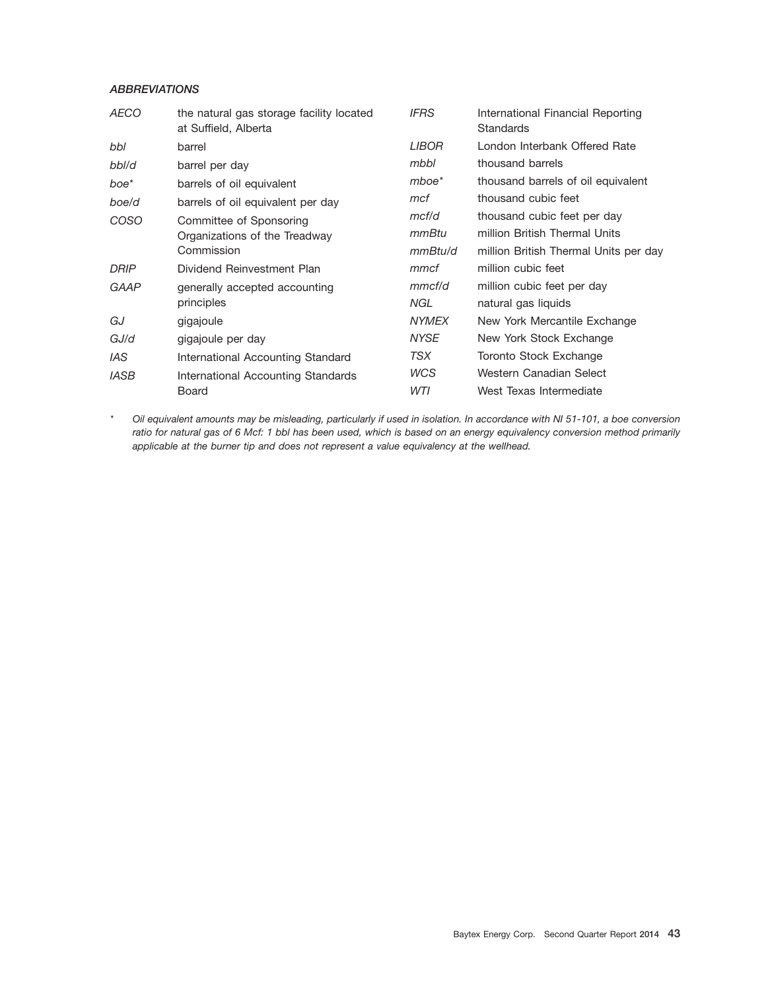### *ABBREVIATIONS*

| <b>AECO</b>      | the natural gas storage facility located<br>at Suffield, Alberta | <b>IFRS</b>  | International Financial Reporting<br><b>Standards</b> |
|------------------|------------------------------------------------------------------|--------------|-------------------------------------------------------|
| bbl              | barrel                                                           | <i>LIBOR</i> | London Interbank Offered Rate                         |
| bbl/d            | barrel per day                                                   | mbbl         | thousand barrels                                      |
| boe <sup>*</sup> | barrels of oil equivalent                                        | $m$ boe $*$  | thousand barrels of oil equivalent                    |
| boe/d            | barrels of oil equivalent per day                                | mcf          | thousand cubic feet                                   |
| COSO             | Committee of Sponsoring                                          | mcf/d        | thousand cubic feet per day                           |
|                  | Organizations of the Treadway                                    | mmBtu        | million British Thermal Units                         |
|                  | Commission                                                       | mmBtu/d      | million British Thermal Units per day                 |
| DRIP             | Dividend Reinvestment Plan                                       | mmcf         | million cubic feet                                    |
| <b>GAAP</b>      | generally accepted accounting                                    | mmcf/d       | million cubic feet per day                            |
|                  | principles                                                       | NGL          | natural gas liquids                                   |
| GJ               | gigajoule                                                        | <b>NYMEX</b> | New York Mercantile Exchange                          |
| GJ/d             | gigajoule per day                                                | <b>NYSE</b>  | New York Stock Exchange                               |
| <i>IAS</i>       | International Accounting Standard                                | TSX          | Toronto Stock Exchange                                |
| <b>IASB</b>      | International Accounting Standards                               | <b>WCS</b>   | Western Canadian Select                               |
|                  | Board                                                            | WTI          | West Texas Intermediate                               |

*\* Oil equivalent amounts may be misleading, particularly if used in isolation. In accordance with NI 51-101, a boe conversion ratio for natural gas of 6 Mcf: 1 bbl has been used, which is based on an energy equivalency conversion method primarily applicable at the burner tip and does not represent a value equivalency at the wellhead.*